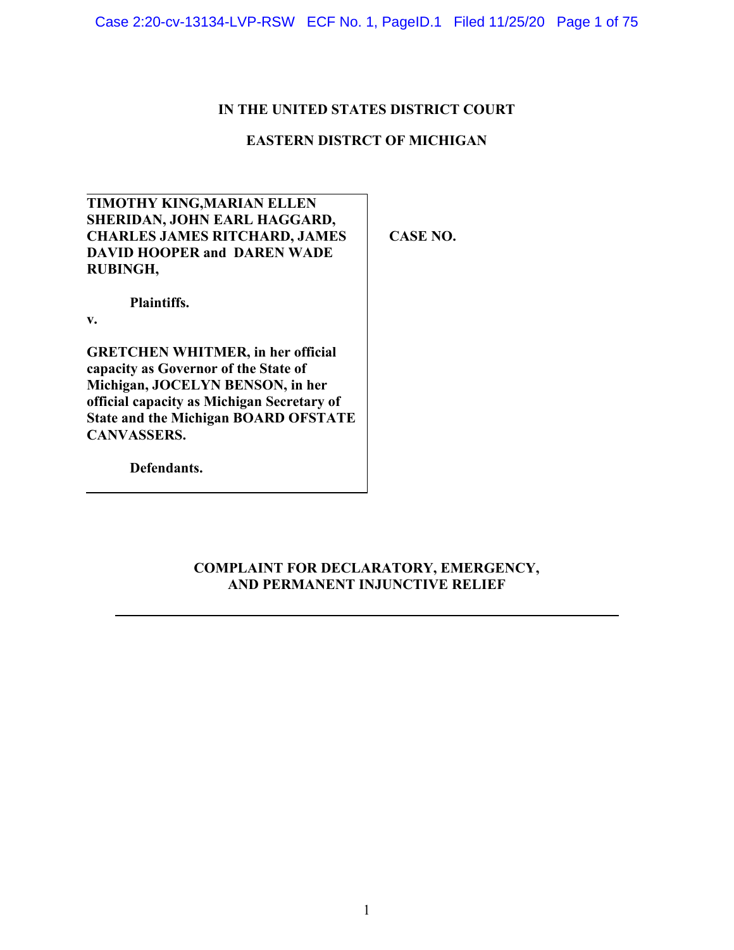# **IN THE UNITED STATES DISTRICT COURT**

# **EASTERN DISTRCT OF MICHIGAN**

| <b>TIMOTHY KING, MARIAN ELLEN</b>    |
|--------------------------------------|
| SHERIDAN, JOHN EARL HAGGARD,         |
| <b>CHARLES JAMES RITCHARD, JAMES</b> |
| <b>DAVID HOOPER and DAREN WADE</b>   |
| <b>RUBINGH,</b>                      |

**Plaintiffs.**

**v.**

**GRETCHEN WHITMER, in her official capacity as Governor of the State of Michigan, JOCELYN BENSON, in her official capacity as Michigan Secretary of State and the Michigan BOARD OFSTATE CANVASSERS.**

**Defendants.**

**CASE NO.** 

# **COMPLAINT FOR DECLARATORY, EMERGENCY, AND PERMANENT INJUNCTIVE RELIEF**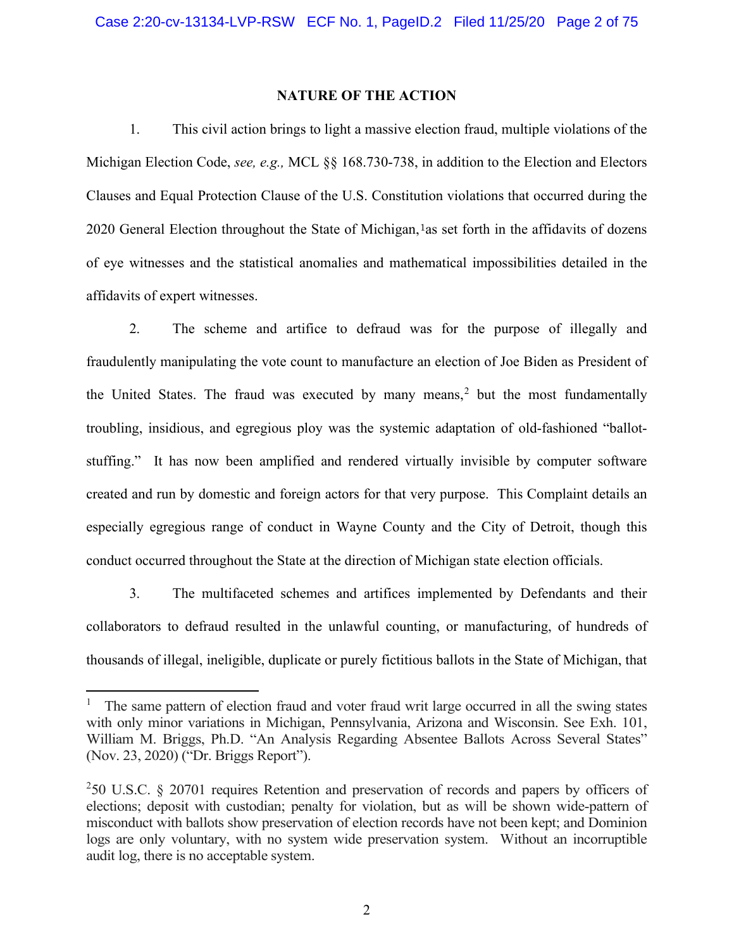### **NATURE OF THE ACTION**

1. This civil action brings to light a massive election fraud, multiple violations of the Michigan Election Code, *see, e.g.,* MCL §§ 168.730-738, in addition to the Election and Electors Clauses and Equal Protection Clause of the U.S. Constitution violations that occurred during the 2020 General Election throughout the State of Michigan, las set forth in the affidavits of dozens of eye witnesses and the statistical anomalies and mathematical impossibilities detailed in the affidavits of expert witnesses.

2. The scheme and artifice to defraud was for the purpose of illegally and fraudulently manipulating the vote count to manufacture an election of Joe Biden as President of the United States. The fraud was executed by many means, $<sup>2</sup>$  $<sup>2</sup>$  $<sup>2</sup>$  but the most fundamentally</sup> troubling, insidious, and egregious ploy was the systemic adaptation of old-fashioned "ballotstuffing." It has now been amplified and rendered virtually invisible by computer software created and run by domestic and foreign actors for that very purpose. This Complaint details an especially egregious range of conduct in Wayne County and the City of Detroit, though this conduct occurred throughout the State at the direction of Michigan state election officials.

3. The multifaceted schemes and artifices implemented by Defendants and their collaborators to defraud resulted in the unlawful counting, or manufacturing, of hundreds of thousands of illegal, ineligible, duplicate or purely fictitious ballots in the State of Michigan, that

<span id="page-1-0"></span><sup>&</sup>lt;sup>1</sup> The same pattern of election fraud and voter fraud writ large occurred in all the swing states with only minor variations in Michigan, Pennsylvania, Arizona and Wisconsin. See Exh. 101, William M. Briggs, Ph.D. "An Analysis Regarding Absentee Ballots Across Several States" (Nov. 23, 2020) ("Dr. Briggs Report").

<span id="page-1-1"></span><sup>2</sup> 50 U.S.C. § 20701 requires Retention and preservation of records and papers by officers of elections; deposit with custodian; penalty for violation, but as will be shown wide-pattern of misconduct with ballots show preservation of election records have not been kept; and Dominion logs are only voluntary, with no system wide preservation system. Without an incorruptible audit log, there is no acceptable system.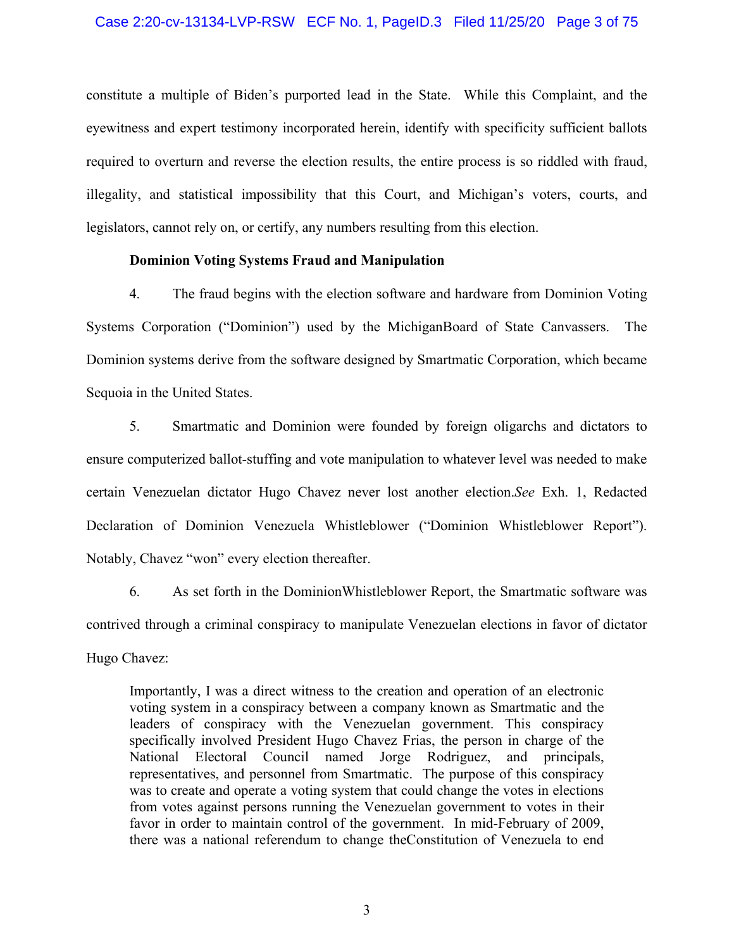### Case 2:20-cv-13134-LVP-RSW ECF No. 1, PageID.3 Filed 11/25/20 Page 3 of 75

constitute a multiple of Biden's purported lead in the State. While this Complaint, and the eyewitness and expert testimony incorporated herein, identify with specificity sufficient ballots required to overturn and reverse the election results, the entire process is so riddled with fraud, illegality, and statistical impossibility that this Court, and Michigan's voters, courts, and legislators, cannot rely on, or certify, any numbers resulting from this election.

### **Dominion Voting Systems Fraud and Manipulation**

4. The fraud begins with the election software and hardware from Dominion Voting Systems Corporation ("Dominion") used by the MichiganBoard of State Canvassers. The Dominion systems derive from the software designed by Smartmatic Corporation, which became Sequoia in the United States.

5. Smartmatic and Dominion were founded by foreign oligarchs and dictators to ensure computerized ballot-stuffing and vote manipulation to whatever level was needed to make certain Venezuelan dictator Hugo Chavez never lost another election.*See* Exh. 1, Redacted Declaration of Dominion Venezuela Whistleblower ("Dominion Whistleblower Report"). Notably, Chavez "won" every election thereafter.

6. As set forth in the DominionWhistleblower Report, the Smartmatic software was contrived through a criminal conspiracy to manipulate Venezuelan elections in favor of dictator Hugo Chavez:

Importantly, I was a direct witness to the creation and operation of an electronic voting system in a conspiracy between a company known as Smartmatic and the leaders of conspiracy with the Venezuelan government. This conspiracy specifically involved President Hugo Chavez Frias, the person in charge of the National Electoral Council named Jorge Rodriguez, and principals, representatives, and personnel from Smartmatic. The purpose of this conspiracy was to create and operate a voting system that could change the votes in elections from votes against persons running the Venezuelan government to votes in their favor in order to maintain control of the government. In mid-February of 2009, there was a national referendum to change theConstitution of Venezuela to end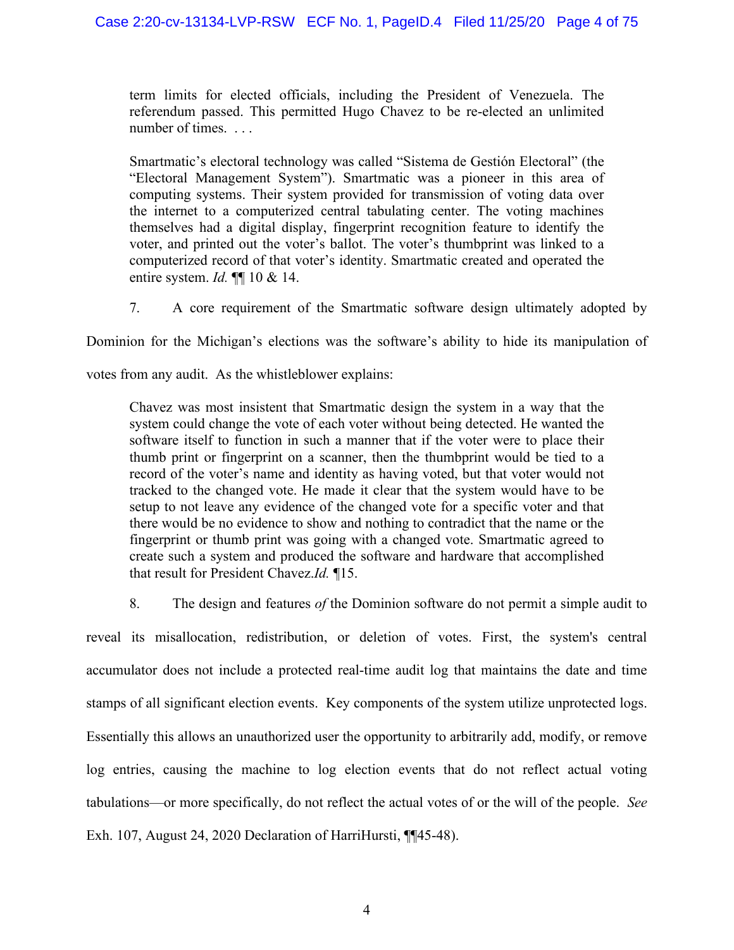term limits for elected officials, including the President of Venezuela. The referendum passed. This permitted Hugo Chavez to be re-elected an unlimited number of times. . . .

Smartmatic's electoral technology was called "Sistema de Gestión Electoral" (the "Electoral Management System"). Smartmatic was a pioneer in this area of computing systems. Their system provided for transmission of voting data over the internet to a computerized central tabulating center. The voting machines themselves had a digital display, fingerprint recognition feature to identify the voter, and printed out the voter's ballot. The voter's thumbprint was linked to a computerized record of that voter's identity. Smartmatic created and operated the entire system. *Id.* ¶¶ 10 & 14.

7. A core requirement of the Smartmatic software design ultimately adopted by

Dominion for the Michigan's elections was the software's ability to hide its manipulation of

votes from any audit. As the whistleblower explains:

Chavez was most insistent that Smartmatic design the system in a way that the system could change the vote of each voter without being detected. He wanted the software itself to function in such a manner that if the voter were to place their thumb print or fingerprint on a scanner, then the thumbprint would be tied to a record of the voter's name and identity as having voted, but that voter would not tracked to the changed vote. He made it clear that the system would have to be setup to not leave any evidence of the changed vote for a specific voter and that there would be no evidence to show and nothing to contradict that the name or the fingerprint or thumb print was going with a changed vote. Smartmatic agreed to create such a system and produced the software and hardware that accomplished that result for President Chavez.*Id.* ¶15.

8. The design and features *of* the Dominion software do not permit a simple audit to

reveal its misallocation, redistribution, or deletion of votes. First, the system's central accumulator does not include a protected real-time audit log that maintains the date and time stamps of all significant election events. Key components of the system utilize unprotected logs. Essentially this allows an unauthorized user the opportunity to arbitrarily add, modify, or remove log entries, causing the machine to log election events that do not reflect actual voting tabulations—or more specifically, do not reflect the actual votes of or the will of the people. *See*  Exh. 107, August 24, 2020 Declaration of HarriHursti, ¶¶45-48).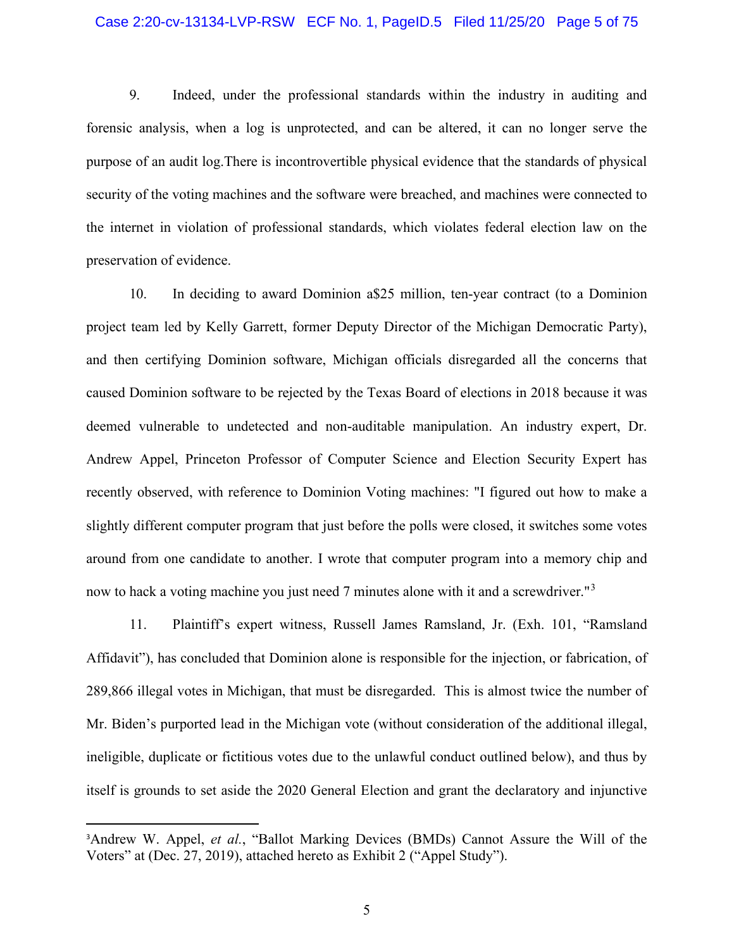### Case 2:20-cv-13134-LVP-RSW ECF No. 1, PageID.5 Filed 11/25/20 Page 5 of 75

9. Indeed, under the professional standards within the industry in auditing and forensic analysis, when a log is unprotected, and can be altered, it can no longer serve the purpose of an audit log.There is incontrovertible physical evidence that the standards of physical security of the voting machines and the software were breached, and machines were connected to the internet in violation of professional standards, which violates federal election law on the preservation of evidence.

10. In deciding to award Dominion a\$25 million, ten-year contract (to a Dominion project team led by Kelly Garrett, former Deputy Director of the Michigan Democratic Party), and then certifying Dominion software, Michigan officials disregarded all the concerns that caused Dominion software to be rejected by the Texas Board of elections in 2018 because it was deemed vulnerable to undetected and non-auditable manipulation. An industry expert, Dr. Andrew Appel, Princeton Professor of Computer Science and Election Security Expert has recently observed, with reference to Dominion Voting machines: "I figured out how to make a slightly different computer program that just before the polls were closed, it switches some votes around from one candidate to another. I wrote that computer program into a memory chip and now to hack a voting machine you just need 7 minutes alone with it and a screwdriver.<sup>"[3](#page-4-0)</sup>

11. Plaintiff's expert witness, Russell James Ramsland, Jr. (Exh. 101, "Ramsland Affidavit"), has concluded that Dominion alone is responsible for the injection, or fabrication, of 289,866 illegal votes in Michigan, that must be disregarded. This is almost twice the number of Mr. Biden's purported lead in the Michigan vote (without consideration of the additional illegal, ineligible, duplicate or fictitious votes due to the unlawful conduct outlined below), and thus by itself is grounds to set aside the 2020 General Election and grant the declaratory and injunctive

<span id="page-4-0"></span><sup>&</sup>lt;sup>3</sup>Andrew W. Appel, *et al.*, "Ballot Marking Devices (BMDs) Cannot Assure the Will of the Voters" at (Dec. 27, 2019), attached hereto as Exhibit 2 ("Appel Study").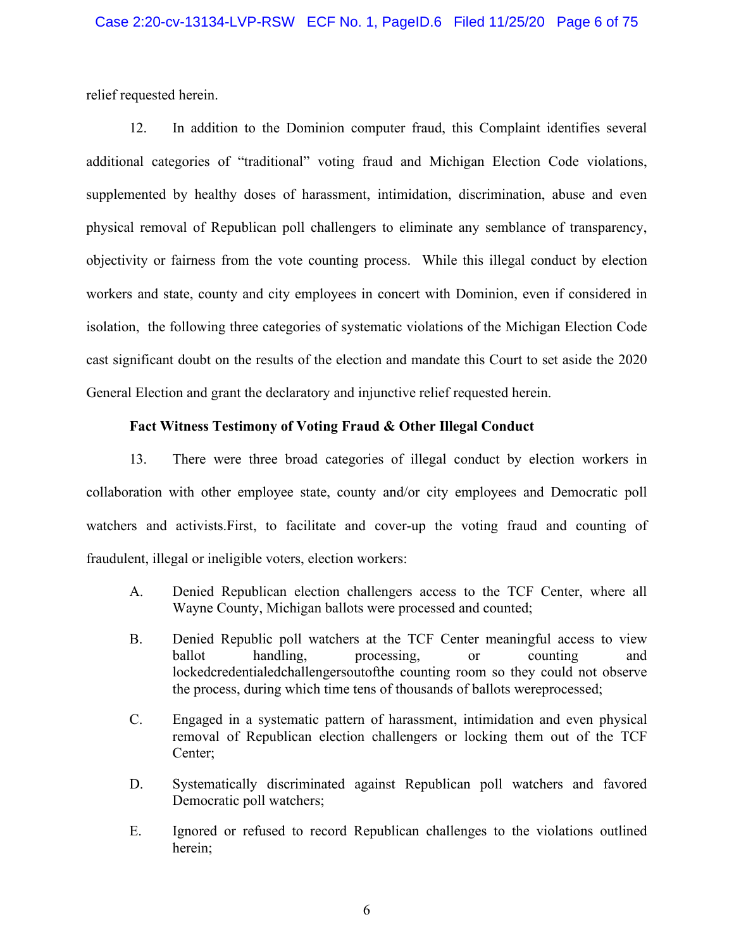relief requested herein.

12. In addition to the Dominion computer fraud, this Complaint identifies several additional categories of "traditional" voting fraud and Michigan Election Code violations, supplemented by healthy doses of harassment, intimidation, discrimination, abuse and even physical removal of Republican poll challengers to eliminate any semblance of transparency, objectivity or fairness from the vote counting process. While this illegal conduct by election workers and state, county and city employees in concert with Dominion, even if considered in isolation, the following three categories of systematic violations of the Michigan Election Code cast significant doubt on the results of the election and mandate this Court to set aside the 2020 General Election and grant the declaratory and injunctive relief requested herein.

## **Fact Witness Testimony of Voting Fraud & Other Illegal Conduct**

13. There were three broad categories of illegal conduct by election workers in collaboration with other employee state, county and/or city employees and Democratic poll watchers and activists.First, to facilitate and cover-up the voting fraud and counting of fraudulent, illegal or ineligible voters, election workers:

- A. Denied Republican election challengers access to the TCF Center, where all Wayne County, Michigan ballots were processed and counted;
- B. Denied Republic poll watchers at the TCF Center meaningful access to view ballot handling, processing, or counting and lockedcredentialedchallengersoutofthe counting room so they could not observe the process, during which time tens of thousands of ballots wereprocessed;
- C. Engaged in a systematic pattern of harassment, intimidation and even physical removal of Republican election challengers or locking them out of the TCF Center;
- D. Systematically discriminated against Republican poll watchers and favored Democratic poll watchers;
- E. Ignored or refused to record Republican challenges to the violations outlined herein;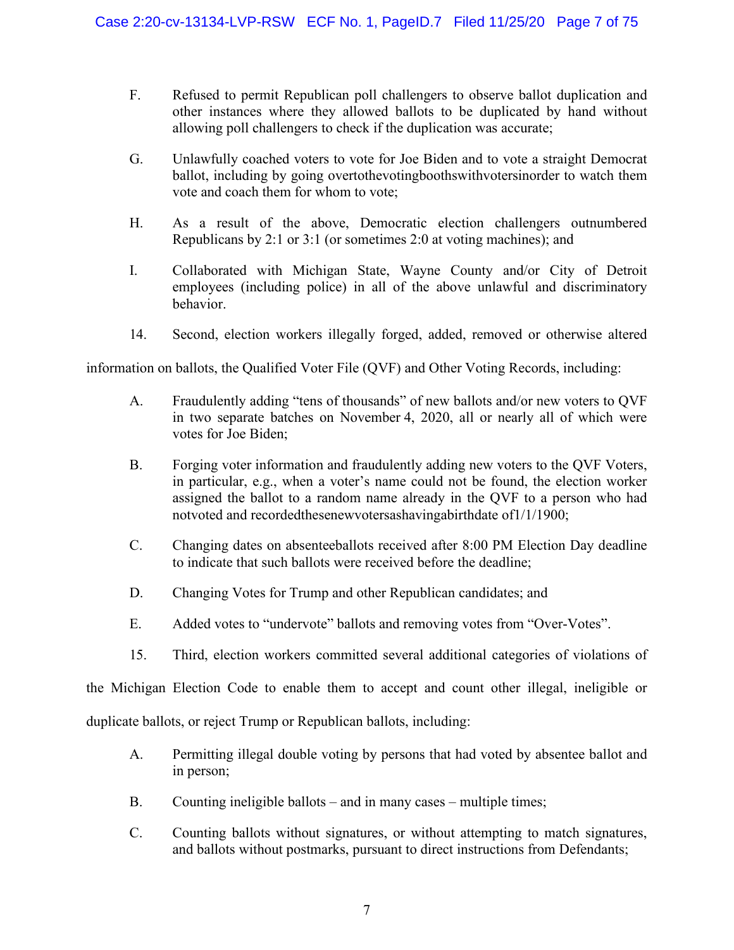- F. Refused to permit Republican poll challengers to observe ballot duplication and other instances where they allowed ballots to be duplicated by hand without allowing poll challengers to check if the duplication was accurate;
- G. Unlawfully coached voters to vote for Joe Biden and to vote a straight Democrat ballot, including by going overtothevotingboothswithvotersinorder to watch them vote and coach them for whom to vote;
- H. As a result of the above, Democratic election challengers outnumbered Republicans by 2:1 or 3:1 (or sometimes 2:0 at voting machines); and
- I. Collaborated with Michigan State, Wayne County and/or City of Detroit employees (including police) in all of the above unlawful and discriminatory behavior.
- 14. Second, election workers illegally forged, added, removed or otherwise altered

information on ballots, the Qualified Voter File (QVF) and Other Voting Records, including:

- A. Fraudulently adding "tens of thousands" of new ballots and/or new voters to QVF in two separate batches on November 4, 2020, all or nearly all of which were votes for Joe Biden;
- B. Forging voter information and fraudulently adding new voters to the QVF Voters, in particular, e.g., when a voter's name could not be found, the election worker assigned the ballot to a random name already in the QVF to a person who had notvoted and recordedthesenewvotersashavingabirthdate of1/1/1900;
- C. Changing dates on absenteeballots received after 8:00 PM Election Day deadline to indicate that such ballots were received before the deadline;
- D. Changing Votes for Trump and other Republican candidates; and
- E. Added votes to "undervote" ballots and removing votes from "Over-Votes".
- 15. Third, election workers committed several additional categories of violations of

the Michigan Election Code to enable them to accept and count other illegal, ineligible or

duplicate ballots, or reject Trump or Republican ballots, including:

- A. Permitting illegal double voting by persons that had voted by absentee ballot and in person;
- B. Counting ineligible ballots and in many cases multiple times;
- C. Counting ballots without signatures, or without attempting to match signatures, and ballots without postmarks, pursuant to direct instructions from Defendants;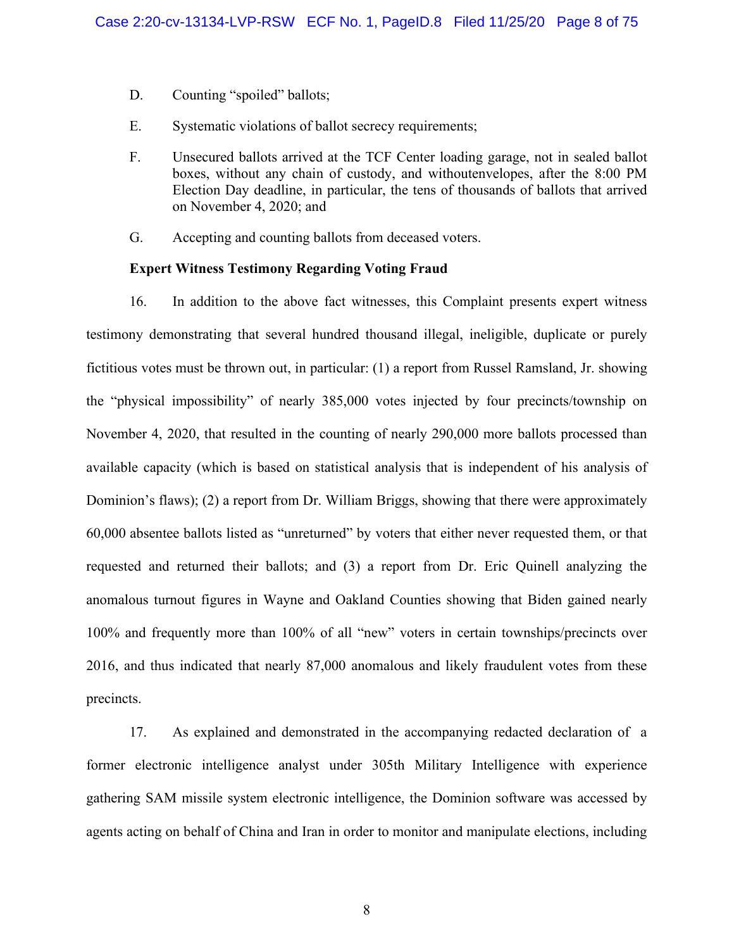- D. Counting "spoiled" ballots;
- E. Systematic violations of ballot secrecy requirements;
- F. Unsecured ballots arrived at the TCF Center loading garage, not in sealed ballot boxes, without any chain of custody, and withoutenvelopes, after the 8:00 PM Election Day deadline, in particular, the tens of thousands of ballots that arrived on November 4, 2020; and
- G. Accepting and counting ballots from deceased voters.

### **Expert Witness Testimony Regarding Voting Fraud**

16. In addition to the above fact witnesses, this Complaint presents expert witness testimony demonstrating that several hundred thousand illegal, ineligible, duplicate or purely fictitious votes must be thrown out, in particular: (1) a report from Russel Ramsland, Jr. showing the "physical impossibility" of nearly 385,000 votes injected by four precincts/township on November 4, 2020, that resulted in the counting of nearly 290,000 more ballots processed than available capacity (which is based on statistical analysis that is independent of his analysis of Dominion's flaws); (2) a report from Dr. William Briggs, showing that there were approximately 60,000 absentee ballots listed as "unreturned" by voters that either never requested them, or that requested and returned their ballots; and (3) a report from Dr. Eric Quinell analyzing the anomalous turnout figures in Wayne and Oakland Counties showing that Biden gained nearly 100% and frequently more than 100% of all "new" voters in certain townships/precincts over 2016, and thus indicated that nearly 87,000 anomalous and likely fraudulent votes from these precincts.

17. As explained and demonstrated in the accompanying redacted declaration of a former electronic intelligence analyst under 305th Military Intelligence with experience gathering SAM missile system electronic intelligence, the Dominion software was accessed by agents acting on behalf of China and Iran in order to monitor and manipulate elections, including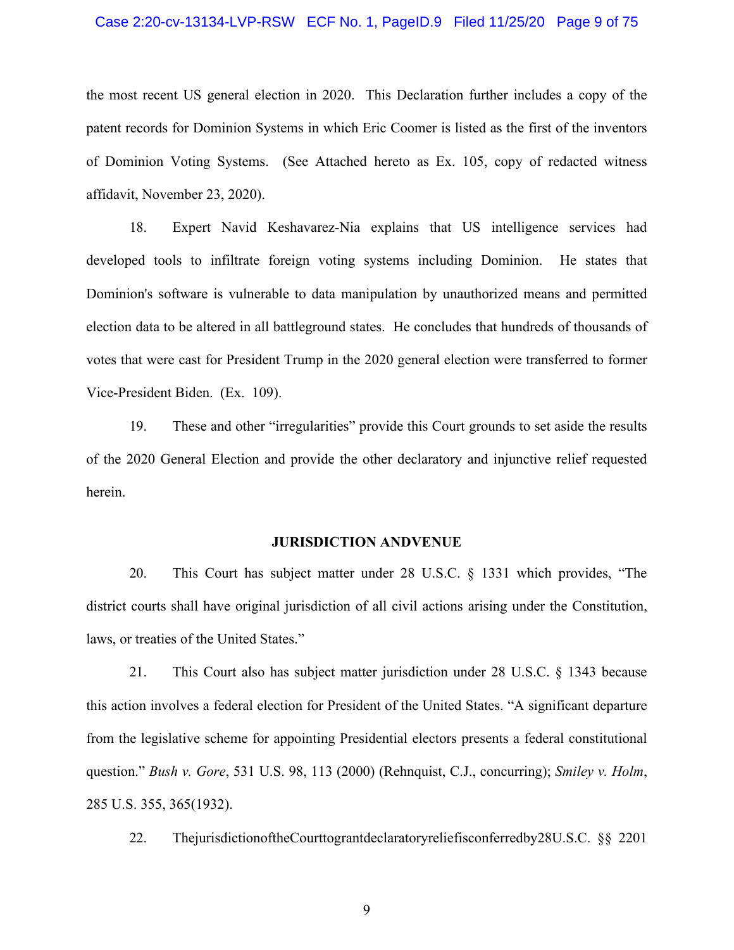#### Case 2:20-cv-13134-LVP-RSW ECF No. 1, PageID.9 Filed 11/25/20 Page 9 of 75

the most recent US general election in 2020. This Declaration further includes a copy of the patent records for Dominion Systems in which Eric Coomer is listed as the first of the inventors of Dominion Voting Systems. (See Attached hereto as Ex. 105, copy of redacted witness affidavit, November 23, 2020).

18. Expert Navid Keshavarez-Nia explains that US intelligence services had developed tools to infiltrate foreign voting systems including Dominion. He states that Dominion's software is vulnerable to data manipulation by unauthorized means and permitted election data to be altered in all battleground states. He concludes that hundreds of thousands of votes that were cast for President Trump in the 2020 general election were transferred to former Vice-President Biden. (Ex. 109).

19. These and other "irregularities" provide this Court grounds to set aside the results of the 2020 General Election and provide the other declaratory and injunctive relief requested herein.

### **JURISDICTION ANDVENUE**

20. This Court has subject matter under 28 U.S.C. § 1331 which provides, "The district courts shall have original jurisdiction of all civil actions arising under the Constitution, laws, or treaties of the United States."

21. This Court also has subject matter jurisdiction under 28 U.S.C. § 1343 because this action involves a federal election for President of the United States. "A significant departure from the legislative scheme for appointing Presidential electors presents a federal constitutional question." *Bush v. Gore*, 531 U.S. 98, 113 (2000) (Rehnquist, C.J., concurring); *Smiley v. Holm*, 285 U.S. 355, 365(1932).

22. ThejurisdictionoftheCourttograntdeclaratoryreliefisconferredby28U.S.C. §§ 2201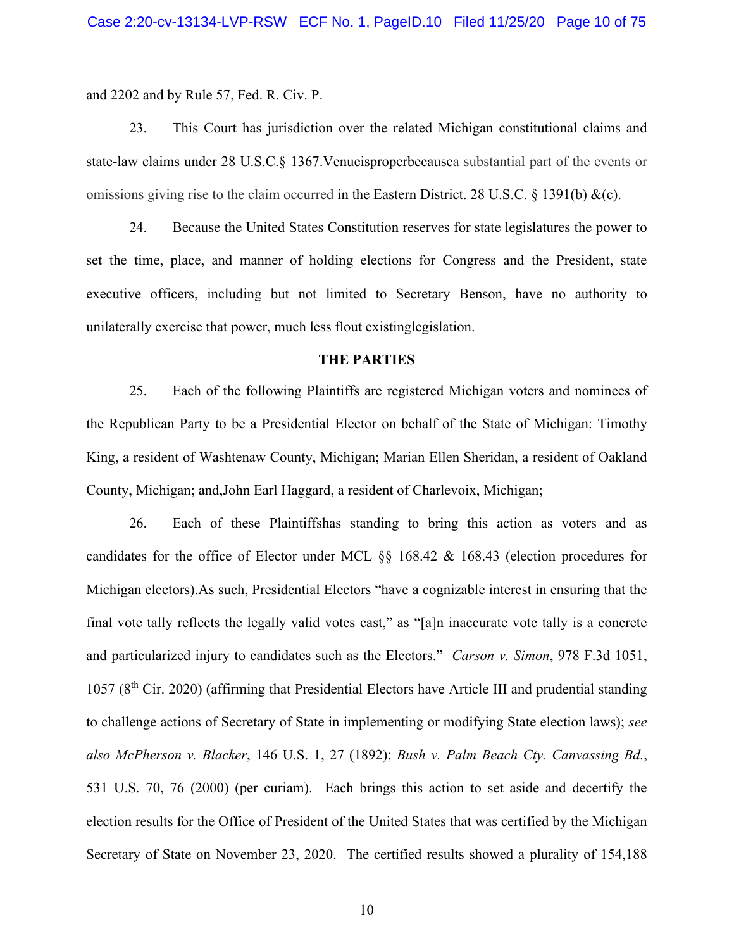and 2202 and by Rule 57, Fed. R. Civ. P.

23. This Court has jurisdiction over the related Michigan constitutional claims and state-law claims under 28 U.S.C.§ 1367.Venueisproperbecausea substantial part of the events or omissions giving rise to the claim occurred in the Eastern District. 28 U.S.C. § 1391(b)  $\&c$ ).

24. Because the United States Constitution reserves for state legislatures the power to set the time, place, and manner of holding elections for Congress and the President, state executive officers, including but not limited to Secretary Benson, have no authority to unilaterally exercise that power, much less flout existinglegislation.

#### **THE PARTIES**

25. Each of the following Plaintiffs are registered Michigan voters and nominees of the Republican Party to be a Presidential Elector on behalf of the State of Michigan: Timothy King, a resident of Washtenaw County, Michigan; Marian Ellen Sheridan, a resident of Oakland County, Michigan; and,John Earl Haggard, a resident of Charlevoix, Michigan;

26. Each of these Plaintiffshas standing to bring this action as voters and as candidates for the office of Elector under MCL §§ 168.42 & 168.43 (election procedures for Michigan electors).As such, Presidential Electors "have a cognizable interest in ensuring that the final vote tally reflects the legally valid votes cast," as "[a]n inaccurate vote tally is a concrete and particularized injury to candidates such as the Electors." *Carson v. Simon*, 978 F.3d 1051,  $1057$  ( $8<sup>th</sup>$  Cir. 2020) (affirming that Presidential Electors have Article III and prudential standing to challenge actions of Secretary of State in implementing or modifying State election laws); *see also McPherson v. Blacker*, 146 U.S. 1, 27 (1892); *Bush v. Palm Beach Cty. Canvassing Bd.*, 531 U.S. 70, 76 (2000) (per curiam). Each brings this action to set aside and decertify the election results for the Office of President of the United States that was certified by the Michigan Secretary of State on November 23, 2020. The certified results showed a plurality of 154,188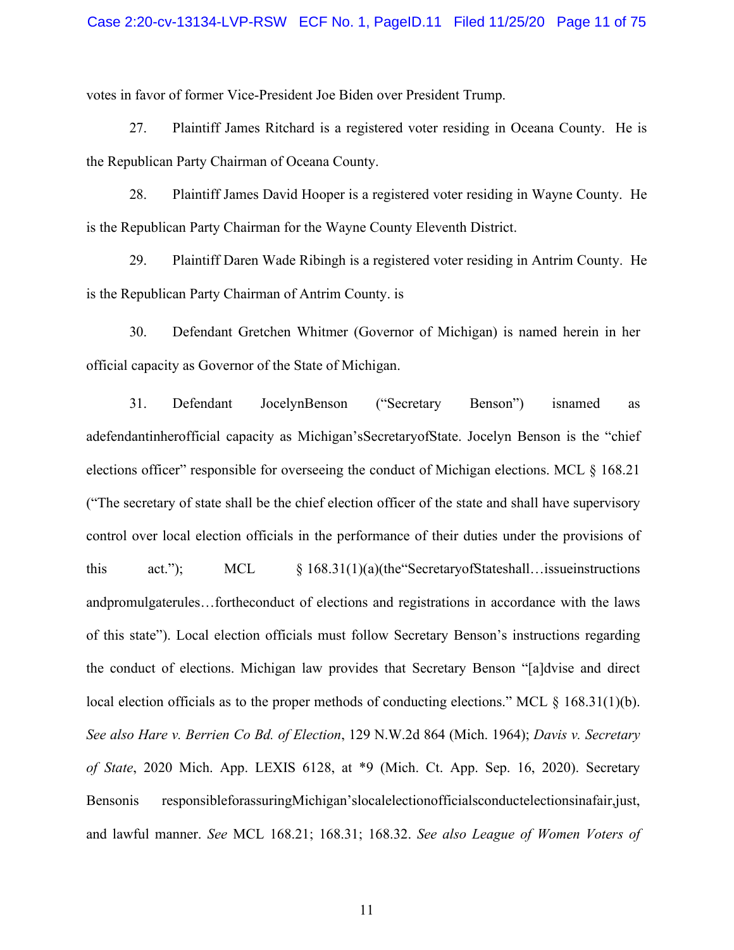votes in favor of former Vice-President Joe Biden over President Trump.

27. Plaintiff James Ritchard is a registered voter residing in Oceana County. He is the Republican Party Chairman of Oceana County.

28. Plaintiff James David Hooper is a registered voter residing in Wayne County. He is the Republican Party Chairman for the Wayne County Eleventh District.

29. Plaintiff Daren Wade Ribingh is a registered voter residing in Antrim County. He is the Republican Party Chairman of Antrim County. is

30. Defendant Gretchen Whitmer (Governor of Michigan) is named herein in her official capacity as Governor of the State of Michigan.

31. Defendant JocelynBenson ("Secretary Benson") isnamed as adefendantinherofficial capacity as Michigan'sSecretaryofState. Jocelyn Benson is the "chief elections officer" responsible for overseeing the conduct of Michigan elections. MCL § 168.21 ("The secretary of state shall be the chief election officer of the state and shall have supervisory control over local election officials in the performance of their duties under the provisions of this act."); MCL § 168.31(1)(a)(the"SecretaryofStateshall…issueinstructions andpromulgaterules…fortheconduct of elections and registrations in accordance with the laws of this state"). Local election officials must follow Secretary Benson's instructions regarding the conduct of elections. Michigan law provides that Secretary Benson "[a]dvise and direct local election officials as to the proper methods of conducting elections." MCL  $\S$  168.31(1)(b). *See also Hare v. Berrien Co Bd. of Election*, 129 N.W.2d 864 (Mich. 1964); *Davis v. Secretary of State*, 2020 Mich. App. LEXIS 6128, at \*9 (Mich. Ct. App. Sep. 16, 2020). Secretary Bensonis responsibleforassuringMichigan'slocalelectionofficialsconductelectionsinafair,just, and lawful manner. *See* MCL 168.21; 168.31; 168.32. *See also League of Women Voters of*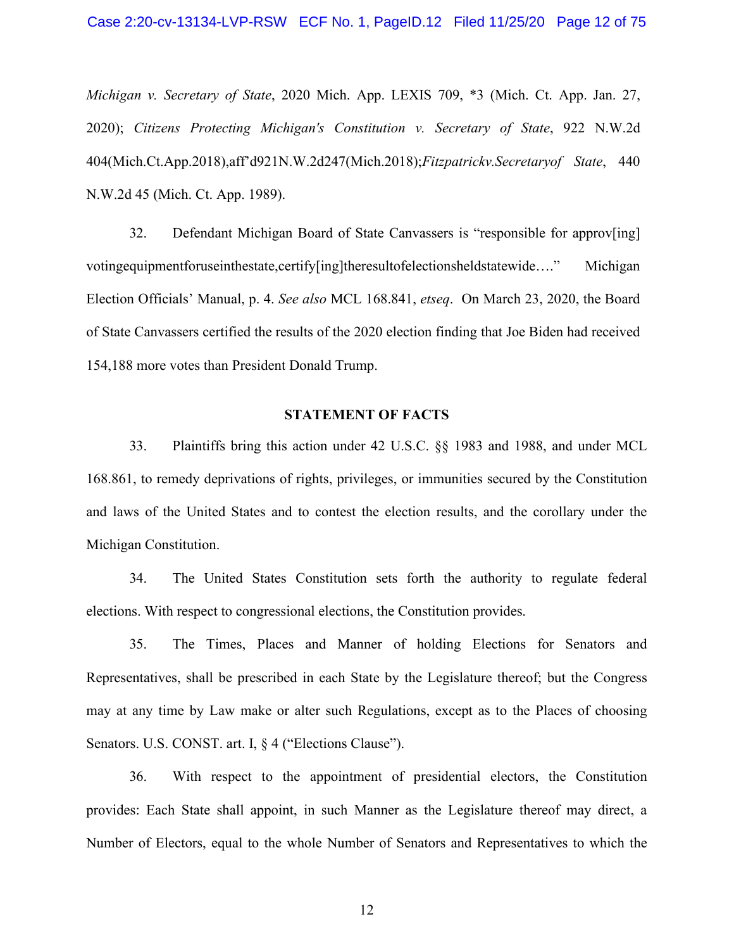Case 2:20-cv-13134-LVP-RSW ECF No. 1, PageID.12 Filed 11/25/20 Page 12 of 75

*Michigan v. Secretary of State*, 2020 Mich. App. LEXIS 709, \*3 (Mich. Ct. App. Jan. 27, 2020); *Citizens Protecting Michigan's Constitution v. Secretary of State*, 922 N.W.2d 404(Mich.Ct.App.2018),aff'd921N.W.2d247(Mich.2018);*Fitzpatrickv.Secretaryof State*, 440 N.W.2d 45 (Mich. Ct. App. 1989).

32. Defendant Michigan Board of State Canvassers is "responsible for approv[ing] votingequipmentforuseinthestate,certify[ing]theresultofelectionsheldstatewide…." Michigan Election Officials' Manual, p. 4. *See also* MCL 168.841, *etseq*. On March 23, 2020, the Board of State Canvassers certified the results of the 2020 election finding that Joe Biden had received 154,188 more votes than President Donald Trump.

### **STATEMENT OF FACTS**

33. Plaintiffs bring this action under 42 U.S.C. §§ 1983 and 1988, and under MCL 168.861, to remedy deprivations of rights, privileges, or immunities secured by the Constitution and laws of the United States and to contest the election results, and the corollary under the Michigan Constitution.

34. The United States Constitution sets forth the authority to regulate federal elections. With respect to congressional elections, the Constitution provides.

35. The Times, Places and Manner of holding Elections for Senators and Representatives, shall be prescribed in each State by the Legislature thereof; but the Congress may at any time by Law make or alter such Regulations, except as to the Places of choosing Senators. U.S. CONST. art. I,  $\frac{6}{7}$  4 ("Elections Clause").

36. With respect to the appointment of presidential electors, the Constitution provides: Each State shall appoint, in such Manner as the Legislature thereof may direct, a Number of Electors, equal to the whole Number of Senators and Representatives to which the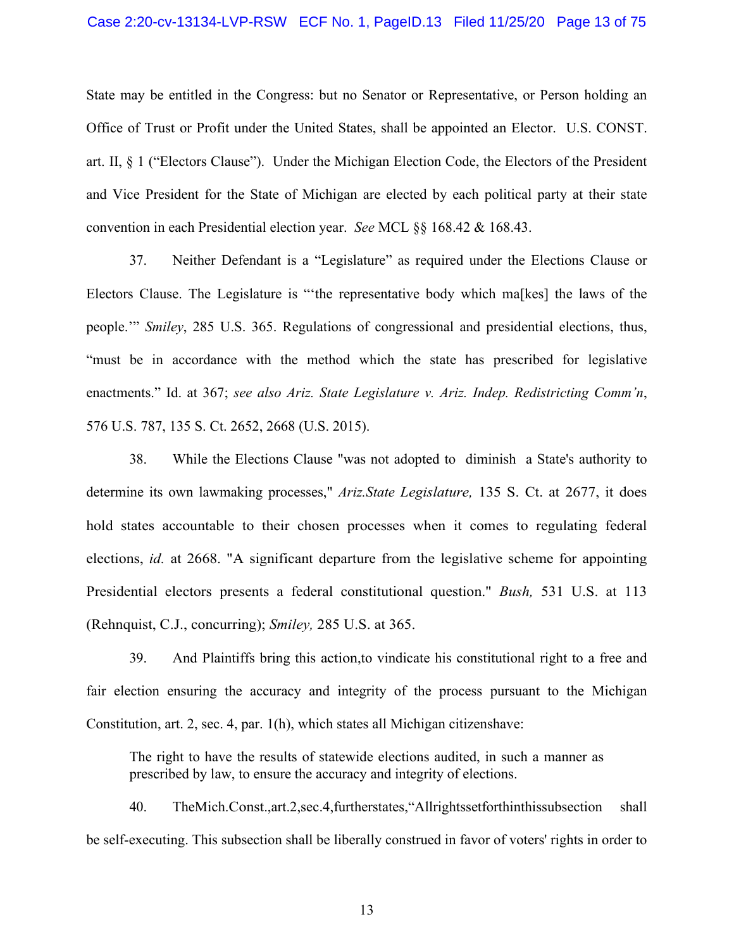#### Case 2:20-cv-13134-LVP-RSW ECF No. 1, PageID.13 Filed 11/25/20 Page 13 of 75

State may be entitled in the Congress: but no Senator or Representative, or Person holding an Office of Trust or Profit under the United States, shall be appointed an Elector. U.S. CONST. art. II, § 1 ("Electors Clause"). Under the Michigan Election Code, the Electors of the President and Vice President for the State of Michigan are elected by each political party at their state convention in each Presidential election year. *See* MCL §§ 168.42 & 168.43.

37. Neither Defendant is a "Legislature" as required under the Elections Clause or Electors Clause. The Legislature is "'the representative body which ma[kes] the laws of the people.'" *Smiley*, 285 U.S. 365. Regulations of congressional and presidential elections, thus, "must be in accordance with the method which the state has prescribed for legislative enactments." Id. at 367; *see also Ariz. State Legislature v. Ariz. Indep. Redistricting Comm'n*, 576 U.S. 787, 135 S. Ct. 2652, 2668 (U.S. 2015).

38. While the Elections Clause "was not adopted to diminish a State's authority to determine its own lawmaking processes," *Ariz.State Legislature,* 135 S. Ct. at 2677, it does hold states accountable to their chosen processes when it comes to regulating federal elections, *id.* at 2668. "A significant departure from the legislative scheme for appointing Presidential electors presents a federal constitutional question." *Bush,* 531 U.S. at 113 (Rehnquist, C.J., concurring); *Smiley,* 285 U.S. at 365.

39. And Plaintiffs bring this action,to vindicate his constitutional right to a free and fair election ensuring the accuracy and integrity of the process pursuant to the Michigan Constitution, art. 2, sec. 4, par. 1(h), which states all Michigan citizenshave:

The right to have the results of statewide elections audited, in such a manner as prescribed by law, to ensure the accuracy and integrity of elections.

40. TheMich.Const.,art.2,sec.4,furtherstates,"Allrightssetforthinthissubsection shall be self-executing. This subsection shall be liberally construed in favor of voters' rights in order to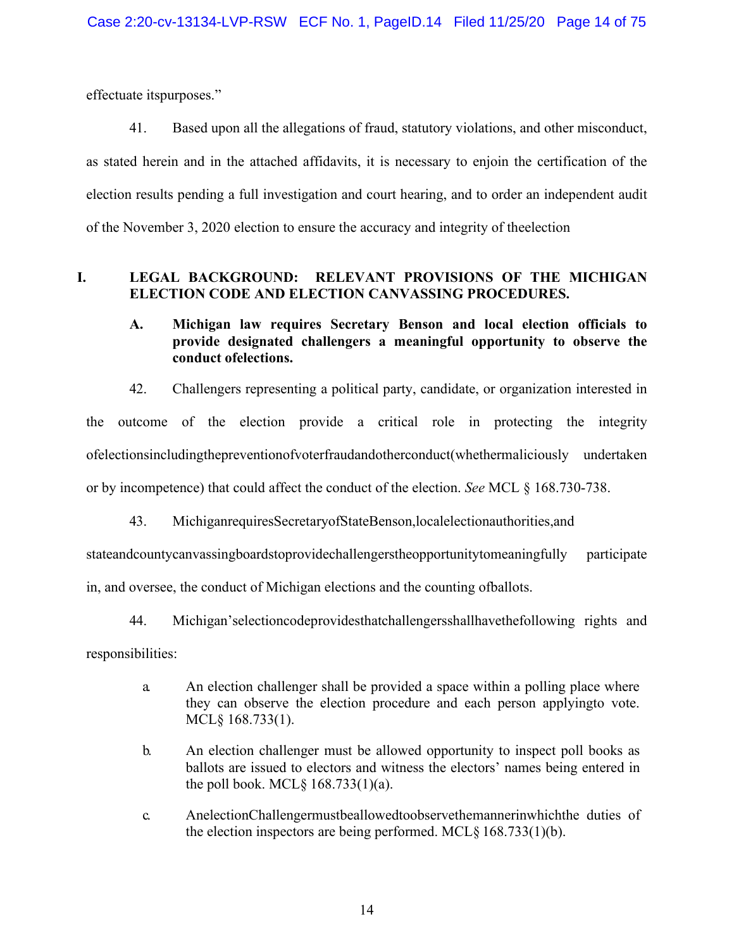effectuate itspurposes."

41. Based upon all the allegations of fraud, statutory violations, and other misconduct, as stated herein and in the attached affidavits, it is necessary to enjoin the certification of the election results pending a full investigation and court hearing, and to order an independent audit of the November 3, 2020 election to ensure the accuracy and integrity of theelection

# **I. LEGAL BACKGROUND: RELEVANT PROVISIONS OF THE MICHIGAN ELECTION CODE AND ELECTION CANVASSING PROCEDURES.**

# **A. Michigan law requires Secretary Benson and local election officials to provide designated challengers a meaningful opportunity to observe the conduct ofelections.**

42. Challengers representing a political party, candidate, or organization interested in

the outcome of the election provide a critical role in protecting the integrity ofelectionsincludingthepreventionofvoterfraudandotherconduct(whethermaliciously undertaken or by incompetence) that could affect the conduct of the election. *See* MCL § 168.730-738.

43. MichiganrequiresSecretaryofStateBenson,localelectionauthorities,and

stateandcountycanvassingboardstoprovidechallengerstheopportunitytomeaningfully participate

in, and oversee, the conduct of Michigan elections and the counting ofballots.

44. Michigan'selectioncodeprovidesthatchallengersshallhavethefollowing rights and

responsibilities:

- a. An election challenger shall be provided a space within a polling place where they can observe the election procedure and each person applyingto vote. MCL§ 168.733(1).
- b. An election challenger must be allowed opportunity to inspect poll books as ballots are issued to electors and witness the electors' names being entered in the poll book. MCL $\S$  168.733(1)(a).
- c. AnelectionChallengermustbeallowedtoobservethemannerinwhichthe duties of the election inspectors are being performed. MCL§ 168.733(1)(b).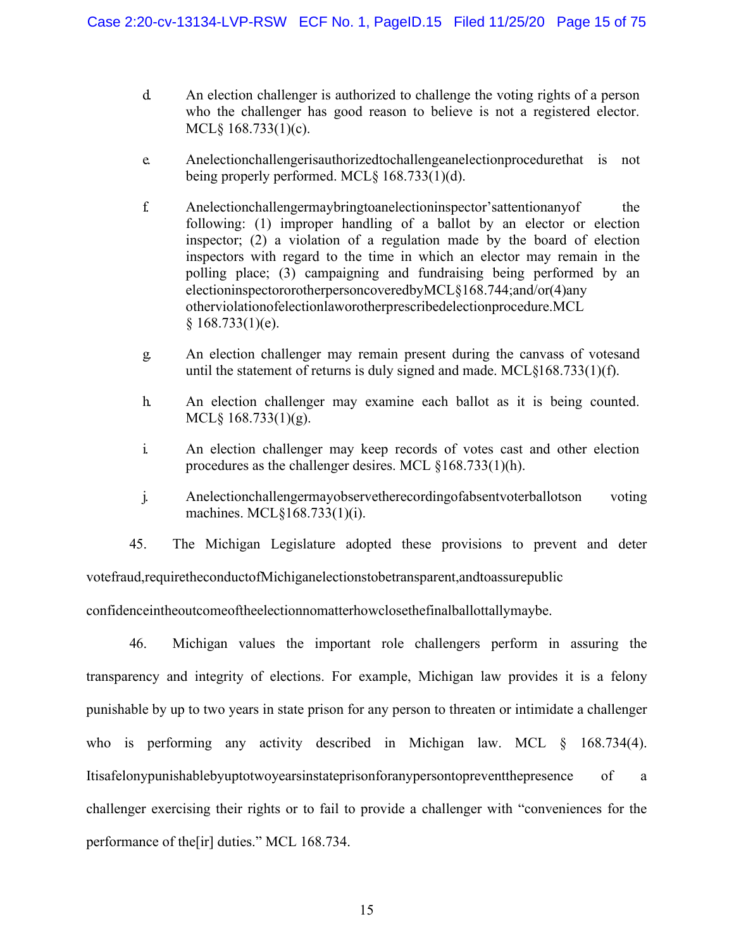- d. An election challenger is authorized to challenge the voting rights of a person who the challenger has good reason to believe is not a registered elector. MCL§ 168.733(1)(c).
- e. Anelectionchallengerisauthorizedtochallengeanelectionprocedurethat is not being properly performed. MCL§ 168.733(1)(d).
- f. Anelectionchallengermaybringtoanelectioninspector'sattentionanyof the following: (1) improper handling of a ballot by an elector or election inspector; (2) a violation of a regulation made by the board of election inspectors with regard to the time in which an elector may remain in the polling place; (3) campaigning and fundraising being performed by an electioninspectororotherpersoncoveredbyMCL§168.744;and/or(4)any otherviolationofelectionlaworotherprescribedelectionprocedure.MCL  $§ 168.733(1)(e).$
- g. An election challenger may remain present during the canvass of votesand until the statement of returns is duly signed and made. MCL§168.733(1)(f).
- h. An election challenger may examine each ballot as it is being counted. MCL§ 168.733(1)(g).
- i. An election challenger may keep records of votes cast and other election procedures as the challenger desires. MCL §168.733(1)(h).
- j. Anelectionchallengermayobservetherecordingofabsentvoterballotson voting machines. MCL§168.733(1)(i).

45. The Michigan Legislature adopted these provisions to prevent and deter votefraud,requiretheconductofMichiganelectionstobetransparent,andtoassurepublic

confidenceintheoutcomeoftheelectionnomatterhowclosethefinalballottallymaybe.

46. Michigan values the important role challengers perform in assuring the transparency and integrity of elections. For example, Michigan law provides it is a felony punishable by up to two years in state prison for any person to threaten or intimidate a challenger who is performing any activity described in Michigan law. MCL § 168.734(4). Itisafelonypunishablebyuptotwoyearsinstateprisonforanypersontopreventthepresence of a challenger exercising their rights or to fail to provide a challenger with "conveniences for the performance of the[ir] duties." MCL 168.734.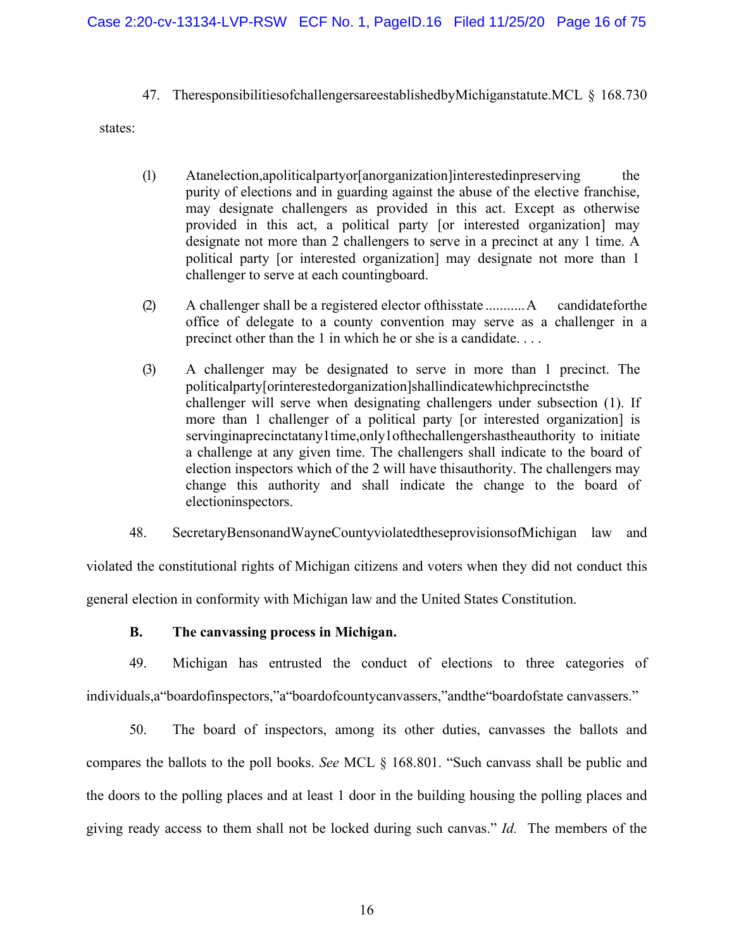47. TheresponsibilitiesofchallengersareestablishedbyMichiganstatute.MCL § 168.730

states:

- (1) Atanelection,apoliticalpartyor[anorganization]interestedinpreserving the purity of elections and in guarding against the abuse of the elective franchise, may designate challengers as provided in this act. Except as otherwise provided in this act, a political party [or interested organization] may designate not more than 2 challengers to serve in a precinct at any 1 time. A political party [or interested organization] may designate not more than 1 challenger to serve at each countingboard.
- (2) A challenger shall be a registered elector ofthisstate ...........A candidateforthe office of delegate to a county convention may serve as a challenger in a precinct other than the 1 in which he or she is a candidate. . . .
- (3) A challenger may be designated to serve in more than 1 precinct. The politicalparty[orinterestedorganization]shallindicatewhichprecinctsthe challenger will serve when designating challengers under subsection (1). If more than 1 challenger of a political party [or interested organization] is servinginaprecinctatany1time,only1ofthechallengershastheauthority to initiate a challenge at any given time. The challengers shall indicate to the board of election inspectors which of the 2 will have thisauthority. The challengers may change this authority and shall indicate the change to the board of electioninspectors.

48. SecretaryBensonandWayneCountyviolatedtheseprovisionsofMichigan law and

violated the constitutional rights of Michigan citizens and voters when they did not conduct this general election in conformity with Michigan law and the United States Constitution.

**B. The canvassing process in Michigan.**

49. Michigan has entrusted the conduct of elections to three categories of individuals,a"boardofinspectors,"a"boardofcountycanvassers,"andthe"boardofstate canvassers."

50. The board of inspectors, among its other duties, canvasses the ballots and compares the ballots to the poll books. *See* MCL § 168.801. "Such canvass shall be public and the doors to the polling places and at least 1 door in the building housing the polling places and giving ready access to them shall not be locked during such canvas." *Id.* The members of the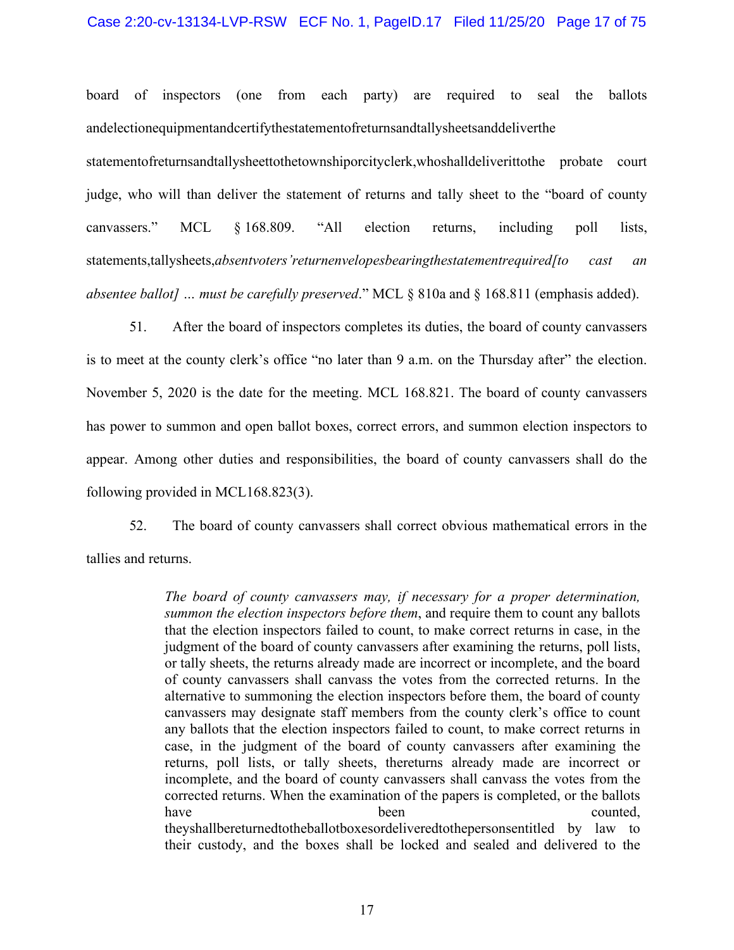### Case 2:20-cv-13134-LVP-RSW ECF No. 1, PageID.17 Filed 11/25/20 Page 17 of 75

board of inspectors (one from each party) are required to seal the ballots andelectionequipmentandcertifythestatementofreturnsandtallysheetsanddeliverthe

statementofreturnsandtallysheettothetownshiporcityclerk,whoshalldeliverittothe probate court judge, who will than deliver the statement of returns and tally sheet to the "board of county canvassers." MCL § 168.809. "All election returns, including poll lists, statements,tallysheets,*absentvoters'returnenvelopesbearingthestatementrequired[to cast an absentee ballot] … must be carefully preserved*." MCL § 810a and § 168.811 (emphasis added).

51. After the board of inspectors completes its duties, the board of county canvassers is to meet at the county clerk's office "no later than 9 a.m. on the Thursday after" the election. November 5, 2020 is the date for the meeting. MCL 168.821. The board of county canvassers has power to summon and open ballot boxes, correct errors, and summon election inspectors to appear. Among other duties and responsibilities, the board of county canvassers shall do the following provided in MCL168.823(3).

52. The board of county canvassers shall correct obvious mathematical errors in the tallies and returns.

> *The board of county canvassers may, if necessary for a proper determination, summon the election inspectors before them*, and require them to count any ballots that the election inspectors failed to count, to make correct returns in case, in the judgment of the board of county canvassers after examining the returns, poll lists, or tally sheets, the returns already made are incorrect or incomplete, and the board of county canvassers shall canvass the votes from the corrected returns. In the alternative to summoning the election inspectors before them, the board of county canvassers may designate staff members from the county clerk's office to count any ballots that the election inspectors failed to count, to make correct returns in case, in the judgment of the board of county canvassers after examining the returns, poll lists, or tally sheets, thereturns already made are incorrect or incomplete, and the board of county canvassers shall canvass the votes from the corrected returns. When the examination of the papers is completed, or the ballots have been been counted, theyshallbereturnedtotheballotboxesordeliveredtothepersonsentitled by law to their custody, and the boxes shall be locked and sealed and delivered to the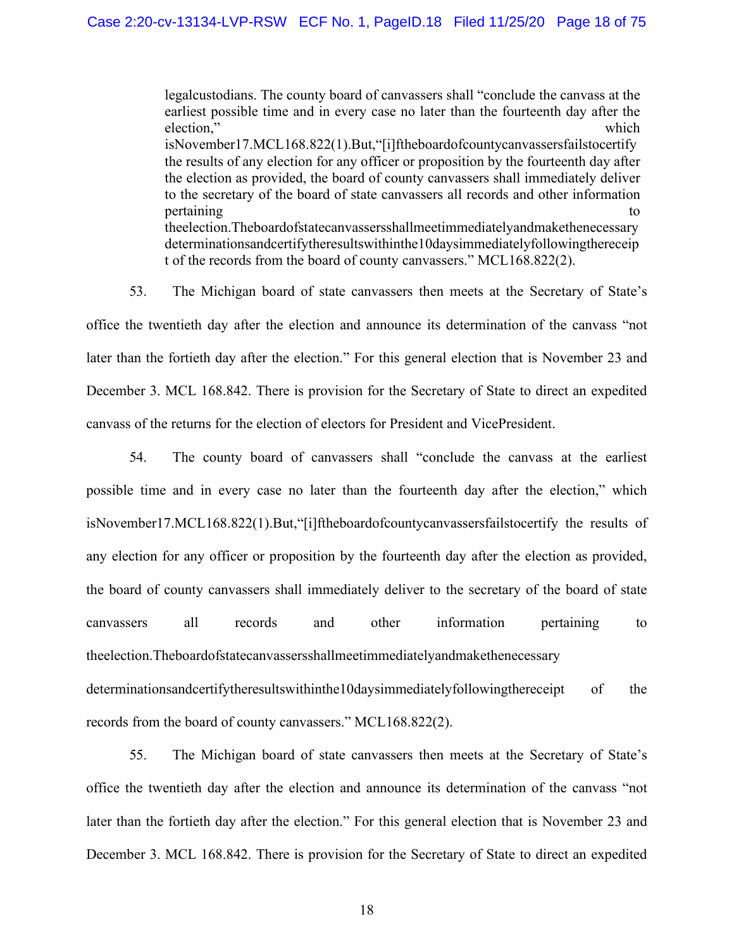legalcustodians. The county board of canvassers shall "conclude the canvass at the earliest possible time and in every case no later than the fourteenth day after the election," which isNovember17.MCL168.822(1).But,"[i]ftheboardofcountycanvassersfailstocertify the results of any election for any officer or proposition by the fourteenth day after the election as provided, the board of county canvassers shall immediately deliver to the secretary of the board of state canvassers all records and other information pertaining to the contract of the contract of the contract of the contract of the contract of the contract of the contract of the contract of the contract of the contract of the contract of the contract of the contract of theelection.Theboardofstatecanvassersshallmeetimmediatelyandmakethenecessary determinationsandcertifytheresultswithinthe10daysimmediatelyfollowingthereceip t of the records from the board of county canvassers." MCL168.822(2).

53. The Michigan board of state canvassers then meets at the Secretary of State's office the twentieth day after the election and announce its determination of the canvass "not later than the fortieth day after the election." For this general election that is November 23 and December 3. MCL 168.842. There is provision for the Secretary of State to direct an expedited canvass of the returns for the election of electors for President and VicePresident.

54. The county board of canvassers shall "conclude the canvass at the earliest possible time and in every case no later than the fourteenth day after the election," which isNovember17.MCL168.822(1).But,"[i]ftheboardofcountycanvassersfailstocertify the results of any election for any officer or proposition by the fourteenth day after the election as provided, the board of county canvassers shall immediately deliver to the secretary of the board of state canvassers all records and other information pertaining to theelection.Theboardofstatecanvassersshallmeetimmediatelyandmakethenecessary determinationsandcertifytheresultswithinthe10daysimmediatelyfollowingthereceipt of the records from the board of county canvassers." MCL168.822(2).

55. The Michigan board of state canvassers then meets at the Secretary of State's office the twentieth day after the election and announce its determination of the canvass "not later than the fortieth day after the election." For this general election that is November 23 and December 3. MCL 168.842. There is provision for the Secretary of State to direct an expedited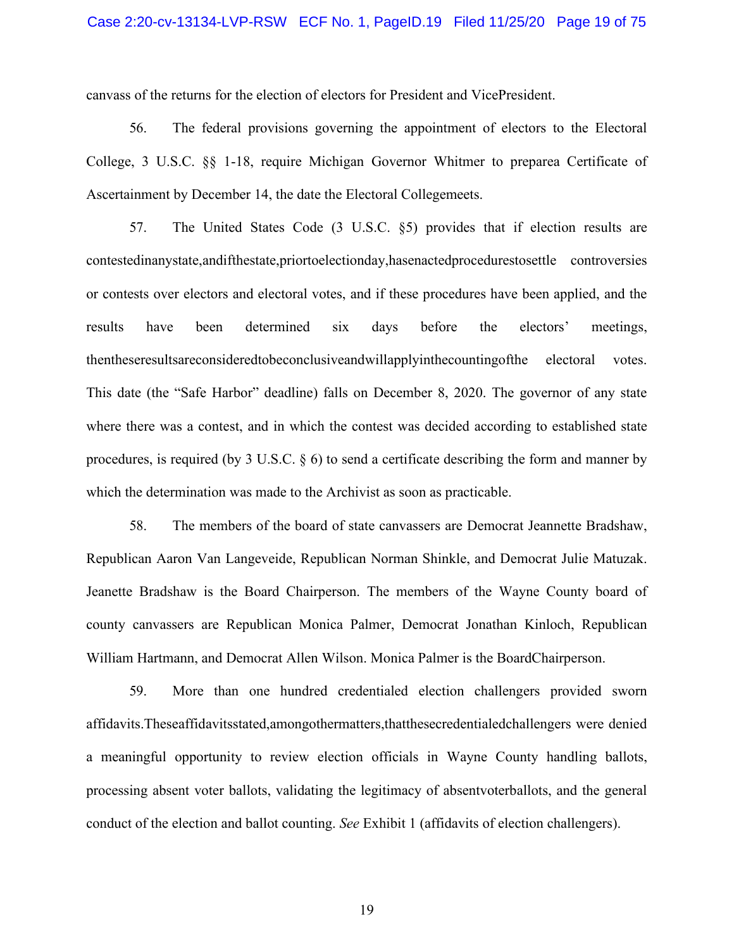canvass of the returns for the election of electors for President and VicePresident.

56. The federal provisions governing the appointment of electors to the Electoral College, 3 U.S.C. §§ 1-18, require Michigan Governor Whitmer to preparea Certificate of Ascertainment by December 14, the date the Electoral Collegemeets.

57. The United States Code (3 U.S.C. §5) provides that if election results are contestedinanystate,andifthestate,priortoelectionday,hasenactedprocedurestosettle controversies or contests over electors and electoral votes, and if these procedures have been applied, and the results have been determined six days before the electors' meetings, thentheseresultsareconsideredtobeconclusiveandwillapplyinthecountingofthe electoral votes. This date (the "Safe Harbor" deadline) falls on December 8, 2020. The governor of any state where there was a contest, and in which the contest was decided according to established state procedures, is required (by 3 U.S.C. § 6) to send a certificate describing the form and manner by which the determination was made to the Archivist as soon as practicable.

58. The members of the board of state canvassers are Democrat Jeannette Bradshaw, Republican Aaron Van Langeveide, Republican Norman Shinkle, and Democrat Julie Matuzak. Jeanette Bradshaw is the Board Chairperson. The members of the Wayne County board of county canvassers are Republican Monica Palmer, Democrat Jonathan Kinloch, Republican William Hartmann, and Democrat Allen Wilson. Monica Palmer is the BoardChairperson.

59. More than one hundred credentialed election challengers provided sworn affidavits.Theseaffidavitsstated,amongothermatters,thatthesecredentialedchallengers were denied a meaningful opportunity to review election officials in Wayne County handling ballots, processing absent voter ballots, validating the legitimacy of absentvoterballots, and the general conduct of the election and ballot counting. *See* Exhibit 1 (affidavits of election challengers).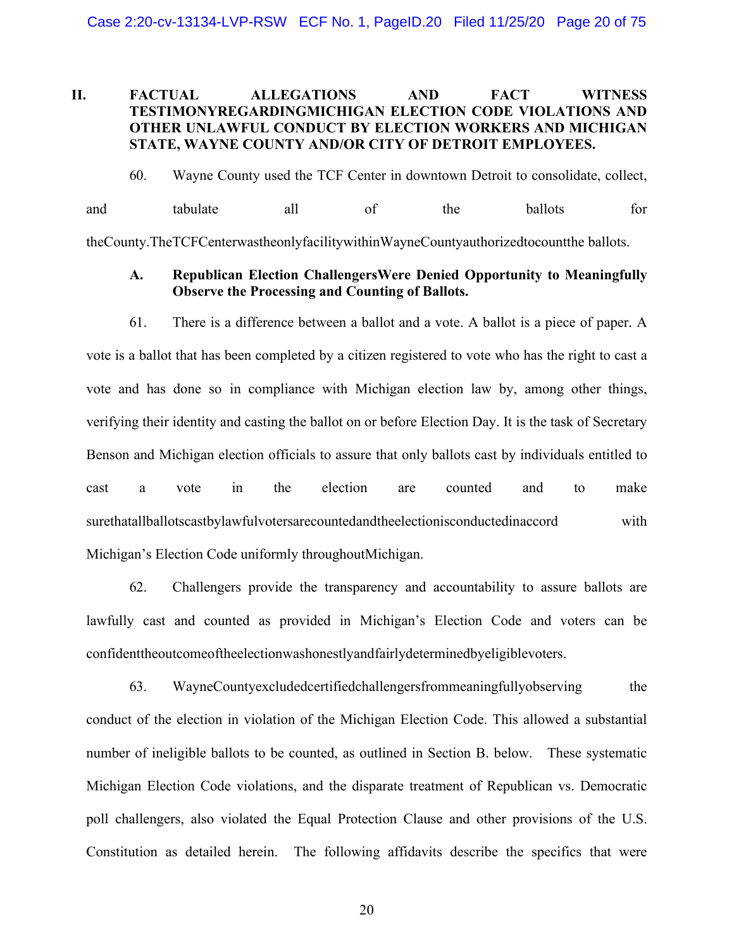# **II. FACTUAL ALLEGATIONS AND FACT WITNESS TESTIMONYREGARDINGMICHIGAN ELECTION CODE VIOLATIONS AND OTHER UNLAWFUL CONDUCT BY ELECTION WORKERS AND MICHIGAN STATE, WAYNE COUNTY AND/OR CITY OF DETROIT EMPLOYEES.**

60. Wayne County used the TCF Center in downtown Detroit to consolidate, collect, and tabulate all of the ballots for theCounty.TheTCFCenterwastheonlyfacilitywithinWayneCountyauthorizedtocountthe ballots.

### **A. Republican Election ChallengersWere Denied Opportunity to Meaningfully Observe the Processing and Counting of Ballots.**

61. There is a difference between a ballot and a vote. A ballot is a piece of paper. A vote is a ballot that has been completed by a citizen registered to vote who has the right to cast a vote and has done so in compliance with Michigan election law by, among other things, verifying their identity and casting the ballot on or before Election Day. It is the task of Secretary Benson and Michigan election officials to assure that only ballots cast by individuals entitled to cast a vote in the election are counted and to make surethatallballotscastbylawfulvotersarecountedandtheelectionisconductedinaccord with Michigan's Election Code uniformly throughoutMichigan.

62. Challengers provide the transparency and accountability to assure ballots are lawfully cast and counted as provided in Michigan's Election Code and voters can be confidenttheoutcomeoftheelectionwashonestlyandfairlydeterminedbyeligiblevoters.

63. WayneCountyexcludedcertifiedchallengersfrommeaningfullyobserving the conduct of the election in violation of the Michigan Election Code. This allowed a substantial number of ineligible ballots to be counted, as outlined in Section B. below. These systematic Michigan Election Code violations, and the disparate treatment of Republican vs. Democratic poll challengers, also violated the Equal Protection Clause and other provisions of the U.S. Constitution as detailed herein. The following affidavits describe the specifics that were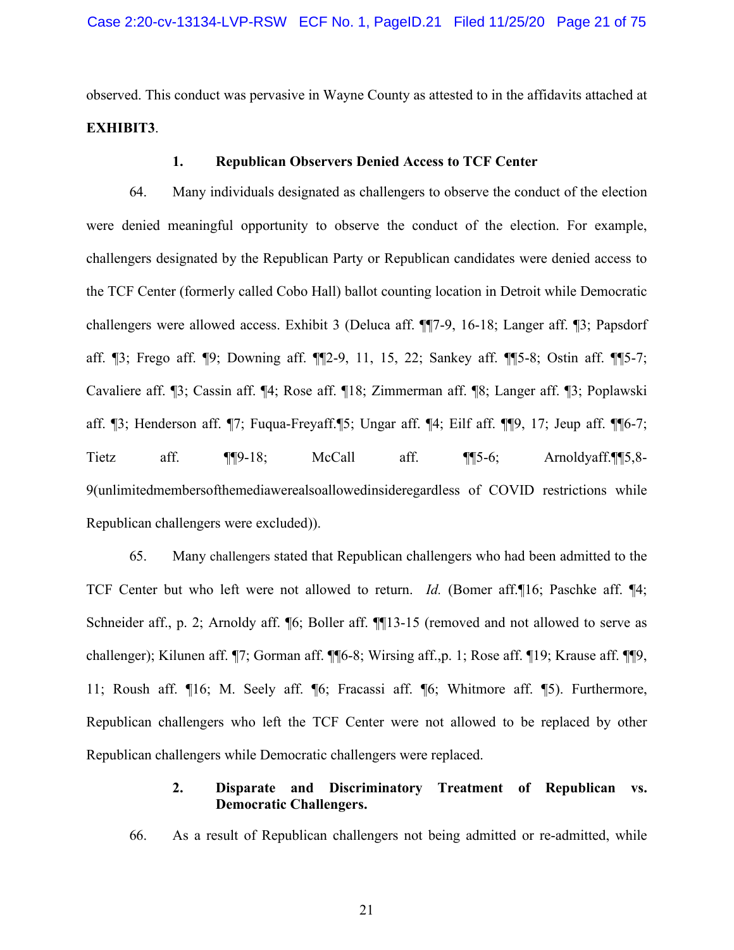observed. This conduct was pervasive in Wayne County as attested to in the affidavits attached at **EXHIBIT3**.

### **1. Republican Observers Denied Access to TCF Center**

64. Many individuals designated as challengers to observe the conduct of the election were denied meaningful opportunity to observe the conduct of the election. For example, challengers designated by the Republican Party or Republican candidates were denied access to the TCF Center (formerly called Cobo Hall) ballot counting location in Detroit while Democratic challengers were allowed access. Exhibit 3 (Deluca aff. ¶¶7-9, 16-18; Langer aff. ¶3; Papsdorf aff. ¶3; Frego aff. ¶9; Downing aff. ¶¶2-9, 11, 15, 22; Sankey aff. ¶¶5-8; Ostin aff. ¶¶5-7; Cavaliere aff. ¶3; Cassin aff. ¶4; Rose aff. ¶18; Zimmerman aff. ¶8; Langer aff. ¶3; Poplawski aff. ¶3; Henderson aff. ¶7; Fuqua-Freyaff.¶5; Ungar aff. ¶4; Eilf aff. ¶¶9, 17; Jeup aff. ¶¶6-7; Tietz aff. ¶¶9-18; McCall aff. ¶¶5-6; Arnoldyaff.¶¶5,8- 9(unlimitedmembersofthemediawerealsoallowedinsideregardless of COVID restrictions while Republican challengers were excluded)).

65. Many challengers stated that Republican challengers who had been admitted to the TCF Center but who left were not allowed to return. *Id.* (Bomer aff.¶16; Paschke aff. ¶4; Schneider aff., p. 2; Arnoldy aff.  $\llbracket 6$ ; Boller aff.  $\llbracket \llbracket 13-15$  (removed and not allowed to serve as challenger); Kilunen aff. ¶7; Gorman aff. ¶¶6-8; Wirsing aff.,p. 1; Rose aff. ¶19; Krause aff. ¶¶9, 11; Roush aff. ¶16; M. Seely aff. ¶6; Fracassi aff. ¶6; Whitmore aff. ¶5). Furthermore, Republican challengers who left the TCF Center were not allowed to be replaced by other Republican challengers while Democratic challengers were replaced.

# **2. Disparate and Discriminatory Treatment of Republican vs. Democratic Challengers.**

66. As a result of Republican challengers not being admitted or re-admitted, while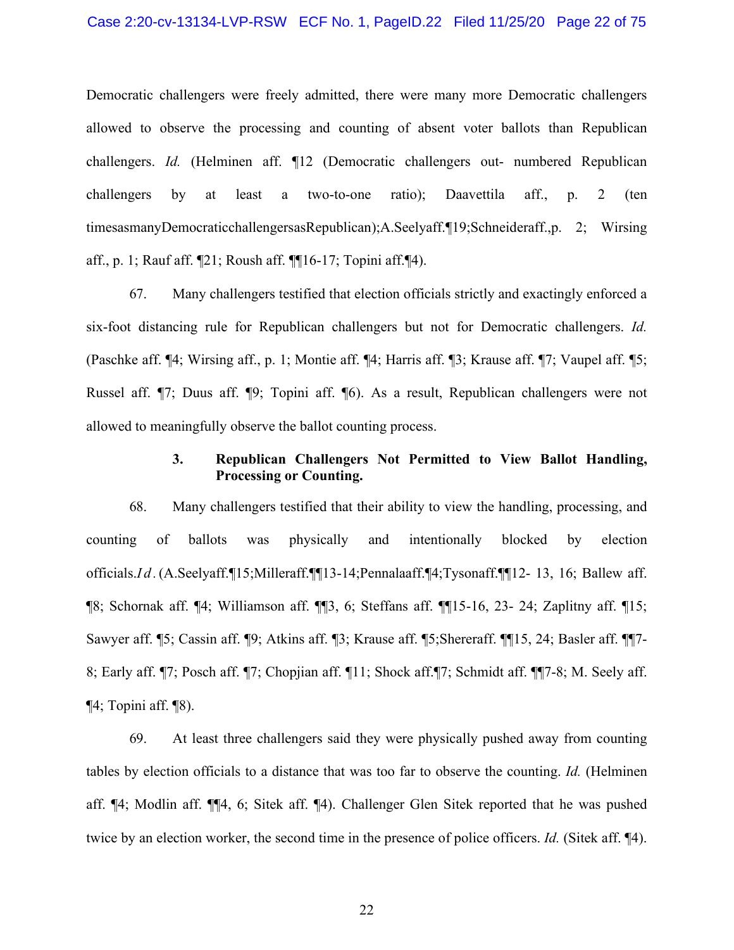Democratic challengers were freely admitted, there were many more Democratic challengers allowed to observe the processing and counting of absent voter ballots than Republican challengers. *Id.* (Helminen aff. ¶12 (Democratic challengers out- numbered Republican challengers by at least a two-to-one ratio); Daavettila aff., p. 2 (ten timesasmanyDemocraticchallengersasRepublican);A.Seelyaff.¶19;Schneideraff.,p. 2; Wirsing aff., p. 1; Rauf aff. ¶21; Roush aff. ¶¶16-17; Topini aff.¶4).

67. Many challengers testified that election officials strictly and exactingly enforced a six-foot distancing rule for Republican challengers but not for Democratic challengers. *Id.* (Paschke aff. ¶4; Wirsing aff., p. 1; Montie aff. ¶4; Harris aff. ¶3; Krause aff. ¶7; Vaupel aff. ¶5; Russel aff. ¶7; Duus aff. ¶9; Topini aff. ¶6). As a result, Republican challengers were not allowed to meaningfully observe the ballot counting process.

## **3. Republican Challengers Not Permitted to View Ballot Handling, Processing or Counting.**

68. Many challengers testified that their ability to view the handling, processing, and counting of ballots was physically and intentionally blocked by election officials.*Id.*(A.Seelyaff.¶15;Milleraff.¶¶13-14;Pennalaaff.¶4;Tysonaff.¶¶12- 13, 16; Ballew aff. ¶8; Schornak aff. ¶4; Williamson aff. ¶¶3, 6; Steffans aff. ¶¶15-16, 23- 24; Zaplitny aff. ¶15; Sawyer aff. ¶5; Cassin aff. ¶9; Atkins aff. ¶3; Krause aff. ¶5;Shereraff. ¶¶15, 24; Basler aff. ¶¶7- 8; Early aff. ¶7; Posch aff. ¶7; Chopjian aff. ¶11; Shock aff.¶7; Schmidt aff. ¶¶7-8; M. Seely aff. ¶4; Topini aff. ¶8).

69. At least three challengers said they were physically pushed away from counting tables by election officials to a distance that was too far to observe the counting. *Id.* (Helminen aff. ¶4; Modlin aff. ¶¶4, 6; Sitek aff. ¶4). Challenger Glen Sitek reported that he was pushed twice by an election worker, the second time in the presence of police officers. *Id.* (Sitek aff. ¶4).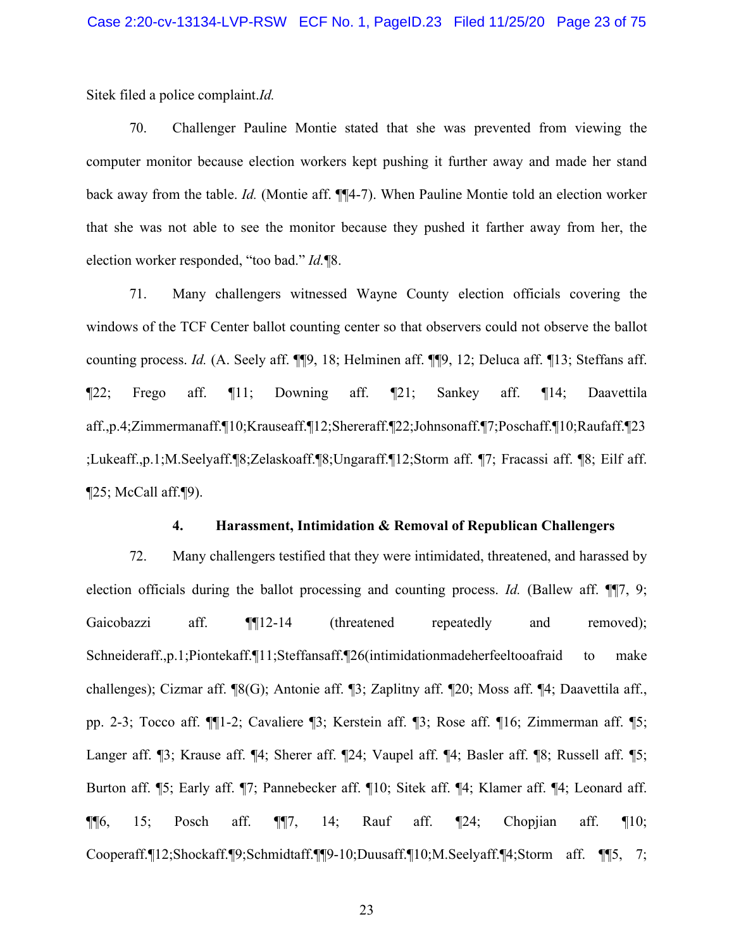Sitek filed a police complaint.*Id.*

70. Challenger Pauline Montie stated that she was prevented from viewing the computer monitor because election workers kept pushing it further away and made her stand back away from the table. *Id.* (Montie aff. ¶¶4-7). When Pauline Montie told an election worker that she was not able to see the monitor because they pushed it farther away from her, the election worker responded, "too bad." *Id.*¶8.

71. Many challengers witnessed Wayne County election officials covering the windows of the TCF Center ballot counting center so that observers could not observe the ballot counting process. *Id.* (A. Seely aff. ¶¶9, 18; Helminen aff. ¶¶9, 12; Deluca aff. ¶13; Steffans aff. ¶22; Frego aff. ¶11; Downing aff. ¶21; Sankey aff. ¶14; Daavettila aff.,p.4;Zimmermanaff.¶10;Krauseaff.¶12;Shereraff.¶22;Johnsonaff.¶7;Poschaff.¶10;Raufaff.¶23 ;Lukeaff.,p.1;M.Seelyaff.¶8;Zelaskoaff.¶8;Ungaraff.¶12;Storm aff. ¶7; Fracassi aff. ¶8; Eilf aff. ¶25; McCall aff.¶9).

### **4. Harassment, Intimidation & Removal of Republican Challengers**

72. Many challengers testified that they were intimidated, threatened, and harassed by election officials during the ballot processing and counting process. *Id.* (Ballew aff. ¶[7, 9; Gaicobazzi aff. **¶**[12-14 (threatened repeatedly and removed); Schneideraff.,p.1;Piontekaff.¶11;Steffansaff.¶26(intimidationmadeherfeeltooafraid to make challenges); Cizmar aff. ¶8(G); Antonie aff. ¶3; Zaplitny aff. ¶20; Moss aff. ¶4; Daavettila aff., pp. 2-3; Tocco aff. ¶¶1-2; Cavaliere ¶3; Kerstein aff. ¶3; Rose aff. ¶16; Zimmerman aff. ¶5; Langer aff. ¶3; Krause aff. ¶4; Sherer aff. ¶24; Vaupel aff. ¶4; Basler aff. ¶8; Russell aff. ¶5; Burton aff. ¶5; Early aff. ¶7; Pannebecker aff. ¶10; Sitek aff. ¶4; Klamer aff. ¶4; Leonard aff.  $\P$ [6, 15; Posch aff.  $\P$ [7, 14; Rauf aff.  $\P$ 24; Chopjian aff.  $\P$ 10; Cooperaff.¶12;Shockaff.¶9;Schmidtaff.¶¶9-10;Duusaff.¶10;M.Seelyaff.¶4;Storm aff. ¶¶5, 7;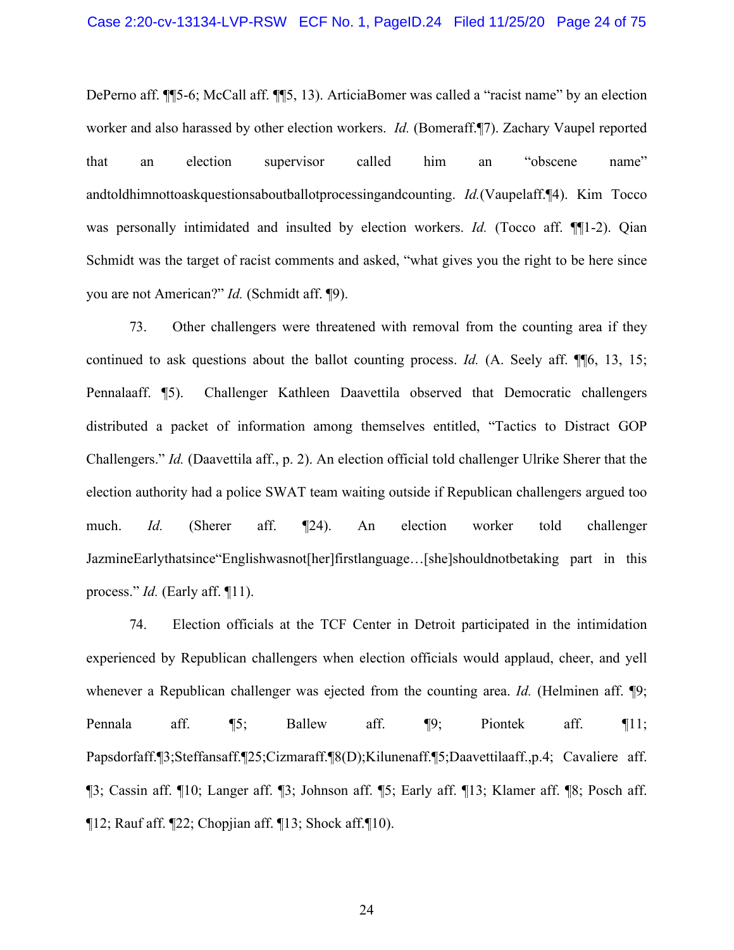DePerno aff. ¶¶5-6; McCall aff. ¶¶5, 13). ArticiaBomer was called a "racist name" by an election worker and also harassed by other election workers. *Id.* (Bomeraff.¶7). Zachary Vaupel reported that an election supervisor called him an "obscene name" andtoldhimnottoaskquestionsaboutballotprocessingandcounting. *Id.*(Vaupelaff.¶4). Kim Tocco was personally intimidated and insulted by election workers. *Id.* (Tocco aff. ¶¶1-2). Qian Schmidt was the target of racist comments and asked, "what gives you the right to be here since you are not American?" *Id.* (Schmidt aff. ¶9).

73. Other challengers were threatened with removal from the counting area if they continued to ask questions about the ballot counting process. *Id.* (A. Seely aff. ¶[6, 13, 15; Pennalaaff. ¶5). Challenger Kathleen Daavettila observed that Democratic challengers distributed a packet of information among themselves entitled, "Tactics to Distract GOP Challengers." *Id.* (Daavettila aff., p. 2). An election official told challenger Ulrike Sherer that the election authority had a police SWAT team waiting outside if Republican challengers argued too much. *Id.* (Sherer aff. ¶24). An election worker told challenger JazmineEarlythatsince"Englishwasnot[her]firstlanguage…[she]shouldnotbetaking part in this process." *Id.* (Early aff. ¶11).

74. Election officials at the TCF Center in Detroit participated in the intimidation experienced by Republican challengers when election officials would applaud, cheer, and yell whenever a Republican challenger was ejected from the counting area. *Id.* (Helminen aff. ¶9; Pennala aff. ¶5; Ballew aff. ¶9; Piontek aff. ¶11; Papsdorfaff.¶3;Steffansaff.¶25;Cizmaraff.¶8(D);Kilunenaff.¶5;Daavettilaaff.,p.4; Cavaliere aff. ¶3; Cassin aff. ¶10; Langer aff. ¶3; Johnson aff. ¶5; Early aff. ¶13; Klamer aff. ¶8; Posch aff.  $\P$ 12; Rauf aff.  $\P$ 22; Chopjian aff.  $\P$ 13; Shock aff. $\P$ 10).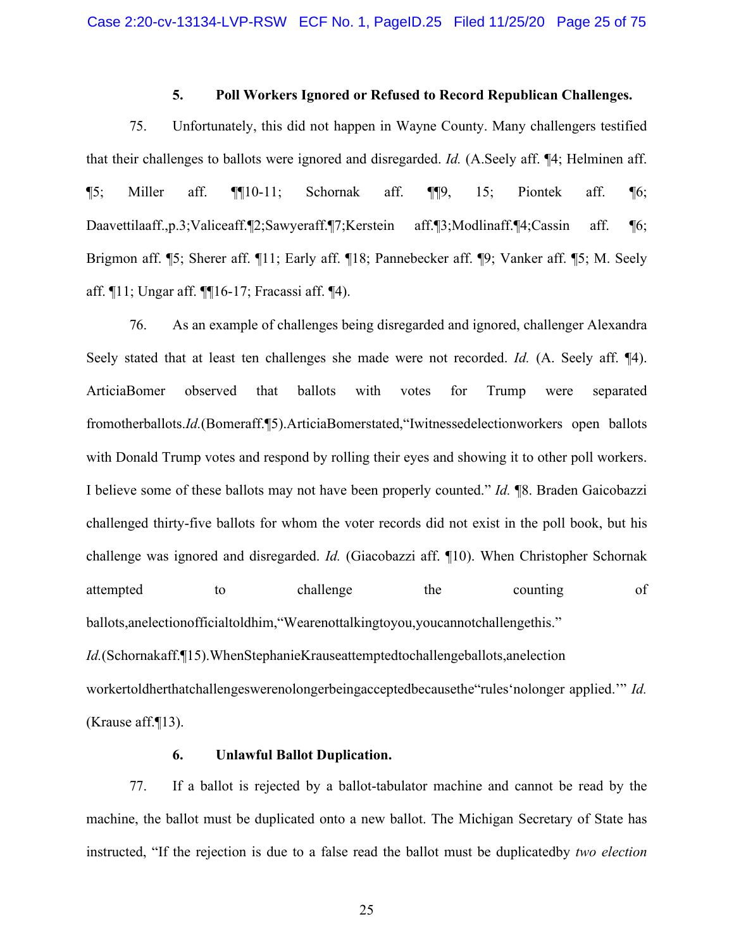## **5. Poll Workers Ignored or Refused to Record Republican Challenges.**

75. Unfortunately, this did not happen in Wayne County. Many challengers testified that their challenges to ballots were ignored and disregarded. *Id.* (A.Seely aff. ¶4; Helminen aff.  $\P$ 5; Miller aff.  $\P$ [10-11; Schornak aff.  $\P$ [9, 15; Piontek aff.  $\P$ 6; Daavettilaaff.,p.3;Valiceaff.¶2;Sawyeraff.¶7;Kerstein aff.¶3;Modlinaff.¶4;Cassin aff. ¶6; Brigmon aff. ¶5; Sherer aff. ¶11; Early aff. ¶18; Pannebecker aff. ¶9; Vanker aff. ¶5; M. Seely aff. ¶11; Ungar aff. ¶¶16-17; Fracassi aff. ¶4).

76. As an example of challenges being disregarded and ignored, challenger Alexandra Seely stated that at least ten challenges she made were not recorded. *Id.* (A. Seely aff. ¶4). ArticiaBomer observed that ballots with votes for Trump were separated fromotherballots.*Id.*(Bomeraff.¶5).ArticiaBomerstated,"Iwitnessedelectionworkers open ballots with Donald Trump votes and respond by rolling their eyes and showing it to other poll workers. I believe some of these ballots may not have been properly counted." *Id.* ¶8. Braden Gaicobazzi challenged thirty-five ballots for whom the voter records did not exist in the poll book, but his challenge was ignored and disregarded. *Id.* (Giacobazzi aff. ¶10). When Christopher Schornak attempted to challenge the counting of ballots,anelectionofficialtoldhim,"Wearenottalkingtoyou,youcannotchallengethis." *Id.*(Schornakaff.¶15).WhenStephanieKrauseattemptedtochallengeballots,anelection workertoldherthatchallengeswerenolongerbeingacceptedbecausethe"rules'nolonger applied.'" *Id.*  (Krause aff.¶13).

# **6. Unlawful Ballot Duplication.**

77. If a ballot is rejected by a ballot-tabulator machine and cannot be read by the machine, the ballot must be duplicated onto a new ballot. The Michigan Secretary of State has instructed, "If the rejection is due to a false read the ballot must be duplicatedby *two election*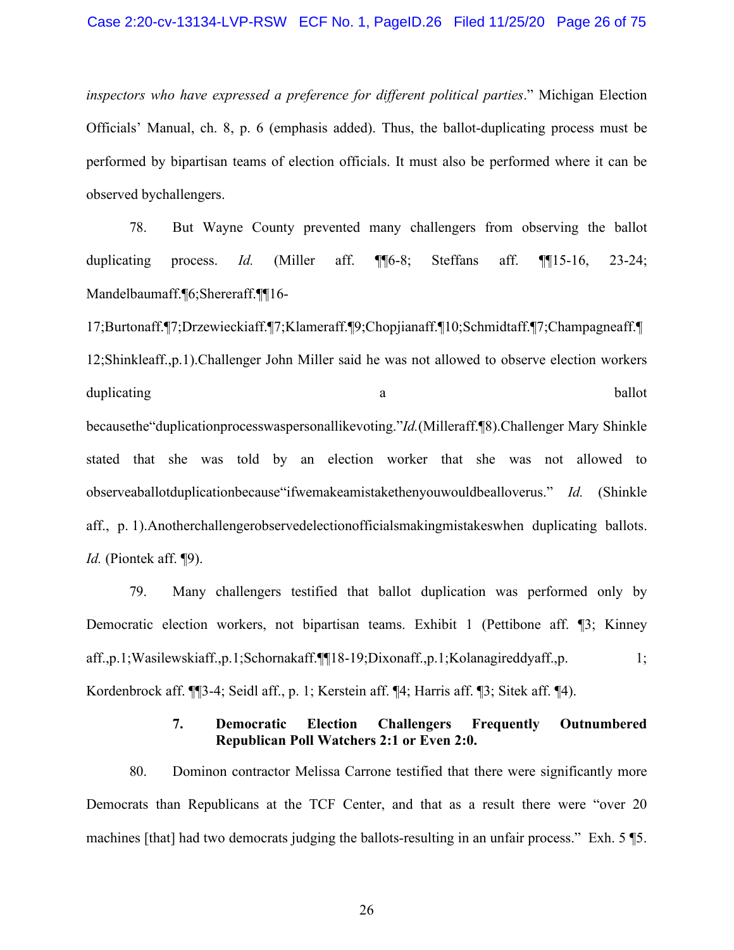*inspectors who have expressed a preference for different political parties*." Michigan Election Officials' Manual, ch. 8, p. 6 (emphasis added). Thus, the ballot-duplicating process must be performed by bipartisan teams of election officials. It must also be performed where it can be observed bychallengers.

78. But Wayne County prevented many challengers from observing the ballot duplicating process. *Id.* (Miller aff. ¶¶6-8; Steffans aff. ¶¶15-16, 23-24; Mandelbaumaff.¶6;Shereraff.¶¶16-

17;Burtonaff.¶7;Drzewieckiaff.¶7;Klameraff.¶9;Chopjianaff.¶10;Schmidtaff.¶7;Champagneaff.¶ 12;Shinkleaff.,p.1).Challenger John Miller said he was not allowed to observe election workers duplicating a ballot

becausethe"duplicationprocesswaspersonallikevoting."*Id.*(Milleraff.¶8).Challenger Mary Shinkle stated that she was told by an election worker that she was not allowed to observeaballotduplicationbecause"ifwemakeamistakethenyouwouldbealloverus." *Id.* (Shinkle aff., p. 1).Anotherchallengerobservedelectionofficialsmakingmistakeswhen duplicating ballots. *Id.* (Piontek aff. ¶9).

79. Many challengers testified that ballot duplication was performed only by Democratic election workers, not bipartisan teams. Exhibit 1 (Pettibone aff. ¶3; Kinney aff.,p.1;Wasilewskiaff.,p.1;Schornakaff.¶¶18-19;Dixonaff.,p.1;Kolanagireddyaff.,p. 1; Kordenbrock aff. ¶¶3-4; Seidl aff., p. 1; Kerstein aff. ¶4; Harris aff. ¶3; Sitek aff. ¶4).

## **7. Democratic Election Challengers Frequently Outnumbered Republican Poll Watchers 2:1 or Even 2:0.**

80. Dominon contractor Melissa Carrone testified that there were significantly more Democrats than Republicans at the TCF Center, and that as a result there were "over 20 machines [that] had two democrats judging the ballots-resulting in an unfair process." Exh. 5 ¶5.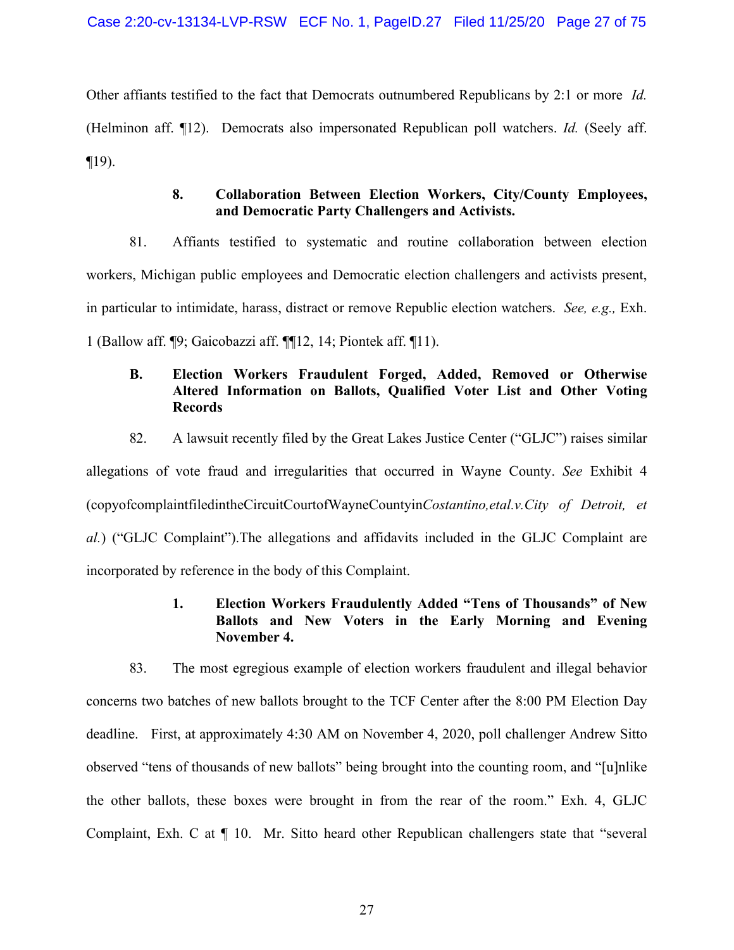Other affiants testified to the fact that Democrats outnumbered Republicans by 2:1 or more *Id.* (Helminon aff. ¶12). Democrats also impersonated Republican poll watchers. *Id.* (Seely aff.  $\P$ 19).

# **8. Collaboration Between Election Workers, City/County Employees, and Democratic Party Challengers and Activists.**

81. Affiants testified to systematic and routine collaboration between election workers, Michigan public employees and Democratic election challengers and activists present, in particular to intimidate, harass, distract or remove Republic election watchers. *See, e.g.,* Exh. 1 (Ballow aff. ¶9; Gaicobazzi aff. ¶¶12, 14; Piontek aff. ¶11).

# **B. Election Workers Fraudulent Forged, Added, Removed or Otherwise Altered Information on Ballots, Qualified Voter List and Other Voting Records**

82. A lawsuit recently filed by the Great Lakes Justice Center ("GLJC") raises similar allegations of vote fraud and irregularities that occurred in Wayne County. *See* Exhibit 4 (copyofcomplaintfiledintheCircuitCourtofWayneCountyin*Costantino,etal.v.City of Detroit, et al.*) ("GLJC Complaint").The allegations and affidavits included in the GLJC Complaint are incorporated by reference in the body of this Complaint.

# **1. Election Workers Fraudulently Added "Tens of Thousands" of New Ballots and New Voters in the Early Morning and Evening November 4.**

<span id="page-26-0"></span>83. The most egregious example of election workers fraudulent and illegal behavior concerns two batches of new ballots brought to the TCF Center after the 8:00 PM Election Day deadline. First, at approximately 4:30 AM on November 4, 2020, poll challenger Andrew Sitto observed "tens of thousands of new ballots" being brought into the counting room, and "[u]nlike the other ballots, these boxes were brought in from the rear of the room." Exh. 4, GLJC Complaint, Exh. C at ¶ 10. Mr. Sitto heard other Republican challengers state that "several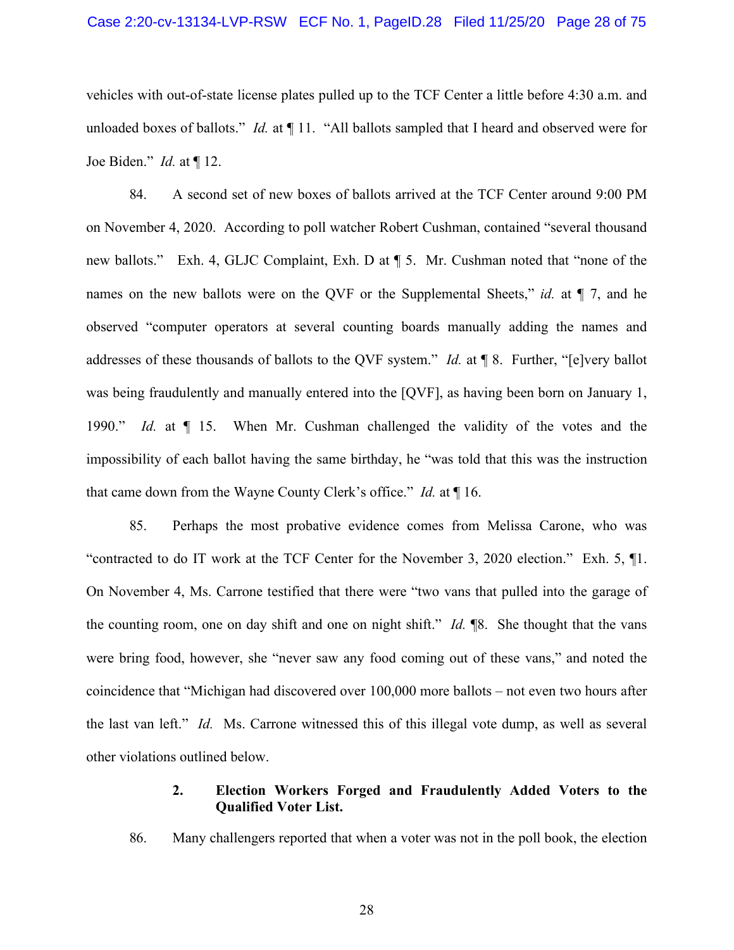vehicles with out-of-state license plates pulled up to the TCF Center a little before 4:30 a.m. and unloaded boxes of ballots." *Id.* at ¶ 11. "All ballots sampled that I heard and observed were for Joe Biden." *Id.* at ¶ 12.

84. A second set of new boxes of ballots arrived at the TCF Center around 9:00 PM on November 4, 2020. According to poll watcher Robert Cushman, contained "several thousand new ballots." Exh. 4, GLJC Complaint, Exh. D at ¶ 5. Mr. Cushman noted that "none of the names on the new ballots were on the QVF or the Supplemental Sheets," *id.* at  $\P$  7, and he observed "computer operators at several counting boards manually adding the names and addresses of these thousands of ballots to the QVF system." *Id.* at ¶ 8. Further, "[e]very ballot was being fraudulently and manually entered into the [QVF], as having been born on January 1, 1990." *Id.* at ¶ 15. When Mr. Cushman challenged the validity of the votes and the impossibility of each ballot having the same birthday, he "was told that this was the instruction that came down from the Wayne County Clerk's office." *Id.* at ¶ 16.

<span id="page-27-0"></span>85. Perhaps the most probative evidence comes from Melissa Carone, who was "contracted to do IT work at the TCF Center for the November 3, 2020 election." Exh. 5, ¶1. On November 4, Ms. Carrone testified that there were "two vans that pulled into the garage of the counting room, one on day shift and one on night shift." *Id.* ¶8. She thought that the vans were bring food, however, she "never saw any food coming out of these vans," and noted the coincidence that "Michigan had discovered over 100,000 more ballots – not even two hours after the last van left." *Id.* Ms. Carrone witnessed this of this illegal vote dump, as well as several other violations outlined below.

# **2. Election Workers Forged and Fraudulently Added Voters to the Qualified Voter List.**

86. Many challengers reported that when a voter was not in the poll book, the election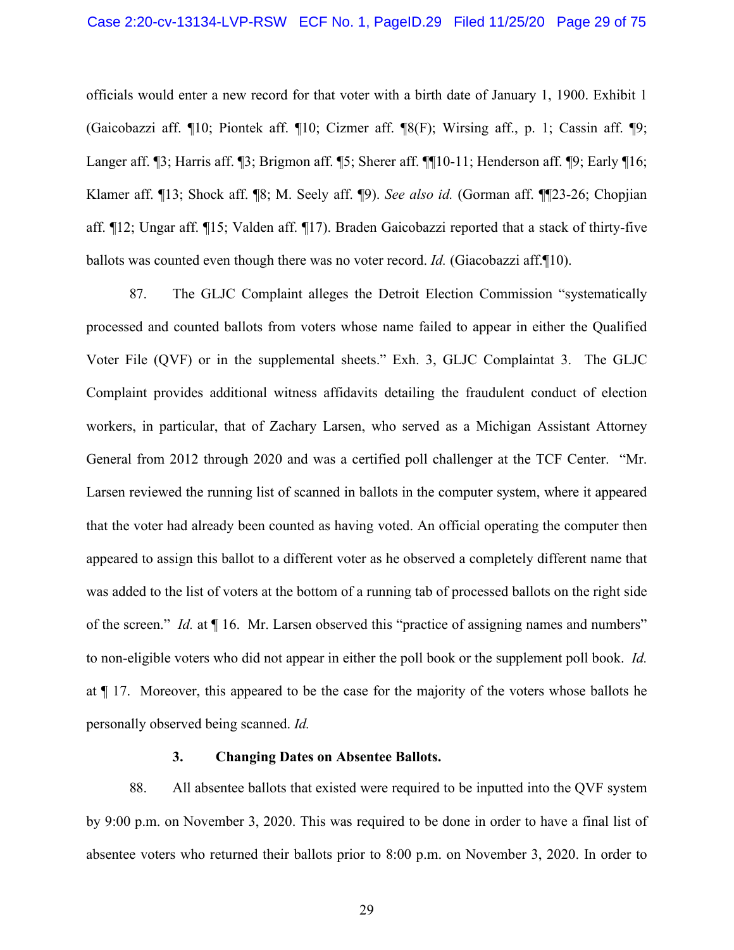officials would enter a new record for that voter with a birth date of January 1, 1900. Exhibit 1 (Gaicobazzi aff. ¶10; Piontek aff. ¶10; Cizmer aff. ¶8(F); Wirsing aff., p. 1; Cassin aff. ¶9; Langer aff. ¶3; Harris aff. ¶3; Brigmon aff. ¶5; Sherer aff. ¶10-11; Henderson aff. ¶9; Early ¶16; Klamer aff. ¶13; Shock aff. ¶8; M. Seely aff. ¶9). *See also id.* (Gorman aff. ¶¶23-26; Chopjian aff. ¶12; Ungar aff. ¶15; Valden aff. ¶17). Braden Gaicobazzi reported that a stack of thirty-five ballots was counted even though there was no voter record. *Id.* (Giacobazzi aff.¶10).

87. The GLJC Complaint alleges the Detroit Election Commission "systematically processed and counted ballots from voters whose name failed to appear in either the Qualified Voter File (QVF) or in the supplemental sheets." Exh. 3, GLJC Complaintat 3. The GLJC Complaint provides additional witness affidavits detailing the fraudulent conduct of election workers, in particular, that of Zachary Larsen, who served as a Michigan Assistant Attorney General from 2012 through 2020 and was a certified poll challenger at the TCF Center. "Mr. Larsen reviewed the running list of scanned in ballots in the computer system, where it appeared that the voter had already been counted as having voted. An official operating the computer then appeared to assign this ballot to a different voter as he observed a completely different name that was added to the list of voters at the bottom of a running tab of processed ballots on the right side of the screen." *Id.* at ¶ 16. Mr. Larsen observed this "practice of assigning names and numbers" to non-eligible voters who did not appear in either the poll book or the supplement poll book. *Id.*  at ¶ 17. Moreover, this appeared to be the case for the majority of the voters whose ballots he personally observed being scanned. *Id.*

#### **3. Changing Dates on Absentee Ballots.**

88. All absentee ballots that existed were required to be inputted into the QVF system by 9:00 p.m. on November 3, 2020. This was required to be done in order to have a final list of absentee voters who returned their ballots prior to 8:00 p.m. on November 3, 2020. In order to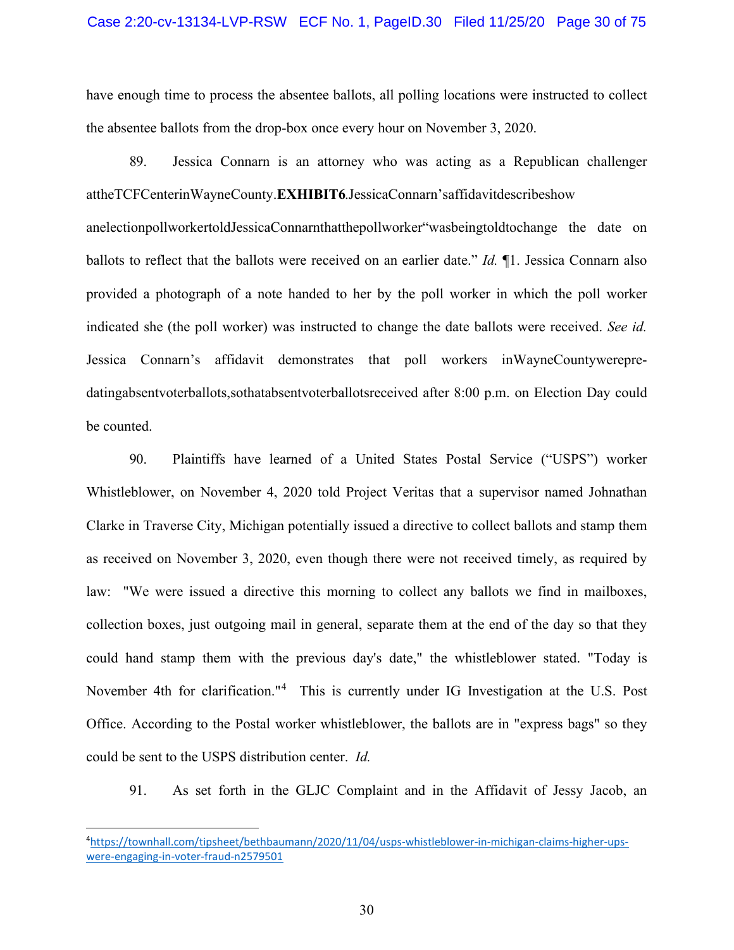have enough time to process the absentee ballots, all polling locations were instructed to collect the absentee ballots from the drop-box once every hour on November 3, 2020.

89. Jessica Connarn is an attorney who was acting as a Republican challenger attheTCFCenterinWayneCounty.**EXHIBIT6**.JessicaConnarn'saffidavitdescribeshow anelectionpollworkertoldJessicaConnarnthatthepollworker"wasbeingtoldtochange the date on ballots to reflect that the ballots were received on an earlier date." *Id.* ¶1. Jessica Connarn also provided a photograph of a note handed to her by the poll worker in which the poll worker indicated she (the poll worker) was instructed to change the date ballots were received. *See id.*  Jessica Connarn's affidavit demonstrates that poll workers inWayneCountywerepredatingabsentvoterballots,sothatabsentvoterballotsreceived after 8:00 p.m. on Election Day could be counted.

<span id="page-29-1"></span>90. Plaintiffs have learned of a United States Postal Service ("USPS") worker Whistleblower, on November 4, 2020 told Project Veritas that a supervisor named Johnathan Clarke in Traverse City, Michigan potentially issued a directive to collect ballots and stamp them as received on November 3, 2020, even though there were not received timely, as required by law: "We were issued a directive this morning to collect any ballots we find in mailboxes, collection boxes, just outgoing mail in general, separate them at the end of the day so that they could hand stamp them with the previous day's date," the whistleblower stated. "Today is November [4](#page-29-0)th for clarification."<sup>4</sup> This is currently under IG Investigation at the U.S. Post Office. According to the Postal worker whistleblower, the ballots are in "express bags" so they could be sent to the USPS distribution center. *Id.*

91. As set forth in the GLJC Complaint and in the Affidavit of Jessy Jacob, an

<span id="page-29-0"></span><sup>4</sup> [https://townhall.com/tipsheet/bethbaumann/2020/11/04/usps-whistleblower-in-michigan-claims-higher-ups](https://townhall.com/tipsheet/bethbaumann/2020/11/04/usps-whistleblower-in-michigan-claims-higher-ups-were-engaging-in-voter-fraud-n2579501)[were-engaging-in-voter-fraud-n2579501](https://townhall.com/tipsheet/bethbaumann/2020/11/04/usps-whistleblower-in-michigan-claims-higher-ups-were-engaging-in-voter-fraud-n2579501)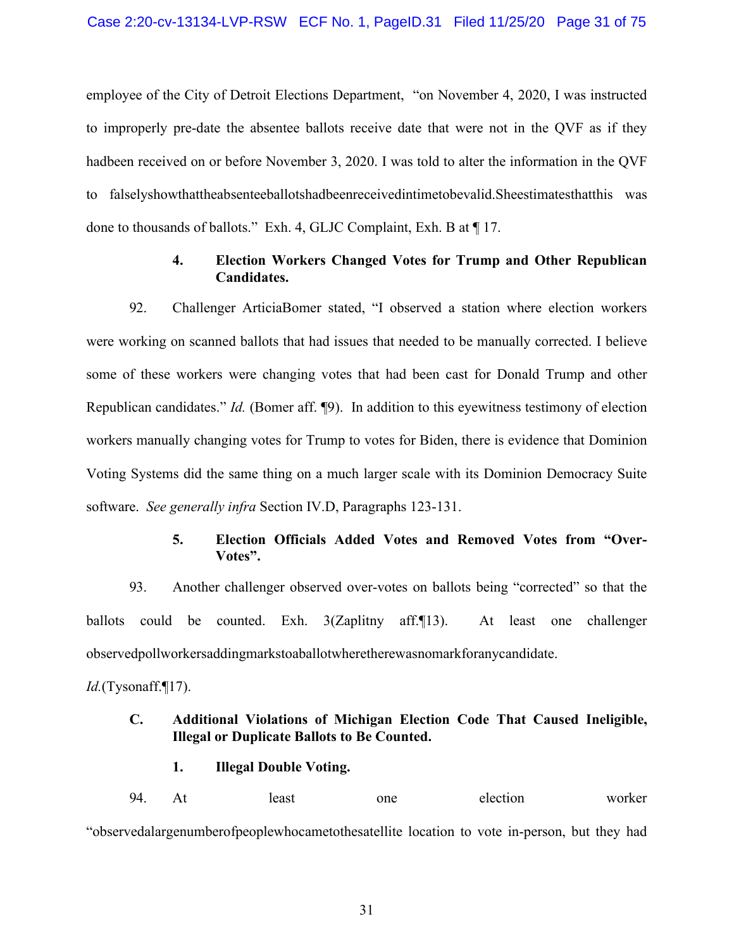employee of the City of Detroit Elections Department, "on November 4, 2020, I was instructed to improperly pre-date the absentee ballots receive date that were not in the QVF as if they hadbeen received on or before November 3, 2020. I was told to alter the information in the QVF to falselyshowthattheabsenteeballotshadbeenreceivedintimetobevalid.Sheestimatesthatthis was done to thousands of ballots." Exh. 4, GLJC Complaint, Exh. B at ¶ 17.

## **4. Election Workers Changed Votes for Trump and Other Republican Candidates.**

92. Challenger ArticiaBomer stated, "I observed a station where election workers were working on scanned ballots that had issues that needed to be manually corrected. I believe some of these workers were changing votes that had been cast for Donald Trump and other Republican candidates." *Id.* (Bomer aff. ¶9). In addition to this eyewitness testimony of election workers manually changing votes for Trump to votes for Biden, there is evidence that Dominion Voting Systems did the same thing on a much larger scale with its Dominion Democracy Suite software. *See generally infra* Section IV[.D,](#page-42-0) Paragraphs [123-](#page-42-1)[131.](#page-46-0)

# **5. Election Officials Added Votes and Removed Votes from "Over-Votes".**

93. Another challenger observed over-votes on ballots being "corrected" so that the ballots could be counted. Exh. 3(Zaplitny aff.¶13). At least one challenger observedpollworkersaddingmarkstoaballotwheretherewasnomarkforanycandidate.

*Id.*(Tysonaff.¶17).

# **C. Additional Violations of Michigan Election Code That Caused Ineligible, Illegal or Duplicate Ballots to Be Counted.**

## **1. Illegal Double Voting.**

94. At least one election worker

"observedalargenumberofpeoplewhocametothesatellite location to vote in-person, but they had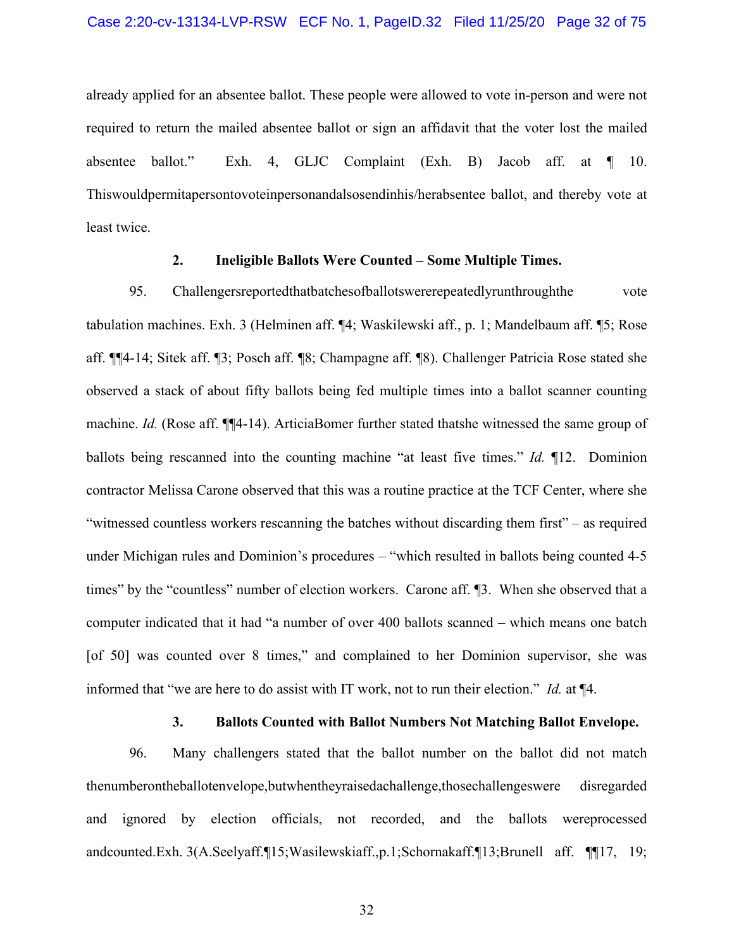already applied for an absentee ballot. These people were allowed to vote in-person and were not required to return the mailed absentee ballot or sign an affidavit that the voter lost the mailed absentee ballot." Exh. 4, GLJC Complaint (Exh. B) Jacob aff. at ¶ 10. Thiswouldpermitapersontovoteinpersonandalsosendinhis/herabsentee ballot, and thereby vote at least twice.

### **2. Ineligible Ballots Were Counted – Some Multiple Times.**

95. Challengersreportedthatbatchesofballotswererepeatedlyrunthroughthe vote tabulation machines. Exh. 3 (Helminen aff. ¶4; Waskilewski aff., p. 1; Mandelbaum aff. ¶5; Rose aff. ¶¶4-14; Sitek aff. ¶3; Posch aff. ¶8; Champagne aff. ¶8). Challenger Patricia Rose stated she observed a stack of about fifty ballots being fed multiple times into a ballot scanner counting machine. *Id.* (Rose aff. ¶¶4-14). ArticiaBomer further stated thatshe witnessed the same group of ballots being rescanned into the counting machine "at least five times." *Id.* ¶12. Dominion contractor Melissa Carone observed that this was a routine practice at the TCF Center, where she "witnessed countless workers rescanning the batches without discarding them first" – as required under Michigan rules and Dominion's procedures – "which resulted in ballots being counted 4-5 times" by the "countless" number of election workers. Carone aff. ¶3. When she observed that a computer indicated that it had "a number of over 400 ballots scanned – which means one batch [of 50] was counted over 8 times," and complained to her Dominion supervisor, she was informed that "we are here to do assist with IT work, not to run their election." *Id.* at ¶4.

## **3. Ballots Counted with Ballot Numbers Not Matching Ballot Envelope.**

96. Many challengers stated that the ballot number on the ballot did not match thenumberontheballotenvelope,butwhentheyraisedachallenge,thosechallengeswere disregarded and ignored by election officials, not recorded, and the ballots wereprocessed andcounted.Exh. 3(A.Seelyaff.¶15;Wasilewskiaff.,p.1;Schornakaff.¶13;Brunell aff. ¶¶17, 19;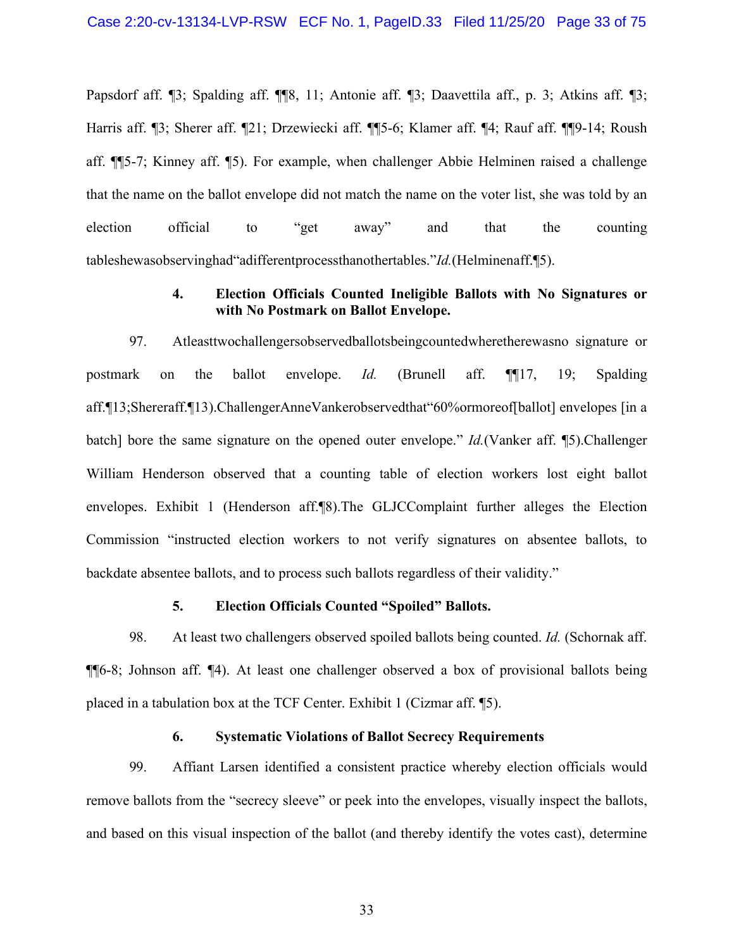Papsdorf aff. ¶3; Spalding aff. ¶¶8, 11; Antonie aff. ¶3; Daavettila aff., p. 3; Atkins aff. ¶3; Harris aff. ¶3; Sherer aff. ¶21; Drzewiecki aff. ¶¶5-6; Klamer aff. ¶4; Rauf aff. ¶¶9-14; Roush aff. ¶¶5-7; Kinney aff. ¶5). For example, when challenger Abbie Helminen raised a challenge that the name on the ballot envelope did not match the name on the voter list, she was told by an election official to "get away" and that the counting tableshewasobservinghad"adifferentprocessthanothertables."*Id.*(Helminenaff.¶5).

## **4. Election Officials Counted Ineligible Ballots with No Signatures or with No Postmark on Ballot Envelope.**

97. Atleasttwochallengersobservedballotsbeingcountedwheretherewasno signature or postmark on the ballot envelope. *Id.* (Brunell aff. ¶¶17, 19; Spalding aff.¶13;Shereraff.¶13).ChallengerAnneVankerobservedthat"60%ormoreof[ballot] envelopes [in a batch] bore the same signature on the opened outer envelope." *Id.*(Vanker aff. ¶5).Challenger William Henderson observed that a counting table of election workers lost eight ballot envelopes. Exhibit 1 (Henderson aff.¶8).The GLJCComplaint further alleges the Election Commission "instructed election workers to not verify signatures on absentee ballots, to backdate absentee ballots, and to process such ballots regardless of their validity."

### **5. Election Officials Counted "Spoiled" Ballots.**

98. At least two challengers observed spoiled ballots being counted. *Id.* (Schornak aff. ¶¶6-8; Johnson aff. ¶4). At least one challenger observed a box of provisional ballots being placed in a tabulation box at the TCF Center. Exhibit 1 (Cizmar aff. ¶5).

### **6. Systematic Violations of Ballot Secrecy Requirements**

99. Affiant Larsen identified a consistent practice whereby election officials would remove ballots from the "secrecy sleeve" or peek into the envelopes, visually inspect the ballots, and based on this visual inspection of the ballot (and thereby identify the votes cast), determine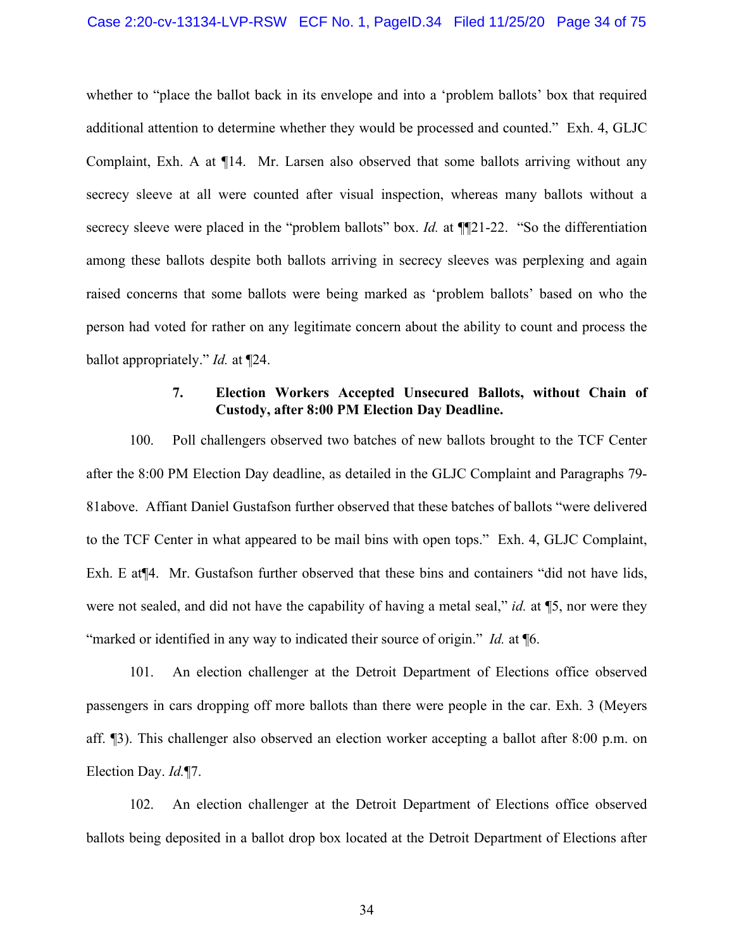whether to "place the ballot back in its envelope and into a 'problem ballots' box that required additional attention to determine whether they would be processed and counted." Exh. 4, GLJC Complaint, Exh. A at ¶14. Mr. Larsen also observed that some ballots arriving without any secrecy sleeve at all were counted after visual inspection, whereas many ballots without a secrecy sleeve were placed in the "problem ballots" box. *Id.* at ¶[21-22. "So the differentiation among these ballots despite both ballots arriving in secrecy sleeves was perplexing and again raised concerns that some ballots were being marked as 'problem ballots' based on who the person had voted for rather on any legitimate concern about the ability to count and process the ballot appropriately." *Id.* at ¶24.

## **7. Election Workers Accepted Unsecured Ballots, without Chain of Custody, after 8:00 PM Election Day Deadline.**

100. Poll challengers observed two batches of new ballots brought to the TCF Center after the 8:00 PM Election Day deadline, as detailed in the GLJC Complaint and Paragraphs [79-](#page-26-0) [81a](#page-27-0)bove. Affiant Daniel Gustafson further observed that these batches of ballots "were delivered to the TCF Center in what appeared to be mail bins with open tops." Exh. 4, GLJC Complaint, Exh. E at¶4. Mr. Gustafson further observed that these bins and containers "did not have lids, were not sealed, and did not have the capability of having a metal seal," *id.* at ¶5, nor were they "marked or identified in any way to indicated their source of origin." *Id.* at ¶6.

101. An election challenger at the Detroit Department of Elections office observed passengers in cars dropping off more ballots than there were people in the car. Exh. 3 (Meyers aff. ¶3). This challenger also observed an election worker accepting a ballot after 8:00 p.m. on Election Day. *Id.*¶7.

102. An election challenger at the Detroit Department of Elections office observed ballots being deposited in a ballot drop box located at the Detroit Department of Elections after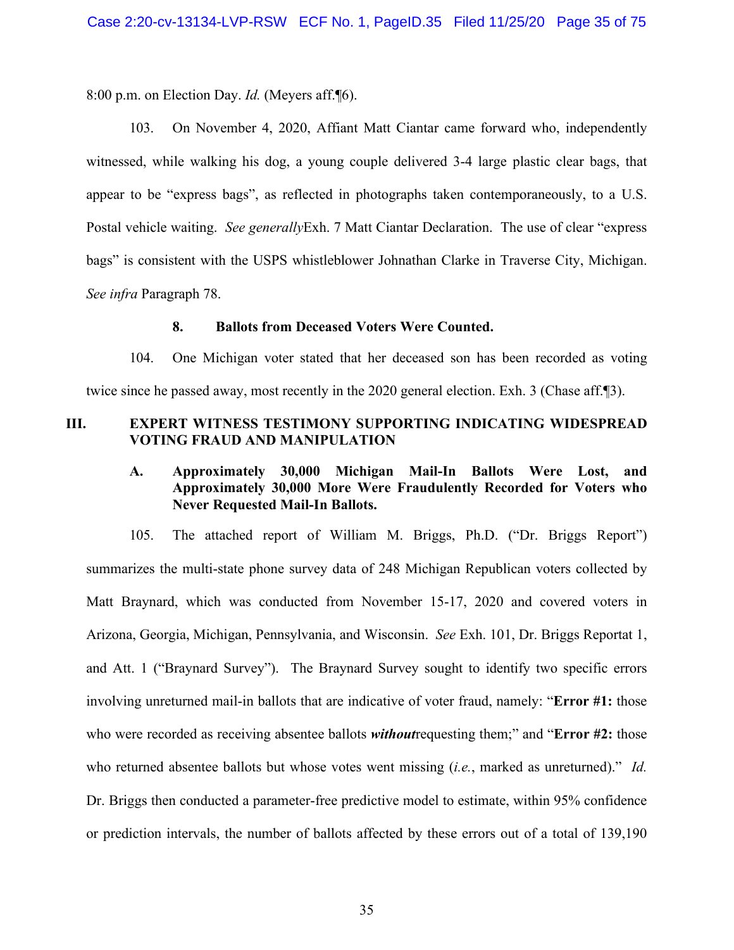8:00 p.m. on Election Day. *Id.* (Meyers aff.¶6).

103. On November 4, 2020, Affiant Matt Ciantar came forward who, independently witnessed, while walking his dog, a young couple delivered 3-4 large plastic clear bags, that appear to be "express bags", as reflected in photographs taken contemporaneously, to a U.S. Postal vehicle waiting. *See generally*Exh. 7 Matt Ciantar Declaration. The use of clear "express bags" is consistent with the USPS whistleblower Johnathan Clarke in Traverse City, Michigan. *See infra* Paragraph [78.](#page-29-1)

#### **8. Ballots from Deceased Voters Were Counted.**

104. One Michigan voter stated that her deceased son has been recorded as voting twice since he passed away, most recently in the 2020 general election. Exh. 3 (Chase aff.¶3).

# **III. EXPERT WITNESS TESTIMONY SUPPORTING INDICATING WIDESPREAD VOTING FRAUD AND MANIPULATION**

# **A. Approximately 30,000 Michigan Mail-In Ballots Were Lost, and Approximately 30,000 More Were Fraudulently Recorded for Voters who Never Requested Mail-In Ballots.**

105. The attached report of William M. Briggs, Ph.D. ("Dr. Briggs Report") summarizes the multi-state phone survey data of 248 Michigan Republican voters collected by Matt Braynard, which was conducted from November 15-17, 2020 and covered voters in Arizona, Georgia, Michigan, Pennsylvania, and Wisconsin. *See* Exh. 101, Dr. Briggs Reportat 1, and Att. 1 ("Braynard Survey"). The Braynard Survey sought to identify two specific errors involving unreturned mail-in ballots that are indicative of voter fraud, namely: "**Error #1:** those who were recorded as receiving absentee ballots *without*requesting them;" and "**Error #2:** those who returned absentee ballots but whose votes went missing (*i.e.*, marked as unreturned)." *Id.*  Dr. Briggs then conducted a parameter-free predictive model to estimate, within 95% confidence or prediction intervals, the number of ballots affected by these errors out of a total of 139,190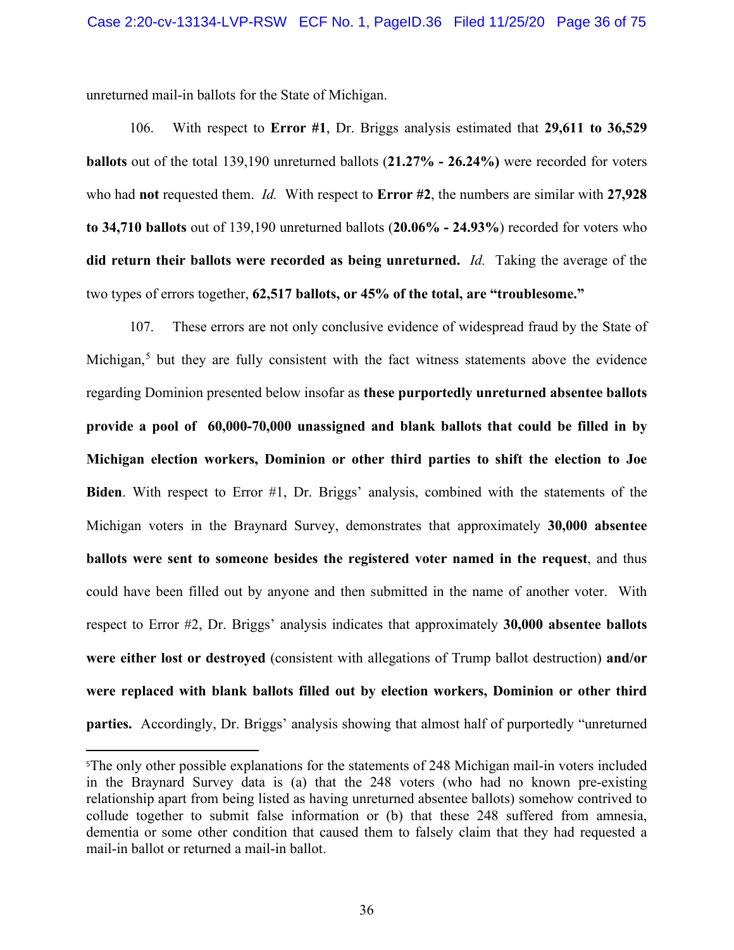unreturned mail-in ballots for the State of Michigan.

106. With respect to **Error #1**, Dr. Briggs analysis estimated that **29,611 to 36,529 ballots** out of the total 139,190 unreturned ballots (**21.27% - 26.24%)** were recorded for voters who had **not** requested them. *Id.* With respect to **Error #2**, the numbers are similar with **27,928 to 34,710 ballots** out of 139,190 unreturned ballots (**20.06% - 24.93%**) recorded for voters who **did return their ballots were recorded as being unreturned.** *Id.* Taking the average of the two types of errors together, **62,517 ballots, or 45% of the total, are "troublesome."**

107. These errors are not only conclusive evidence of widespread fraud by the State of Michigan,<sup>[5](#page-35-0)</sup> but they are fully consistent with the fact witness statements above the evidence regarding Dominion presented below insofar as **these purportedly unreturned absentee ballots provide a pool of 60,000-70,000 unassigned and blank ballots that could be filled in by Michigan election workers, Dominion or other third parties to shift the election to Joe Biden**. With respect to Error #1, Dr. Briggs' analysis, combined with the statements of the Michigan voters in the Braynard Survey, demonstrates that approximately **30,000 absentee ballots were sent to someone besides the registered voter named in the request**, and thus could have been filled out by anyone and then submitted in the name of another voter. With respect to Error #2, Dr. Briggs' analysis indicates that approximately **30,000 absentee ballots were either lost or destroyed** (consistent with allegations of Trump ballot destruction) **and/or were replaced with blank ballots filled out by election workers, Dominion or other third parties.** Accordingly, Dr. Briggs' analysis showing that almost half of purportedly "unreturned

<span id="page-35-0"></span><sup>5</sup> The only other possible explanations for the statements of 248 Michigan mail-in voters included in the Braynard Survey data is (a) that the 248 voters (who had no known pre-existing relationship apart from being listed as having unreturned absentee ballots) somehow contrived to collude together to submit false information or (b) that these 248 suffered from amnesia, dementia or some other condition that caused them to falsely claim that they had requested a mail-in ballot or returned a mail-in ballot.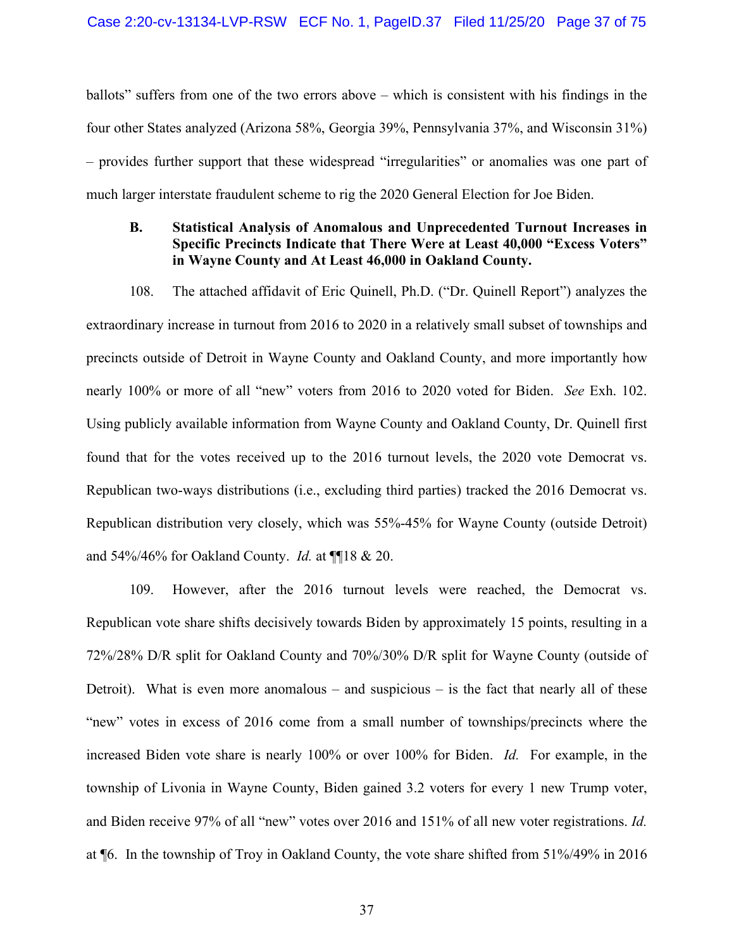ballots" suffers from one of the two errors above – which is consistent with his findings in the four other States analyzed (Arizona 58%, Georgia 39%, Pennsylvania 37%, and Wisconsin 31%) – provides further support that these widespread "irregularities" or anomalies was one part of much larger interstate fraudulent scheme to rig the 2020 General Election for Joe Biden.

## **B. Statistical Analysis of Anomalous and Unprecedented Turnout Increases in Specific Precincts Indicate that There Were at Least 40,000 "Excess Voters" in Wayne County and At Least 46,000 in Oakland County.**

108. The attached affidavit of Eric Quinell, Ph.D. ("Dr. Quinell Report") analyzes the extraordinary increase in turnout from 2016 to 2020 in a relatively small subset of townships and precincts outside of Detroit in Wayne County and Oakland County, and more importantly how nearly 100% or more of all "new" voters from 2016 to 2020 voted for Biden. *See* Exh. 102. Using publicly available information from Wayne County and Oakland County, Dr. Quinell first found that for the votes received up to the 2016 turnout levels, the 2020 vote Democrat vs. Republican two-ways distributions (i.e., excluding third parties) tracked the 2016 Democrat vs. Republican distribution very closely, which was 55%-45% for Wayne County (outside Detroit) and 54%/46% for Oakland County. *Id.* at ¶¶18 & 20.

109. However, after the 2016 turnout levels were reached, the Democrat vs. Republican vote share shifts decisively towards Biden by approximately 15 points, resulting in a 72%/28% D/R split for Oakland County and 70%/30% D/R split for Wayne County (outside of Detroit). What is even more anomalous – and suspicious – is the fact that nearly all of these "new" votes in excess of 2016 come from a small number of townships/precincts where the increased Biden vote share is nearly 100% or over 100% for Biden. *Id.* For example, in the township of Livonia in Wayne County, Biden gained 3.2 voters for every 1 new Trump voter, and Biden receive 97% of all "new" votes over 2016 and 151% of all new voter registrations. *Id.*  at ¶6. In the township of Troy in Oakland County, the vote share shifted from 51%/49% in 2016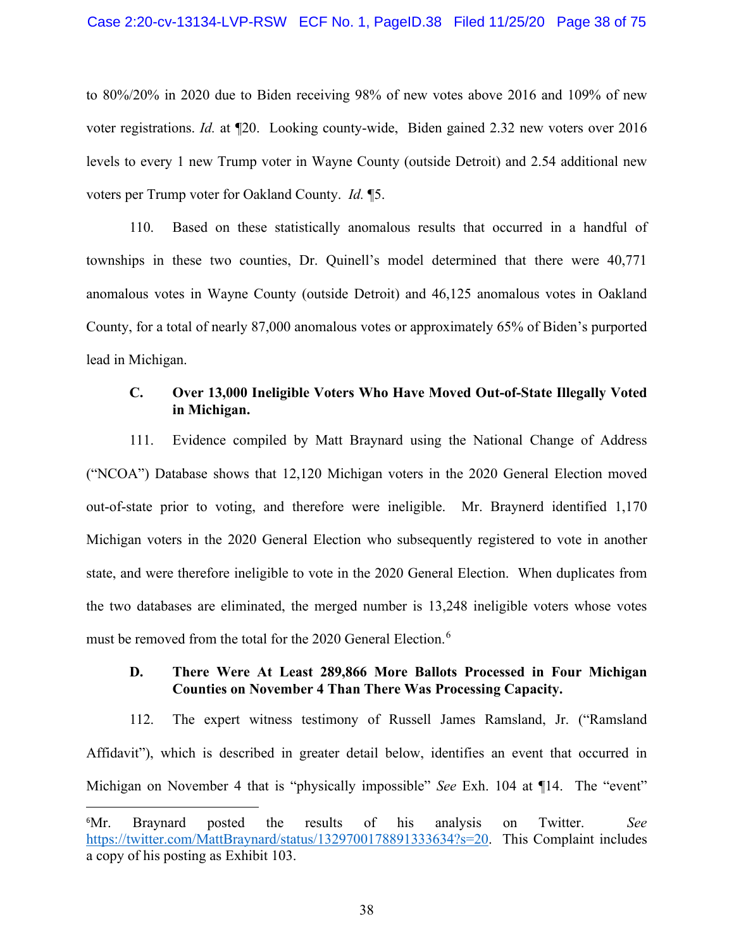### Case 2:20-cv-13134-LVP-RSW ECF No. 1, PageID.38 Filed 11/25/20 Page 38 of 75

to 80%/20% in 2020 due to Biden receiving 98% of new votes above 2016 and 109% of new voter registrations. *Id.* at ¶20. Looking county-wide, Biden gained 2.32 new voters over 2016 levels to every 1 new Trump voter in Wayne County (outside Detroit) and 2.54 additional new voters per Trump voter for Oakland County. *Id.* ¶5.

110. Based on these statistically anomalous results that occurred in a handful of townships in these two counties, Dr. Quinell's model determined that there were 40,771 anomalous votes in Wayne County (outside Detroit) and 46,125 anomalous votes in Oakland County, for a total of nearly 87,000 anomalous votes or approximately 65% of Biden's purported lead in Michigan.

### **C. Over 13,000 Ineligible Voters Who Have Moved Out-of-State Illegally Voted in Michigan.**

111. Evidence compiled by Matt Braynard using the National Change of Address ("NCOA") Database shows that 12,120 Michigan voters in the 2020 General Election moved out-of-state prior to voting, and therefore were ineligible. Mr. Braynerd identified 1,170 Michigan voters in the 2020 General Election who subsequently registered to vote in another state, and were therefore ineligible to vote in the 2020 General Election. When duplicates from the two databases are eliminated, the merged number is 13,248 ineligible voters whose votes must be removed from the total for the 2020 General Election.<sup>[6](#page-37-0)</sup>

### **D. There Were At Least 289,866 More Ballots Processed in Four Michigan Counties on November 4 Than There Was Processing Capacity.**

112. The expert witness testimony of Russell James Ramsland, Jr. ("Ramsland Affidavit"), which is described in greater detail below, identifies an event that occurred in Michigan on November 4 that is "physically impossible" *See* Exh. 104 at ¶14. The "event"

<span id="page-37-0"></span> $^6Mr.$ Mr. Braynard posted the results of his analysis on Twitter. *See*  [https://twitter.com/MattBraynard/status/1329700178891333634?s=20.](https://twitter.com/MattBraynard/status/1329700178891333634?s=20) This Complaint includes a copy of his posting as Exhibit 103.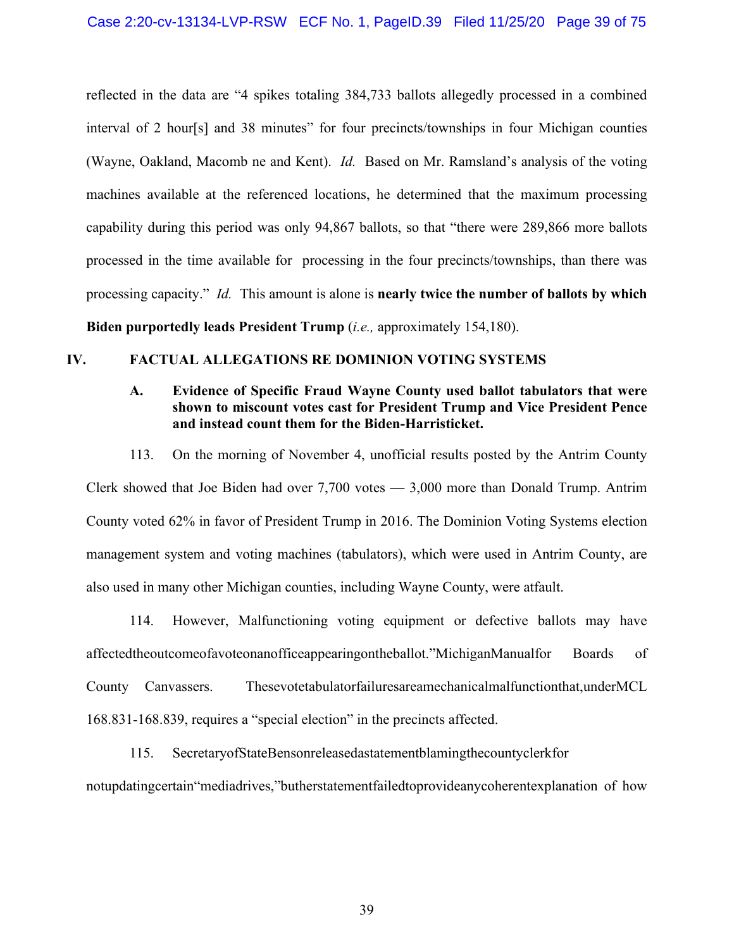reflected in the data are "4 spikes totaling 384,733 ballots allegedly processed in a combined interval of 2 hour[s] and 38 minutes" for four precincts/townships in four Michigan counties (Wayne, Oakland, Macomb ne and Kent). *Id.* Based on Mr. Ramsland's analysis of the voting machines available at the referenced locations, he determined that the maximum processing capability during this period was only 94,867 ballots, so that "there were 289,866 more ballots processed in the time available for processing in the four precincts/townships, than there was processing capacity." *Id.* This amount is alone is **nearly twice the number of ballots by which Biden purportedly leads President Trump** (*i.e.,* approximately 154,180).

# **IV. FACTUAL ALLEGATIONS RE DOMINION VOTING SYSTEMS**

### **A. Evidence of Specific Fraud Wayne County used ballot tabulators that were shown to miscount votes cast for President Trump and Vice President Pence and instead count them for the Biden-Harristicket.**

<span id="page-38-0"></span>113. On the morning of November 4, unofficial results posted by the Antrim County Clerk showed that Joe Biden had over 7,700 votes — 3,000 more than Donald Trump. Antrim County voted 62% in favor of President Trump in 2016. The Dominion Voting Systems election management system and voting machines (tabulators), which were used in Antrim County, are also used in many other Michigan counties, including Wayne County, were atfault.

114. However, Malfunctioning voting equipment or defective ballots may have affectedtheoutcomeofavoteonanofficeappearingontheballot."MichiganManualfor Boards of County Canvassers. Thesevotetabulatorfailuresareamechanicalmalfunctionthat,underMCL 168.831-168.839, requires a "special election" in the precincts affected.

115. SecretaryofStateBensonreleasedastatementblamingthecountyclerkfor notupdatingcertain"mediadrives,"butherstatementfailedtoprovideanycoherentexplanation of how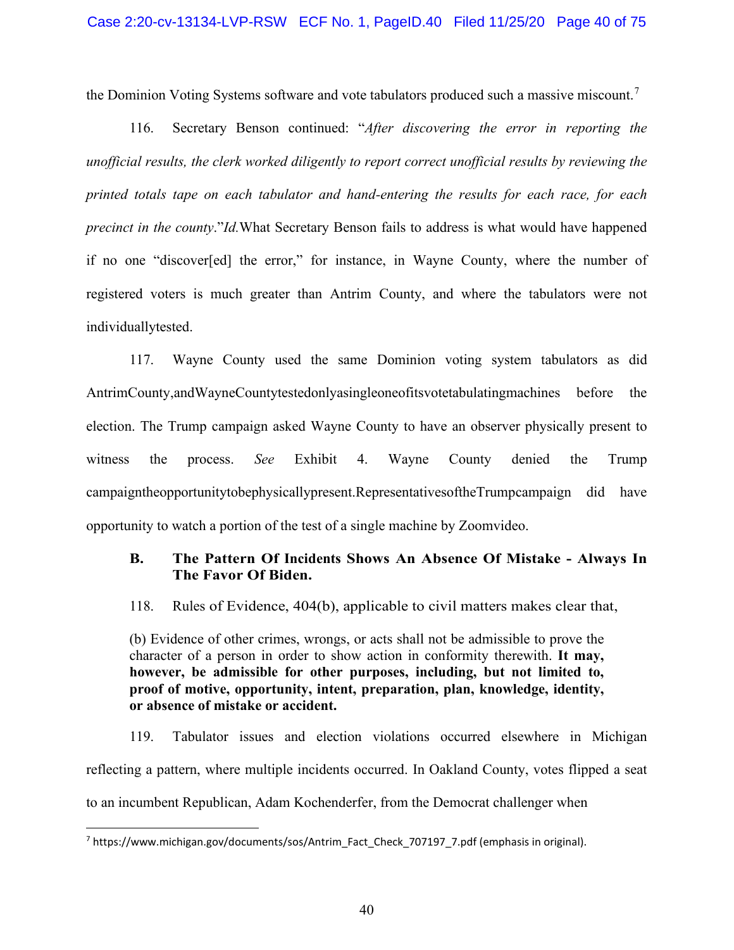the Dominion Voting Systems software and vote tabulators produced such a massive miscount.[7](#page-39-0)

116. Secretary Benson continued: "*After discovering the error in reporting the unofficial results, the clerk worked diligently to report correct unofficial results by reviewing the printed totals tape on each tabulator and hand-entering the results for each race, for each precinct in the county*."*Id.*What Secretary Benson fails to address is what would have happened if no one "discover[ed] the error," for instance, in Wayne County, where the number of registered voters is much greater than Antrim County, and where the tabulators were not individuallytested.

117. Wayne County used the same Dominion voting system tabulators as did AntrimCounty,andWayneCountytestedonlyasingleoneofitsvotetabulatingmachines before the election. The Trump campaign asked Wayne County to have an observer physically present to witness the process. *See* Exhibit 4. Wayne County denied the Trump campaigntheopportunitytobephysicallypresent.RepresentativesoftheTrumpcampaign did have opportunity to watch a portion of the test of a single machine by Zoomvideo.

## **B. The Pattern Of Incidents Shows An Absence Of Mistake - Always In The Favor Of Biden.**

118. Rules of Evidence, 404(b), applicable to civil matters makes clear that,

(b) Evidence of other crimes, wrongs, or acts shall not be admissible to prove the character of a person in order to show action in conformity therewith. **It may, however, be admissible for other purposes, including, but not limited to, proof of motive, opportunity, intent, preparation, plan, knowledge, identity, or absence of mistake or accident.** 

119. Tabulator issues and election violations occurred elsewhere in Michigan reflecting a pattern, where multiple incidents occurred. In Oakland County, votes flipped a seat to an incumbent Republican, Adam Kochenderfer, from the Democrat challenger when

<span id="page-39-0"></span><sup>7</sup> https:/[/www.michigan.gov/documents/sos/Antrim\\_Fact\\_Check\\_707197\\_7.pdf](http://www.michigan.gov/documents/sos/Antrim_Fact_Check_707197_7.pdf) (emphasis in original).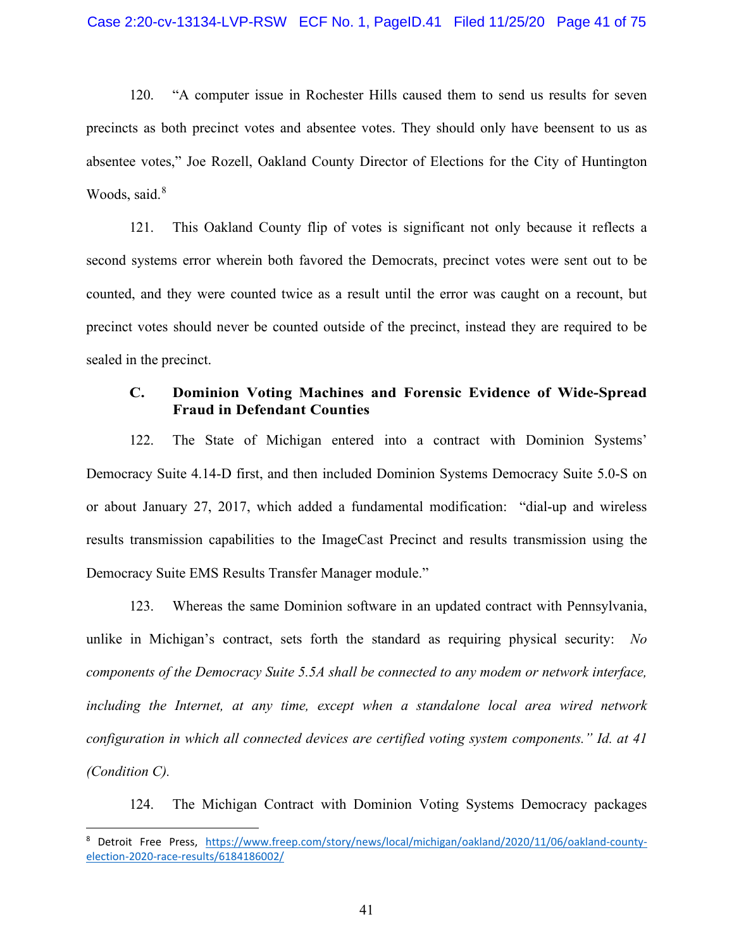120. "A computer issue in Rochester Hills caused them to send us results for seven precincts as both precinct votes and absentee votes. They should only have beensent to us as absentee votes," Joe Rozell, Oakland County Director of Elections for the City of Huntington Woods, said.<sup>[8](#page-40-0)</sup>

121. This Oakland County flip of votes is significant not only because it reflects a second systems error wherein both favored the Democrats, precinct votes were sent out to be counted, and they were counted twice as a result until the error was caught on a recount, but precinct votes should never be counted outside of the precinct, instead they are required to be sealed in the precinct.

### **C. Dominion Voting Machines and Forensic Evidence of Wide-Spread Fraud in Defendant Counties**

122. The State of Michigan entered into a contract with Dominion Systems' Democracy Suite 4.14-D first, and then included Dominion Systems Democracy Suite 5.0-S on or about January 27, 2017, which added a fundamental modification: "dial-up and wireless results transmission capabilities to the ImageCast Precinct and results transmission using the Democracy Suite EMS Results Transfer Manager module."

123. Whereas the same Dominion software in an updated contract with Pennsylvania, unlike in Michigan's contract, sets forth the standard as requiring physical security: *No components of the Democracy Suite 5.5A shall be connected to any modem or network interface, including the Internet, at any time, except when a standalone local area wired network configuration in which all connected devices are certified voting system components." Id. at 41 (Condition C).*

124. The Michigan Contract with Dominion Voting Systems Democracy packages

<span id="page-40-0"></span><sup>8</sup> Detroit Free Press, [https://www.freep.com/story/news/local/michigan/oakland/2020/11/06/oakland-county](https://www.freep.com/story/news/local/michigan/oakland/2020/11/06/oakland-county-election-2020-race-results/6184186002/)[election-2020-race-results/6184186002/](https://www.freep.com/story/news/local/michigan/oakland/2020/11/06/oakland-county-election-2020-race-results/6184186002/)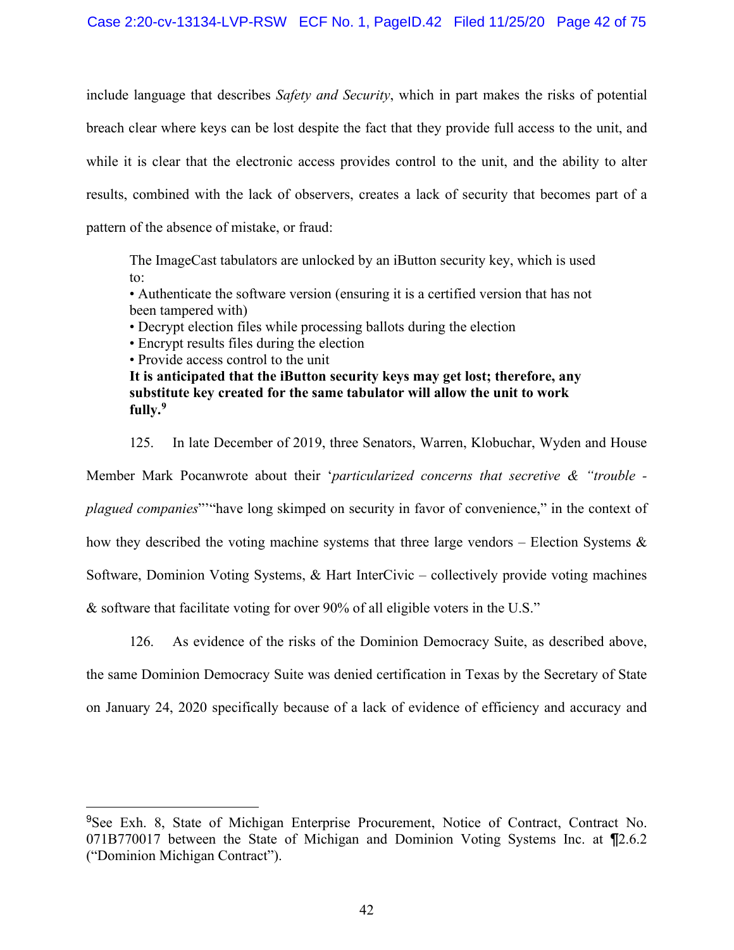include language that describes *Safety and Security*, which in part makes the risks of potential breach clear where keys can be lost despite the fact that they provide full access to the unit, and while it is clear that the electronic access provides control to the unit, and the ability to alter results, combined with the lack of observers, creates a lack of security that becomes part of a pattern of the absence of mistake, or fraud:

The ImageCast tabulators are unlocked by an iButton security key, which is used to:

• Authenticate the software version (ensuring it is a certified version that has not been tampered with)

• Decrypt election files while processing ballots during the election

• Encrypt results files during the election

• Provide access control to the unit

**It is anticipated that the iButton security keys may get lost; therefore, any substitute key created for the same tabulator will allow the unit to work fully.[9](#page-41-0)**

125. In late December of 2019, three Senators, Warren, Klobuchar, Wyden and House Member Mark Pocanwrote about their '*particularized concerns that secretive & "trouble plagued companies*"'"have long skimped on security in favor of convenience," in the context of how they described the voting machine systems that three large vendors – Election Systems & Software, Dominion Voting Systems, & Hart InterCivic – collectively provide voting machines & software that facilitate voting for over 90% of all eligible voters in the U.S."

126. As evidence of the risks of the Dominion Democracy Suite, as described above,

the same Dominion Democracy Suite was denied certification in Texas by the Secretary of State on January 24, 2020 specifically because of a lack of evidence of efficiency and accuracy and

<span id="page-41-0"></span><sup>9</sup>See Exh. 8, State of Michigan Enterprise Procurement, Notice of Contract, Contract No. 071B770017 between the State of Michigan and Dominion Voting Systems Inc. at ¶2.6.2 ("Dominion Michigan Contract").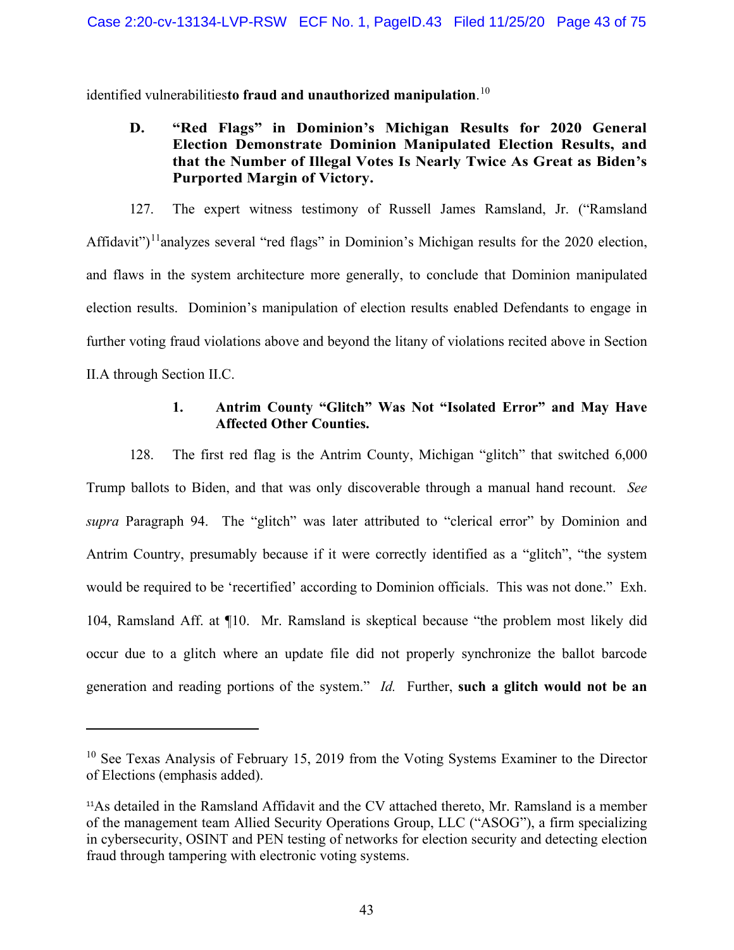identified vulnerabilities**to fraud and unauthorized manipulation**. [10](#page-42-0)

# **D. "Red Flags" in Dominion's Michigan Results for 2020 General Election Demonstrate Dominion Manipulated Election Results, and that the Number of Illegal Votes Is Nearly Twice As Great as Biden's Purported Margin of Victory.**

127. The expert witness testimony of Russell James Ramsland, Jr. ("Ramsland Affidavit")<sup>[11](#page-42-1)</sup>analyzes several "red flags" in Dominion's Michigan results for the 2020 election, and flaws in the system architecture more generally, to conclude that Dominion manipulated election results. Dominion's manipulation of election results enabled Defendants to engage in further voting fraud violations above and beyond the litany of violations recited above in Section II.A through Section II.C.

### **1. Antrim County "Glitch" Was Not "Isolated Error" and May Have Affected Other Counties.**

128. The first red flag is the Antrim County, Michigan "glitch" that switched 6,000 Trump ballots to Biden, and that was only discoverable through a manual hand recount. *See supra* Paragraph [94.](#page-38-0) The "glitch" was later attributed to "clerical error" by Dominion and Antrim Country, presumably because if it were correctly identified as a "glitch", "the system would be required to be 'recertified' according to Dominion officials. This was not done." Exh. 104, Ramsland Aff. at ¶10. Mr. Ramsland is skeptical because "the problem most likely did occur due to a glitch where an update file did not properly synchronize the ballot barcode generation and reading portions of the system." *Id.* Further, **such a glitch would not be an** 

<span id="page-42-0"></span> $10$  See Texas Analysis of February 15, 2019 from the Voting Systems Examiner to the Director of Elections (emphasis added).

<span id="page-42-1"></span><sup>&</sup>lt;sup>11</sup>As detailed in the Ramsland Affidavit and the CV attached thereto, Mr. Ramsland is a member of the management team Allied Security Operations Group, LLC ("ASOG"), a firm specializing in cybersecurity, OSINT and PEN testing of networks for election security and detecting election fraud through tampering with electronic voting systems.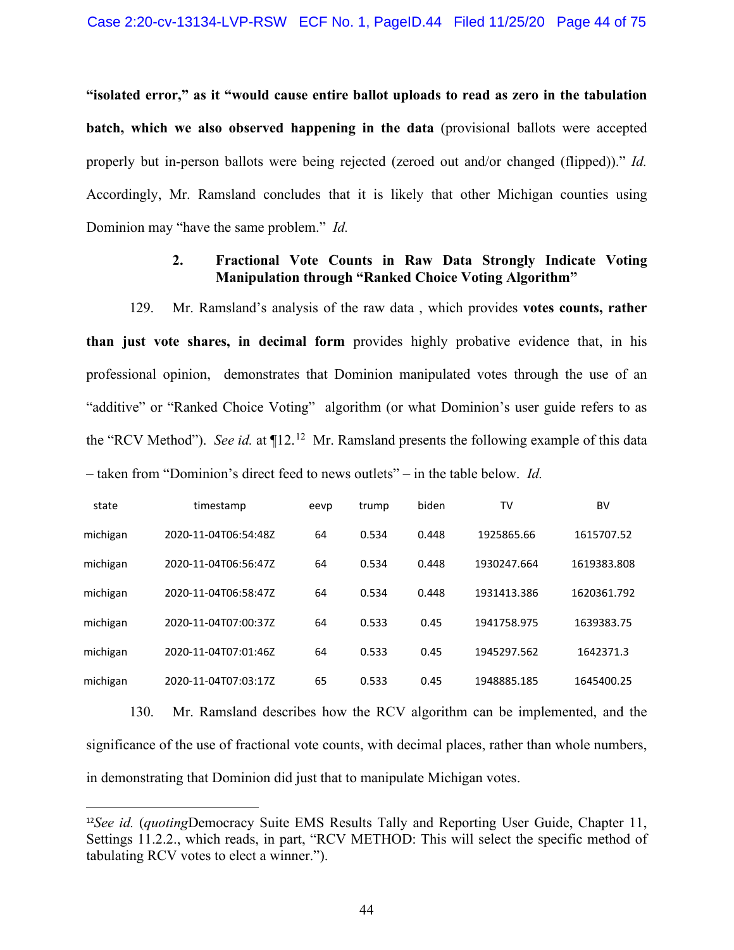**"isolated error," as it "would cause entire ballot uploads to read as zero in the tabulation batch, which we also observed happening in the data** (provisional ballots were accepted properly but in-person ballots were being rejected (zeroed out and/or changed (flipped))." *Id.*  Accordingly, Mr. Ramsland concludes that it is likely that other Michigan counties using Dominion may "have the same problem." *Id.*

### **2. Fractional Vote Counts in Raw Data Strongly Indicate Voting Manipulation through "Ranked Choice Voting Algorithm"**

129. Mr. Ramsland's analysis of the raw data , which provides **votes counts, rather than just vote shares, in decimal form** provides highly probative evidence that, in his professional opinion, demonstrates that Dominion manipulated votes through the use of an "additive" or "Ranked Choice Voting" algorithm (or what Dominion's user guide refers to as the "RCV Method"). See id. at  $\P 12$ <sup>12</sup> Mr. Ramsland presents the following example of this data – taken from "Dominion's direct feed to news outlets" – in the table below. *Id.*

| state    | timestamp            | eevp | trump | biden | TV          | BV          |
|----------|----------------------|------|-------|-------|-------------|-------------|
| michigan | 2020-11-04T06:54:48Z | 64   | 0.534 | 0.448 | 1925865.66  | 1615707.52  |
| michigan | 2020-11-04T06:56:47Z | 64   | 0.534 | 0.448 | 1930247.664 | 1619383.808 |
| michigan | 2020-11-04T06:58:47Z | 64   | 0.534 | 0.448 | 1931413.386 | 1620361.792 |
| michigan | 2020-11-04T07:00:377 | 64   | 0.533 | 0.45  | 1941758.975 | 1639383.75  |
| michigan | 2020-11-04T07:01:46Z | 64   | 0.533 | 0.45  | 1945297.562 | 1642371.3   |
| michigan | 2020-11-04T07:03:17Z | 65   | 0.533 | 0.45  | 1948885.185 | 1645400.25  |

130. Mr. Ramsland describes how the RCV algorithm can be implemented, and the significance of the use of fractional vote counts, with decimal places, rather than whole numbers, in demonstrating that Dominion did just that to manipulate Michigan votes.

<span id="page-43-0"></span><sup>12</sup>*See id.* (*quoting*Democracy Suite EMS Results Tally and Reporting User Guide, Chapter 11, Settings 11.2.2., which reads, in part, "RCV METHOD: This will select the specific method of tabulating RCV votes to elect a winner.").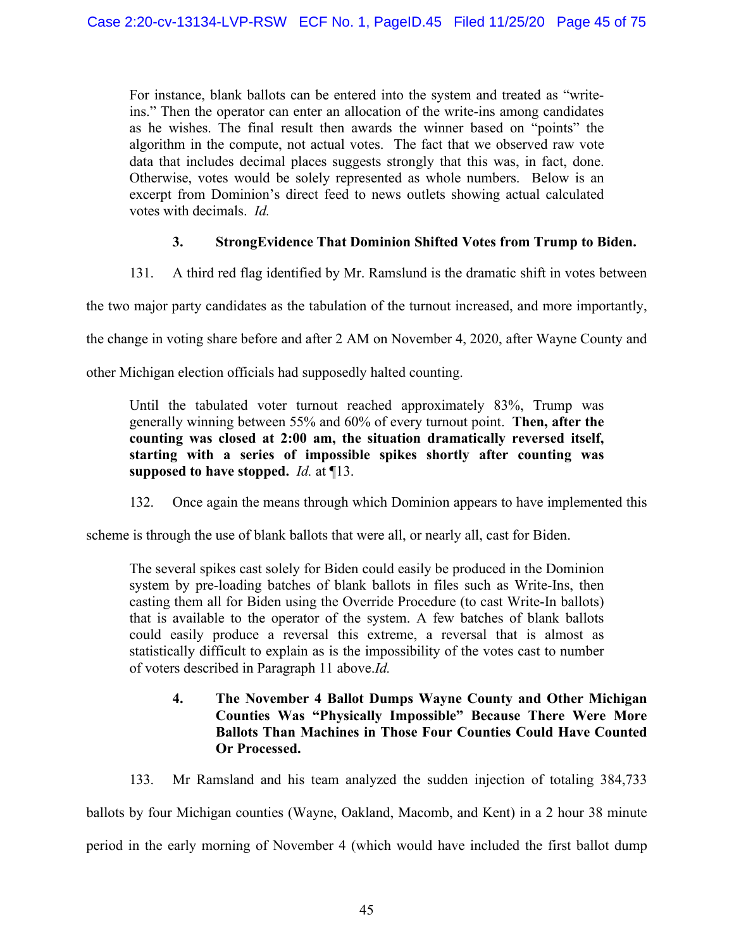For instance, blank ballots can be entered into the system and treated as "writeins." Then the operator can enter an allocation of the write-ins among candidates as he wishes. The final result then awards the winner based on "points" the algorithm in the compute, not actual votes. The fact that we observed raw vote data that includes decimal places suggests strongly that this was, in fact, done. Otherwise, votes would be solely represented as whole numbers. Below is an excerpt from Dominion's direct feed to news outlets showing actual calculated votes with decimals. *Id.*

## **3. StrongEvidence That Dominion Shifted Votes from Trump to Biden.**

131. A third red flag identified by Mr. Ramslund is the dramatic shift in votes between

the two major party candidates as the tabulation of the turnout increased, and more importantly,

the change in voting share before and after 2 AM on November 4, 2020, after Wayne County and

other Michigan election officials had supposedly halted counting.

Until the tabulated voter turnout reached approximately 83%, Trump was generally winning between 55% and 60% of every turnout point. **Then, after the counting was closed at 2:00 am, the situation dramatically reversed itself, starting with a series of impossible spikes shortly after counting was supposed to have stopped.** *Id.* at ¶13.

132. Once again the means through which Dominion appears to have implemented this

scheme is through the use of blank ballots that were all, or nearly all, cast for Biden.

The several spikes cast solely for Biden could easily be produced in the Dominion system by pre-loading batches of blank ballots in files such as Write-Ins, then casting them all for Biden using the Override Procedure (to cast Write-In ballots) that is available to the operator of the system. A few batches of blank ballots could easily produce a reversal this extreme, a reversal that is almost as statistically difficult to explain as is the impossibility of the votes cast to number of voters described in Paragraph 11 above.*Id.*

# **4. The November 4 Ballot Dumps Wayne County and Other Michigan Counties Was "Physically Impossible" Because There Were More Ballots Than Machines in Those Four Counties Could Have Counted Or Processed.**

133. Mr Ramsland and his team analyzed the sudden injection of totaling 384,733

ballots by four Michigan counties (Wayne, Oakland, Macomb, and Kent) in a 2 hour 38 minute

period in the early morning of November 4 (which would have included the first ballot dump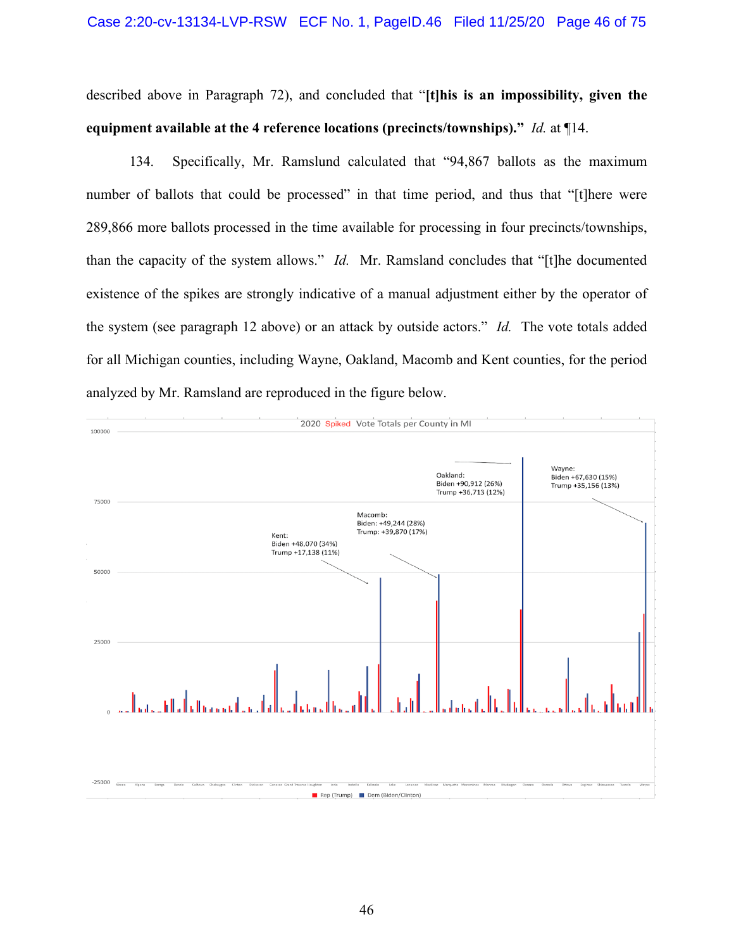described above in Paragraph [72\)](#page-26-0), and concluded that "**[t]his is an impossibility, given the equipment available at the 4 reference locations (precincts/townships)."** *Id.* at ¶14.

134. Specifically, Mr. Ramslund calculated that "94,867 ballots as the maximum number of ballots that could be processed" in that time period, and thus that "[t]here were 289,866 more ballots processed in the time available for processing in four precincts/townships, than the capacity of the system allows." *Id.* Mr. Ramsland concludes that "[t]he documented existence of the spikes are strongly indicative of a manual adjustment either by the operator of the system (see paragraph 12 above) or an attack by outside actors." *Id.* The vote totals added for all Michigan counties, including Wayne, Oakland, Macomb and Kent counties, for the period analyzed by Mr. Ramsland are reproduced in the figure below.

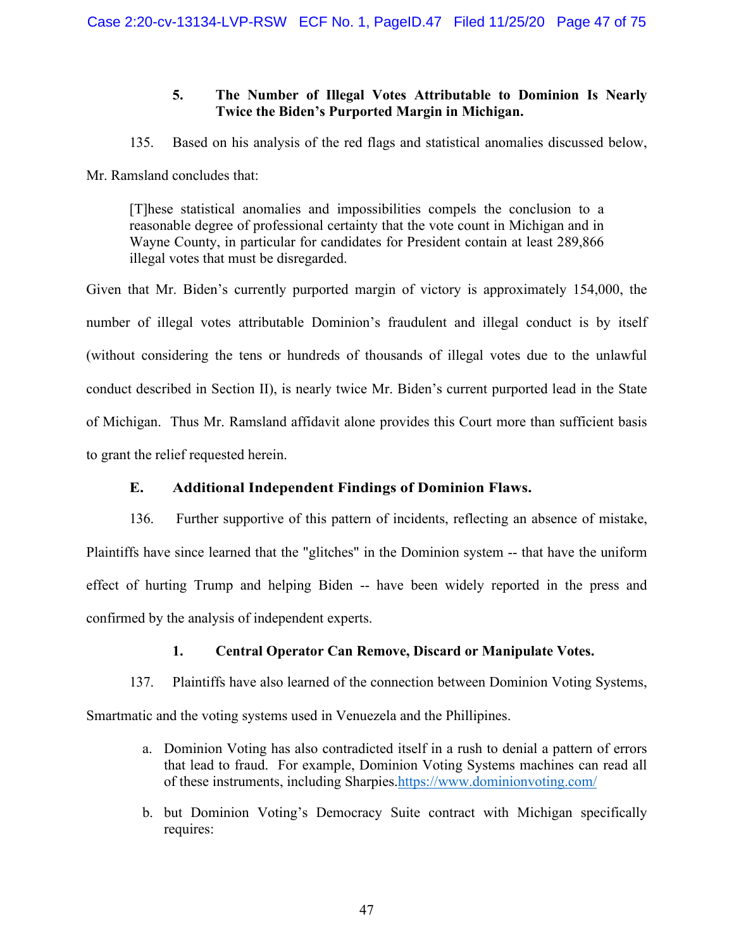## **5. The Number of Illegal Votes Attributable to Dominion Is Nearly Twice the Biden's Purported Margin in Michigan.**

135. Based on his analysis of the red flags and statistical anomalies discussed below,

Mr. Ramsland concludes that:

[T]hese statistical anomalies and impossibilities compels the conclusion to a reasonable degree of professional certainty that the vote count in Michigan and in Wayne County, in particular for candidates for President contain at least 289,866 illegal votes that must be disregarded.

Given that Mr. Biden's currently purported margin of victory is approximately 154,000, the number of illegal votes attributable Dominion's fraudulent and illegal conduct is by itself (without considering the tens or hundreds of thousands of illegal votes due to the unlawful conduct described in Section II), is nearly twice Mr. Biden's current purported lead in the State of Michigan. Thus Mr. Ramsland affidavit alone provides this Court more than sufficient basis to grant the relief requested herein.

# **E. Additional Independent Findings of Dominion Flaws.**

136. Further supportive of this pattern of incidents, reflecting an absence of mistake, Plaintiffs have since learned that the "glitches" in the Dominion system -- that have the uniform effect of hurting Trump and helping Biden -- have been widely reported in the press and confirmed by the analysis of independent experts.

# **1. Central Operator Can Remove, Discard or Manipulate Votes.**

137. Plaintiffs have also learned of the connection between Dominion Voting Systems,

Smartmatic and the voting systems used in Venuezela and the Phillipines.

- a. Dominion Voting has also contradicted itself in a rush to denial a pattern of errors that lead to fraud. For example, Dominion Voting Systems machines can read all of these instruments, including Sharpies[.https://www.dominionvoting.com/](https://www.dominionvoting.com/)
- b. but Dominion Voting's Democracy Suite contract with Michigan specifically requires: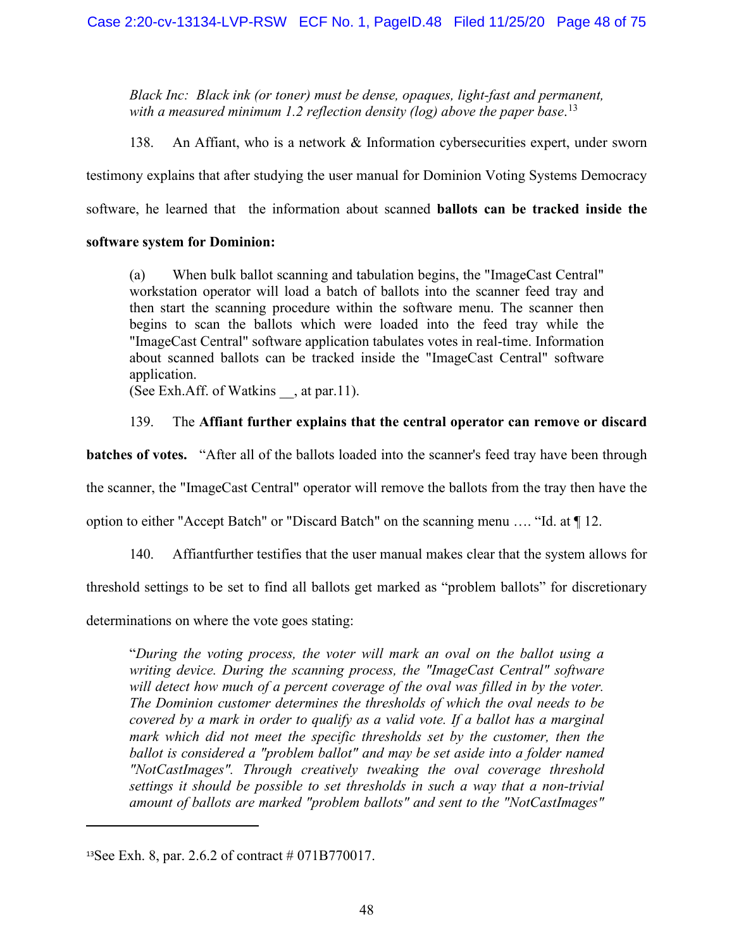*Black Inc: Black ink (or toner) must be dense, opaques, light-fast and permanent, with a measured minimum 1.2 reflection density (log) above the paper base*. [13](#page-47-0)

138. An Affiant, who is a network & Information cybersecurities expert, under sworn testimony explains that after studying the user manual for Dominion Voting Systems Democracy software, he learned that the information about scanned **ballots can be tracked inside the** 

## **software system for Dominion:**

(a) When bulk ballot scanning and tabulation begins, the "ImageCast Central" workstation operator will load a batch of ballots into the scanner feed tray and then start the scanning procedure within the software menu. The scanner then begins to scan the ballots which were loaded into the feed tray while the "ImageCast Central" software application tabulates votes in real-time. Information about scanned ballots can be tracked inside the "ImageCast Central" software application.

(See Exh.Aff. of Watkins \_\_, at par.11).

# 139. The **Affiant further explains that the central operator can remove or discard**

**batches of votes.** "After all of the ballots loaded into the scanner's feed tray have been through

the scanner, the "ImageCast Central" operator will remove the ballots from the tray then have the

option to either "Accept Batch" or "Discard Batch" on the scanning menu …. "Id. at ¶ 12.

140. Affiantfurther testifies that the user manual makes clear that the system allows for

threshold settings to be set to find all ballots get marked as "problem ballots" for discretionary

determinations on where the vote goes stating:

"*During the voting process, the voter will mark an oval on the ballot using a writing device. During the scanning process, the "ImageCast Central" software*  will detect how much of a percent coverage of the oval was filled in by the voter. *The Dominion customer determines the thresholds of which the oval needs to be covered by a mark in order to qualify as a valid vote. If a ballot has a marginal mark which did not meet the specific thresholds set by the customer, then the ballot is considered a "problem ballot" and may be set aside into a folder named "NotCastImages". Through creatively tweaking the oval coverage threshold settings it should be possible to set thresholds in such a way that a non-trivial amount of ballots are marked "problem ballots" and sent to the "NotCastImages"* 

<span id="page-47-0"></span><sup>13</sup>See Exh. 8, par. 2.6.2 of contract # 071B770017.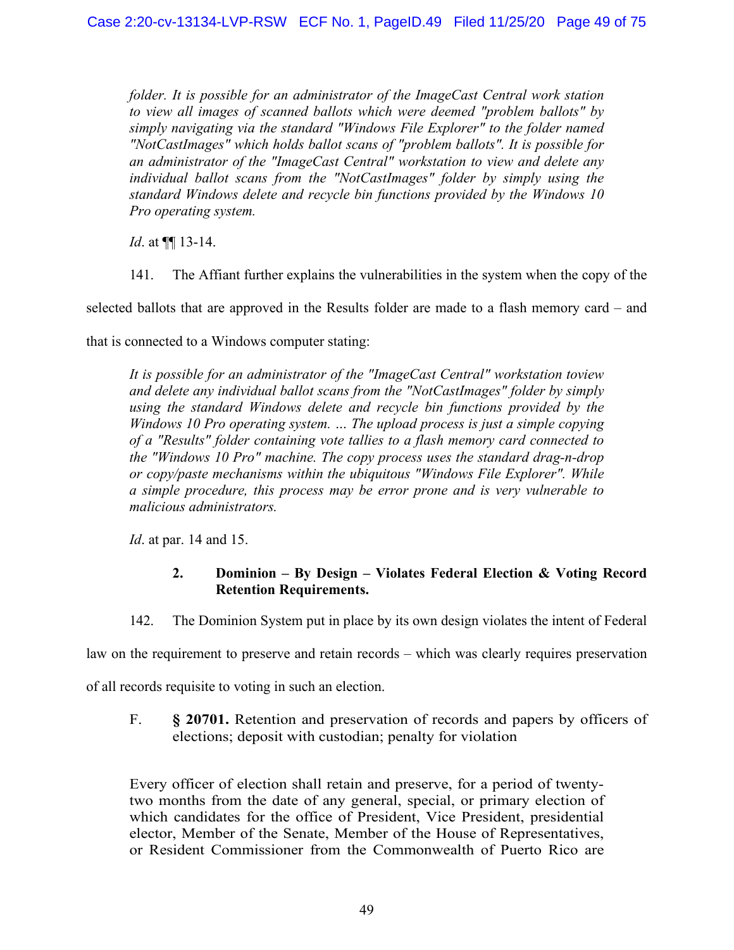*folder. It is possible for an administrator of the ImageCast Central work station to view all images of scanned ballots which were deemed "problem ballots" by simply navigating via the standard "Windows File Explorer" to the folder named "NotCastImages" which holds ballot scans of "problem ballots". It is possible for an administrator of the "ImageCast Central" workstation to view and delete any individual ballot scans from the "NotCastImages" folder by simply using the standard Windows delete and recycle bin functions provided by the Windows 10 Pro operating system.*

*Id*. at ¶¶ 13-14.

141. The Affiant further explains the vulnerabilities in the system when the copy of the

selected ballots that are approved in the Results folder are made to a flash memory card – and

that is connected to a Windows computer stating:

*It is possible for an administrator of the "ImageCast Central" workstation toview and delete any individual ballot scans from the "NotCastImages" folder by simply using the standard Windows delete and recycle bin functions provided by the Windows 10 Pro operating system. … The upload process is just a simple copying of a "Results" folder containing vote tallies to a flash memory card connected to the "Windows 10 Pro" machine. The copy process uses the standard drag-n-drop or copy/paste mechanisms within the ubiquitous "Windows File Explorer". While a simple procedure, this process may be error prone and is very vulnerable to malicious administrators.*

*Id*. at par. 14 and 15.

## **2. Dominion – By Design – Violates Federal Election & Voting Record Retention Requirements.**

142. The Dominion System put in place by its own design violates the intent of Federal

law on the requirement to preserve and retain records – which was clearly requires preservation

of all records requisite to voting in such an election.

F. **§ 20701.** Retention and preservation of records and papers by officers of elections; deposit with custodian; penalty for violation

Every officer of election shall retain and preserve, for a period of twentytwo months from the date of any general, special, or primary election of which candidates for the office of President, Vice President, presidential elector, Member of the Senate, Member of the House of Representatives, or Resident Commissioner from the Commonwealth of Puerto Rico are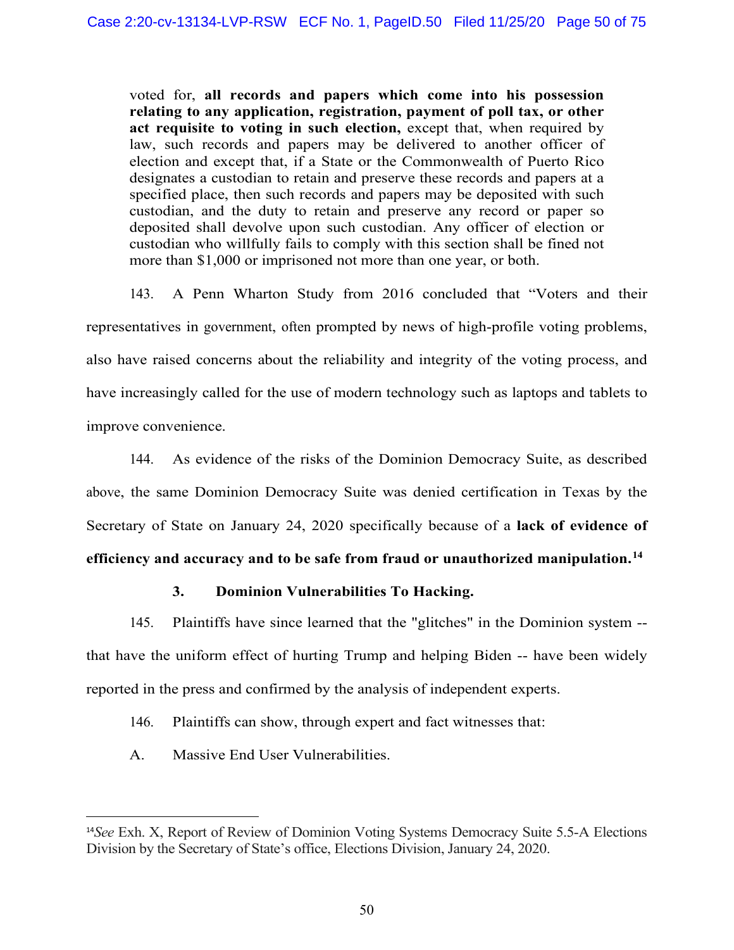voted for, **all records and papers which come into his possession relating to any application, registration, payment of poll tax, or other act requisite to voting in such election,** except that, when required by law, such records and papers may be delivered to another officer of election and except that, if a State or the Commonwealth of Puerto Rico designates a custodian to retain and preserve these records and papers at a specified place, then such records and papers may be deposited with such custodian, and the duty to retain and preserve any record or paper so deposited shall devolve upon such custodian. Any officer of election or custodian who willfully fails to comply with this section shall be fined not more than \$1,000 or imprisoned not more than one year, or both.

143. A Penn Wharton Study from 2016 concluded that "Voters and their representatives in government, often prompted by news of high-profile voting problems, also have raised concerns about the reliability and integrity of the voting process, and have increasingly called for the use of modern technology such as laptops and tablets to improve convenience.

144. As evidence of the risks of the Dominion Democracy Suite, as described above, the same Dominion Democracy Suite was denied certification in Texas by the Secretary of State on January 24, 2020 specifically because of a **lack of evidence of efficiency and accuracy and to be safe from fraud or unauthorized manipulation. [14](#page-49-0)**

# **3. Dominion Vulnerabilities To Hacking.**

145. Plaintiffs have since learned that the "glitches" in the Dominion system - that have the uniform effect of hurting Trump and helping Biden -- have been widely reported in the press and confirmed by the analysis of independent experts.

- 146. Plaintiffs can show, through expert and fact witnesses that:
- A. Massive End User Vulnerabilities.

<span id="page-49-0"></span><sup>14</sup>*See* Exh. X, Report of Review of Dominion Voting Systems Democracy Suite 5.5-A Elections Division by the Secretary of State's office, Elections Division, January 24, 2020.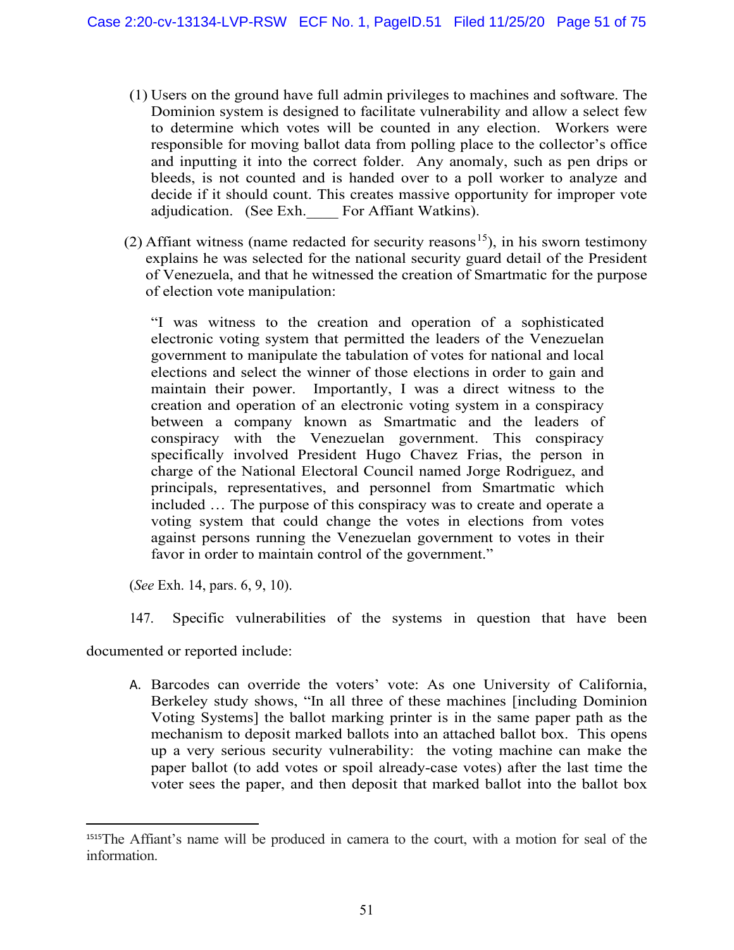- (1) Users on the ground have full admin privileges to machines and software. The Dominion system is designed to facilitate vulnerability and allow a select few to determine which votes will be counted in any election. Workers were responsible for moving ballot data from polling place to the collector's office and inputting it into the correct folder. Any anomaly, such as pen drips or bleeds, is not counted and is handed over to a poll worker to analyze and decide if it should count. This creates massive opportunity for improper vote adjudication. (See Exh. For Affiant Watkins).
- (2) Affiant witness (name redacted for security reasons<sup>15</sup>), in his sworn testimony explains he was selected for the national security guard detail of the President of Venezuela, and that he witnessed the creation of Smartmatic for the purpose of election vote manipulation:

"I was witness to the creation and operation of a sophisticated electronic voting system that permitted the leaders of the Venezuelan government to manipulate the tabulation of votes for national and local elections and select the winner of those elections in order to gain and maintain their power. Importantly, I was a direct witness to the creation and operation of an electronic voting system in a conspiracy between a company known as Smartmatic and the leaders of conspiracy with the Venezuelan government. This conspiracy specifically involved President Hugo Chavez Frias, the person in charge of the National Electoral Council named Jorge Rodriguez, and principals, representatives, and personnel from Smartmatic which included … The purpose of this conspiracy was to create and operate a voting system that could change the votes in elections from votes against persons running the Venezuelan government to votes in their favor in order to maintain control of the government."

(*See* Exh. 14, pars. 6, 9, 10).

147. Specific vulnerabilities of the systems in question that have been

documented or reported include:

A. Barcodes can override the voters' vote: As one University of California, Berkeley study shows, "In all three of these machines [including Dominion Voting Systems] the ballot marking printer is in the same paper path as the mechanism to deposit marked ballots into an attached ballot box. This opens up a very serious security vulnerability: the voting machine can make the paper ballot (to add votes or spoil already-case votes) after the last time the voter sees the paper, and then deposit that marked ballot into the ballot box

<span id="page-50-0"></span><sup>1515</sup>The Affiant's name will be produced in camera to the court, with a motion for seal of the information.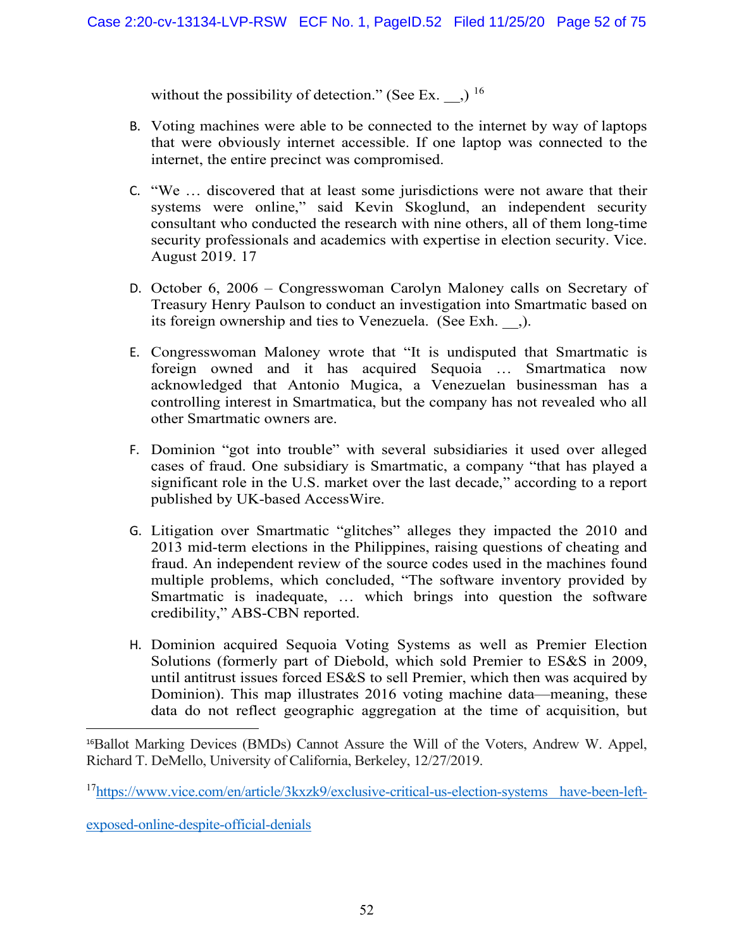without the possibility of detection." (See Ex.  $\,$  )  $^{16}$  $^{16}$  $^{16}$ 

- B. Voting machines were able to be connected to the internet by way of laptops that were obviously internet accessible. If one laptop was connected to the internet, the entire precinct was compromised.
- C. "We … discovered that at least some jurisdictions were not aware that their systems were online," said Kevin Skoglund, an independent security consultant who conducted the research with nine others, all of them long-time security professionals and academics with expertise in election security. Vice. August 2019. [17](#page-51-1)
- D. October 6, 2006 Congresswoman Carolyn Maloney calls on Secretary of Treasury Henry Paulson to conduct an investigation into Smartmatic based on its foreign ownership and ties to Venezuela. (See Exh. \_\_,).
- E. Congresswoman Maloney wrote that "It is undisputed that Smartmatic is foreign owned and it has acquired Sequoia … Smartmatica now acknowledged that Antonio Mugica, a Venezuelan businessman has a controlling interest in Smartmatica, but the company has not revealed who all other Smartmatic owners are.
- F. Dominion "got into trouble" with several subsidiaries it used over alleged cases of fraud. One subsidiary is Smartmatic, a company "that has played a significant role in the U.S. market over the last decade," according to a [report](https://www.accesswire.com/471912/Voting-Technology-Companies-in-the-US--Their-Histories-and-Present-Contributions) published by UK-based AccessWire.
- G. Litigation over Smartmatic "glitches" alleges they impacted the 2010 and 2013 mid-term elections in the Philippines, raising questions of cheating and fraud. An independent review of the source codes used in the machines found multiple problems, which concluded, "The software inventory provided by Smartmatic is inadequate, … which brings into question the software credibility," [ABS-CBN reported.](https://news.abs-cbn.com/nation/05/04/10/smartmatic-tim-running-out-time-fix-glitches)
- H. Dominion acquired Sequoia Voting Systems as well as Premier Election Solutions (formerly part of Diebold, which sold Premier to ES&S in 2009, until antitrust issues forced ES&S to sell Premier, which then was acquired by Dominion). This map illustrates 2016 voting machine data—meaning, these data do not reflect geographic aggregation at the time of acquisition, but

<span id="page-51-0"></span><sup>16</sup>Ballot Marking Devices (BMDs) Cannot Assure the Will of the Voters, Andrew W. Appel, Richard T. DeMello, University of California, Berkeley, 12/27/2019.

<span id="page-51-1"></span>1[7https://www.vice.com/en/article/3kxzk9/exclusive-critical-us-election-systems have-been-left-](https://www.vice.com/en/article/3kxzk9/exclusive-critical-us-election-systems%20have-been-left-exposed-online-despite-official-denials)

[exposed-online-despite-official-denials](https://www.vice.com/en/article/3kxzk9/exclusive-critical-us-election-systems%20have-been-left-exposed-online-despite-official-denials)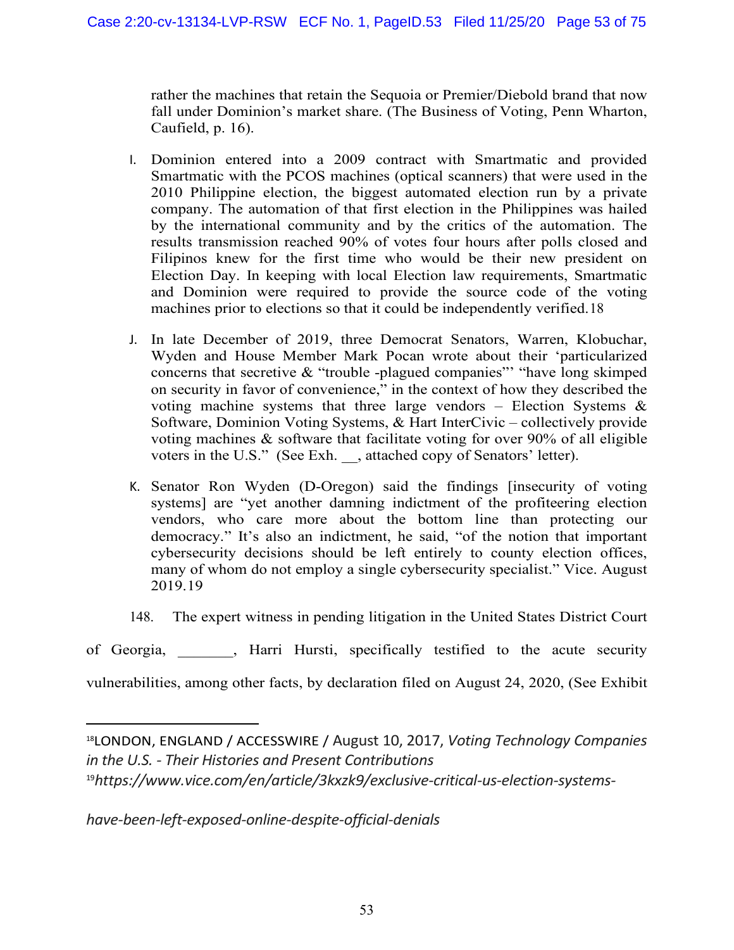rather the machines that retain the Sequoia or Premier/Diebold brand that now fall under Dominion's market share. (The Business of Voting, Penn Wharton, Caufield, p. 16).

- I. Dominion [entered into a 2009 contract with Smartmatic](http://pr.report/urhXNs6v) and provided Smartmatic with the PCOS machines (optical scanners) that were used in the 2010 Philippine election, the biggest automated election run by a private company. [The automation of that first election in the Philippines was](http://pr.report/VLzY1KAQ) hailed [by the international community](http://pr.report/VLzY1KAQ) and by the [critics of the automation.](http://pr.report/Cn9YixID) The results transmission reached 90% of votes four hours after polls closed and [Filipinos knew for the first time who would be their new president on](http://pr.report/-qfz7Xso)  [Election Day.](http://pr.report/-qfz7Xso) In keeping with local Election law requirements, Smartmatic and Dominion were [required to provide the source code](http://pr.report/T5zh1FlE) of the voting machines prior to elections so that it could be independently verified.[18](#page-52-0)
- J. In late December of 2019, three Democrat Senators, Warren, Klobuchar, Wyden and House Member Mark Pocan wrote about their 'particularized concerns that secretive & "trouble -plagued companies"' "have long skimped on security in favor of convenience," in the context of how they described the voting machine systems that three large vendors – Election Systems  $\&$ Software, Dominion Voting Systems, & Hart InterCivic – collectively provide voting machines & software that facilitate voting for over 90% of all eligible voters in the U.S." (See Exh. \_\_, attached copy of Senators' letter).
- K. Senator Ron Wyden (D-Oregon) said the findings [insecurity of voting systems] are "yet another damning indictment of the profiteering election vendors, who care more about the bottom line than protecting our democracy." It's also an indictment, he said, "of the notion that important cybersecurity decisions should be left entirely to county election offices, many of whom do not employ a single cybersecurity specialist." Vice. August 2019.[19](#page-52-1)
- 148. The expert witness in pending litigation in the United States District Court
- of Georgia, \_\_\_\_\_\_\_, Harri Hursti, specifically testified to the acute security

vulnerabilities, among other facts, by declaration filed on August 24, 2020, (See Exhibit

*[have-been-left-exposed-online-despite-official-denials](https://www.vice.com/en/article/3kxzk9/exclusive-critical-us-election-systems-have-been-left-exposed-online-despite-official-denials)*

<span id="page-52-1"></span><span id="page-52-0"></span><sup>18</sup>LONDON, ENGLAND / ACCESSWIRE / August 10, 2017, *Voting Technology Companies in the U.S. - Their Histories and Present Contributions* 19*[https://www.vice.com/en/article/3kxzk9/exclusive-critical-us-election-systems-](https://www.vice.com/en/article/3kxzk9/exclusive-critical-us-election-systems-have-been-left-exposed-online-despite-official-denials)*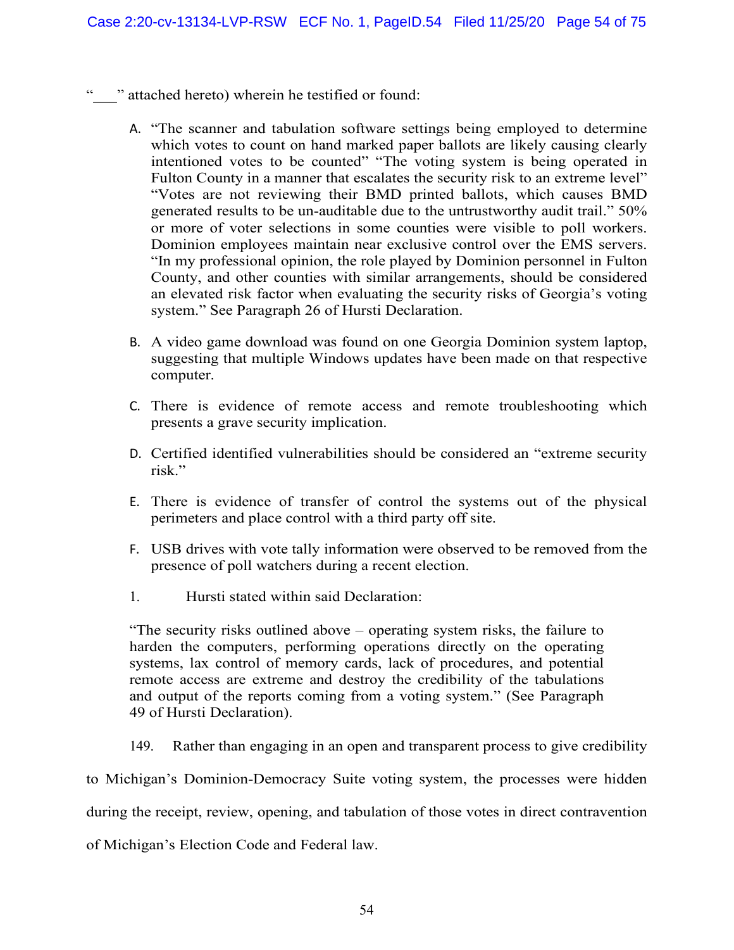- " vattached hereto) wherein he testified or found:
	- A. "The scanner and tabulation software settings being employed to determine which votes to count on hand marked paper ballots are likely causing clearly intentioned votes to be counted" "The voting system is being operated in Fulton County in a manner that escalates the security risk to an extreme level" "Votes are not reviewing their BMD printed ballots, which causes BMD generated results to be un-auditable due to the untrustworthy audit trail." 50% or more of voter selections in some counties were visible to poll workers. Dominion employees maintain near exclusive control over the EMS servers. "In my professional opinion, the role played by Dominion personnel in Fulton County, and other counties with similar arrangements, should be considered an elevated risk factor when evaluating the security risks of Georgia's voting system." See Paragraph 26 of Hursti Declaration.
	- B. A video game download was found on one Georgia Dominion system laptop, suggesting that multiple Windows updates have been made on that respective computer.
	- C. There is evidence of remote access and remote troubleshooting which presents a grave security implication.
	- D. Certified identified vulnerabilities should be considered an "extreme security risk."
	- E. There is evidence of transfer of control the systems out of the physical perimeters and place control with a third party off site.
	- F. USB drives with vote tally information were observed to be removed from the presence of poll watchers during a recent election.
	- 1. Hursti stated within said Declaration:

"The security risks outlined above – operating system risks, the failure to harden the computers, performing operations directly on the operating systems, lax control of memory cards, lack of procedures, and potential remote access are extreme and destroy the credibility of the tabulations and output of the reports coming from a voting system." (See Paragraph 49 of Hursti Declaration).

149. Rather than engaging in an open and transparent process to give credibility

to Michigan's Dominion-Democracy Suite voting system, the processes were hidden

during the receipt, review, opening, and tabulation of those votes in direct contravention

of Michigan's Election Code and Federal law.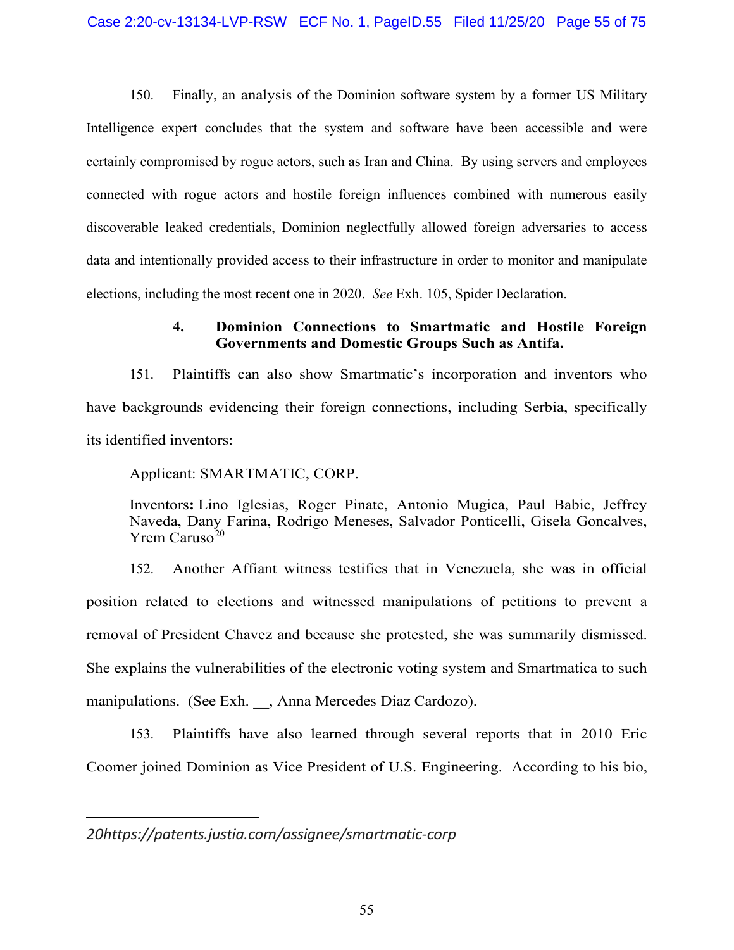150. Finally, an analysis of the Dominion software system by a former US Military Intelligence expert concludes that the system and software have been accessible and were certainly compromised by rogue actors, such as Iran and China. By using servers and employees connected with rogue actors and hostile foreign influences combined with numerous easily discoverable leaked credentials, Dominion neglectfully allowed foreign adversaries to access data and intentionally provided access to their infrastructure in order to monitor and manipulate elections, including the most recent one in 2020. *See* Exh. 105, Spider Declaration.

# **4. Dominion Connections to Smartmatic and Hostile Foreign Governments and Domestic Groups Such as Antifa.**

151. Plaintiffs can also show Smartmatic's incorporation and inventors who have backgrounds evidencing their foreign connections, including Serbia, specifically its identified inventors:

Applicant: SMARTMATIC, CORP.

Inventors**:** Lino Iglesias, Roger Pinate, Antonio Mugica, Paul Babic, Jeffrey Naveda, Dany Farina, Rodrigo Meneses, Salvador Ponticelli, Gisela Goncalves,  $Y$ rem Caruso<sup>[20](#page-54-0)</sup>

152. Another Affiant witness testifies that in Venezuela, she was in official position related to elections and witnessed manipulations of petitions to prevent a removal of President Chavez and because she protested, she was summarily dismissed. She explains the vulnerabilities of the electronic voting system and Smartmatica to such manipulations. (See Exh. , Anna Mercedes Diaz Cardozo).

153. Plaintiffs have also learned through several reports that in 2010 Eric Coomer joined Dominion as Vice President of U.S. Engineering. According to his bio,

<span id="page-54-0"></span>*2[0https://patents.justia.com/assignee/smartmatic-corp](https://patents.justia.com/assignee/smartmatic-corp)*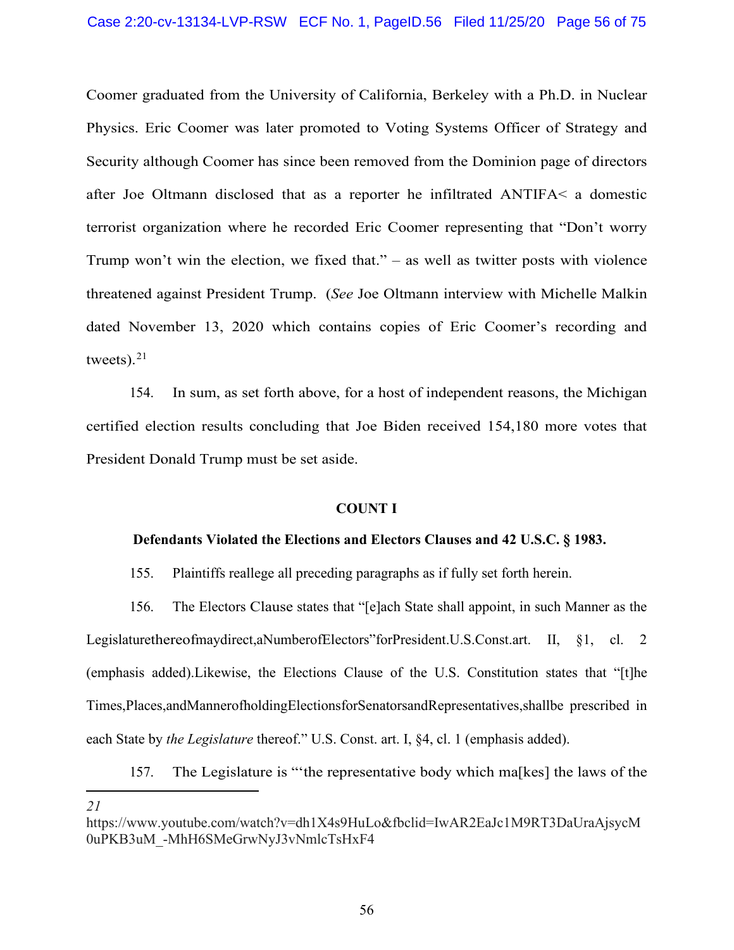Coomer graduated from the University of California, Berkeley with a Ph.D. in Nuclear Physics. Eric Coomer was later promoted to Voting Systems Officer of Strategy and Security although Coomer has since been removed from the Dominion page of directors after Joe Oltmann disclosed that as a reporter he infiltrated ANTIFA< a domestic terrorist organization where he recorded Eric Coomer representing that "Don't worry Trump won't win the election, we fixed that." – as well as twitter posts with violence threatened against President Trump. (*See* Joe Oltmann interview with Michelle Malkin dated November 13, 2020 which contains copies of Eric Coomer's recording and tweets). $21$ 

154. In sum, as set forth above, for a host of independent reasons, the Michigan certified election results concluding that Joe Biden received 154,180 more votes that President Donald Trump must be set aside.

### **COUNT I**

### **Defendants Violated the Elections and Electors Clauses and 42 U.S.C. § 1983.**

155. Plaintiffs reallege all preceding paragraphs as if fully set forth herein.

156. The Electors Clause states that "[e]ach State shall appoint, in such Manner as the Legislaturethereofmaydirect,aNumberofElectors"forPresident.U.S.Const.art. II, §1, cl. 2 (emphasis added).Likewise, the Elections Clause of the U.S. Constitution states that "[t]he Times,Places,andMannerofholdingElectionsforSenatorsandRepresentatives,shallbe prescribed in each State by *the Legislature* thereof." U.S. Const. art. I, §4, cl. 1 (emphasis added).

157. The Legislature is "'the representative body which ma[kes] the laws of the *21* [https://www.youtube.com/watch?v=dh1X4s9HuLo&fbclid=IwAR2EaJc1M9RT3DaUraAjsycM](https://www.youtube.com/watch?v=dh1X4s9HuLo&fbclid=IwAR2EaJc1M9RT3DaUraAjsycM0uPKB3uM_-MhH6SMeGrwNyJ3vNmlcTsHxF4)

<span id="page-55-0"></span>[<sup>0</sup>uPKB3uM\\_-MhH6SMeGrwNyJ3vNmlcTsHxF4](https://www.youtube.com/watch?v=dh1X4s9HuLo&fbclid=IwAR2EaJc1M9RT3DaUraAjsycM0uPKB3uM_-MhH6SMeGrwNyJ3vNmlcTsHxF4)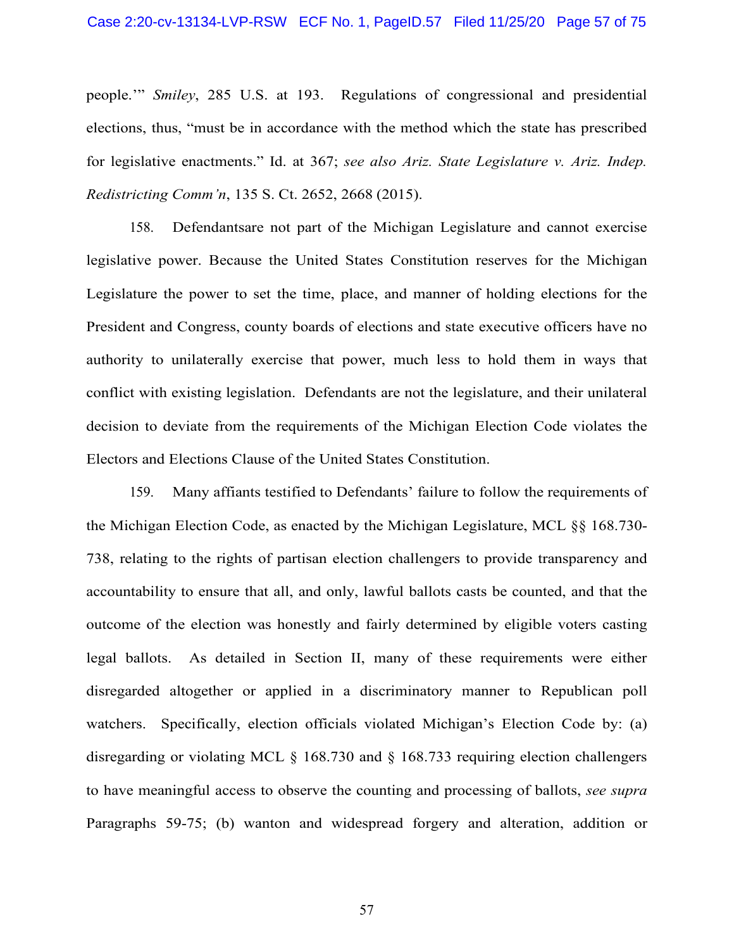people.'" *Smiley*[, 285 U.S. at 193.](https://advance.lexis.com/search/?pdmfid=1000516&crid=443bfe93-6013-4785-873f-00b97d8fabb5&pdsearchterms=285%2BU.S.%2B355&pdstartin=hlct%3A1%3A1&pdtypeofsearch=searchboxclick&pdsearchtype=SearchBox&pdqttype=or&pdquerytemplateid&ecomp=ygp3k&prid=fe72e345-70f1-4de3-aa09-028faaca2440) Regulations of congressional and presidential elections, thus, "must be in accordance with the method which the state has prescribed for legislative enactments." [Id. at 367;](https://advance.lexis.com/search/?pdmfid=1000516&crid=443bfe93-6013-4785-873f-00b97d8fabb5&pdsearchterms=285%2BU.S.%2B355&pdstartin=hlct%3A1%3A1&pdtypeofsearch=searchboxclick&pdsearchtype=SearchBox&pdqttype=or&pdquerytemplateid&ecomp=ygp3k&prid=fe72e345-70f1-4de3-aa09-028faaca2440) *see also [Ariz. State Legislature v. Ariz. Indep.](https://advance.lexis.com/search/?pdmfid=1000516&crid=c34fcbaa-0daa-4570-a0b6-6216c08c8b09&pdsearchterms=135%2BS.%2BCt.%2B2652&pdstartin=hlct%3A1%3A1&pdtypeofsearch=searchboxclick&pdsearchtype=SearchBox&pdqttype=and&pdquerytemplateid&ecomp=ygp3k&prid=443bfe93-6013-4785-873f-00b97d8fabb5)  [Redistricting](https://advance.lexis.com/search/?pdmfid=1000516&crid=c34fcbaa-0daa-4570-a0b6-6216c08c8b09&pdsearchterms=135%2BS.%2BCt.%2B2652&pdstartin=hlct%3A1%3A1&pdtypeofsearch=searchboxclick&pdsearchtype=SearchBox&pdqttype=and&pdquerytemplateid&ecomp=ygp3k&prid=443bfe93-6013-4785-873f-00b97d8fabb5) Comm'n*, 135 S. Ct. 2652, 2668 (2015).

158. Defendantsare not part of the Michigan Legislature and cannot exercise legislative power. Because the United States Constitution reserves for the Michigan Legislature the power to set the time, place, and manner of holding elections for the President and Congress, county boards of elections and state executive officers have no authority to unilaterally exercise that power, much less to hold them in ways that conflict with existing legislation. Defendants are not the legislature, and their unilateral decision to deviate from the requirements of the Michigan Election Code violates the Electors and Elections Clause of the United States Constitution.

159. Many affiants testified to Defendants' failure to follow the requirements of the Michigan Election Code, as enacted by the Michigan Legislature, MCL §§ 168.730- 738, relating to the rights of partisan election challengers to provide transparency and accountability to ensure that all, and only, lawful ballots casts be counted, and that the outcome of the election was honestly and fairly determined by eligible voters casting legal ballots. As detailed in Section II, many of these requirements were either disregarded altogether or applied in a discriminatory manner to Republican poll watchers. Specifically, election officials violated Michigan's Election Code by: (a) disregarding or violating MCL § 168.730 and § 168.733 requiring election challengers to have meaningful access to observe the counting and processing of ballots, *see supra*  Paragraphs [59-](#page-20-0)[75;](#page-25-0) (b) wanton and widespread forgery and alteration, addition or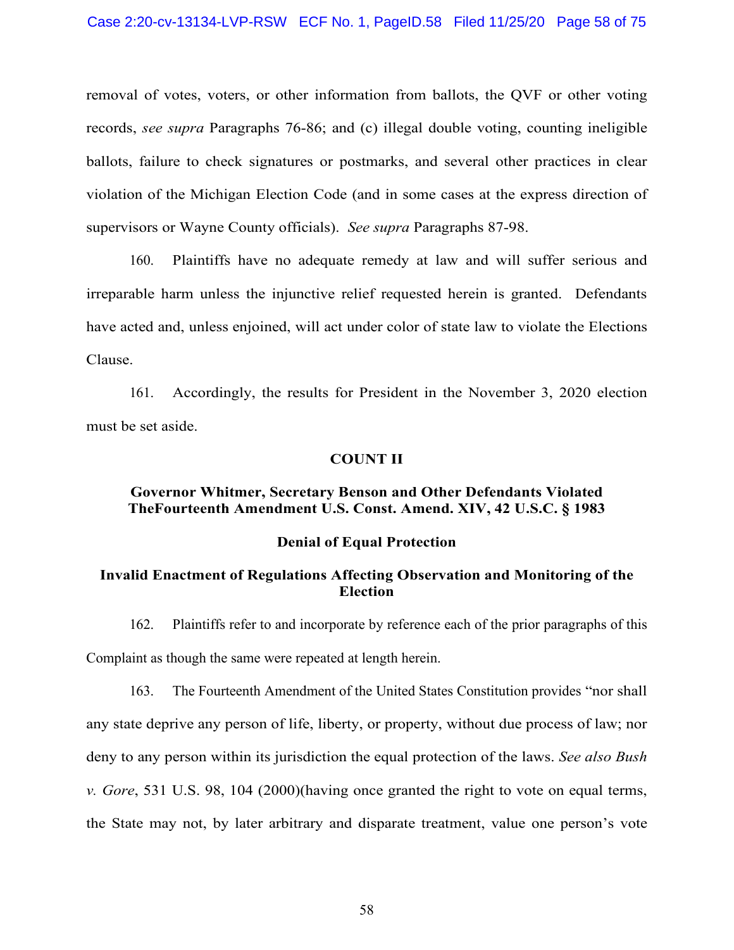removal of votes, voters, or other information from ballots, the QVF or other voting records, *see supra* Paragraphs [76](#page-26-1)[-86;](#page-30-0) and (c) illegal double voting, counting ineligible ballots, failure to check signatures or postmarks, and several other practices in clear violation of the Michigan Election Code (and in some cases at the express direction of supervisors or Wayne County officials). *See supra* Paragraphs [87-](#page-30-1)98.

160. Plaintiffs have no adequate remedy at law and will suffer serious and irreparable harm unless the injunctive relief requested herein is granted. Defendants have acted and, unless enjoined, will act under color of state law to violate the Elections Clause.

161. Accordingly, the results for President in the November 3, 2020 election must be set aside.

### **COUNT II**

### **Governor Whitmer, Secretary Benson and Other Defendants Violated TheFourteenth Amendment [U.S. Const. Amend. XIV,](https://advance.lexis.com/search/?pdmfid=1000516&crid=0a0e9fb7-a64f-4221-91f5-eea67a289914&pdsearchterms=U.S.%2BConst.%2BAmend.%2BXIV&pdstartin=hlct%3A1%3A1&pdtypeofsearch=searchboxclick&pdsearchtype=SearchBox&pdqttype=and&pdquerytemplateid&ecomp=ygp3k&prid=ef33de38-ba1c-45bf-a72c-38d9094b4d5c) [42 U.S.C. § 1983](https://advance.lexis.com/search/?pdmfid=1000516&crid=1a496e15-0e9b-4cd2-917d-dba249f9fbac&pdsearchterms=42%2BU.S.C.%2B%C2%A7%2B1983&pdstartin=hlct%3A1%3A1&pdtypeofsearch=searchboxclick&pdsearchtype=SearchBox&pdqttype=and&pdquerytemplateid&ecomp=ygp3k&prid=ae6bb6cd-1880-4592-abe9-9c32c0c4cbcf)**

#### **Denial of Equal Protection**

## **Invalid Enactment of Regulations Affecting Observation and Monitoring of the Election**

162. Plaintiffs refer to and incorporate by reference each of the prior paragraphs of this Complaint as though the same were repeated at length herein.

163. The Fourteenth Amendment of the United States Constitution provides "nor shall any state deprive any person of life, liberty, or property, without due process of law; nor deny to any person within its jurisdiction the equal protection of the laws. *See also Bush v. Gore*, 531 U.S. 98, 104 (2000)(having once granted the right to vote on equal terms, the State may not, by later arbitrary and disparate treatment, value one person's vote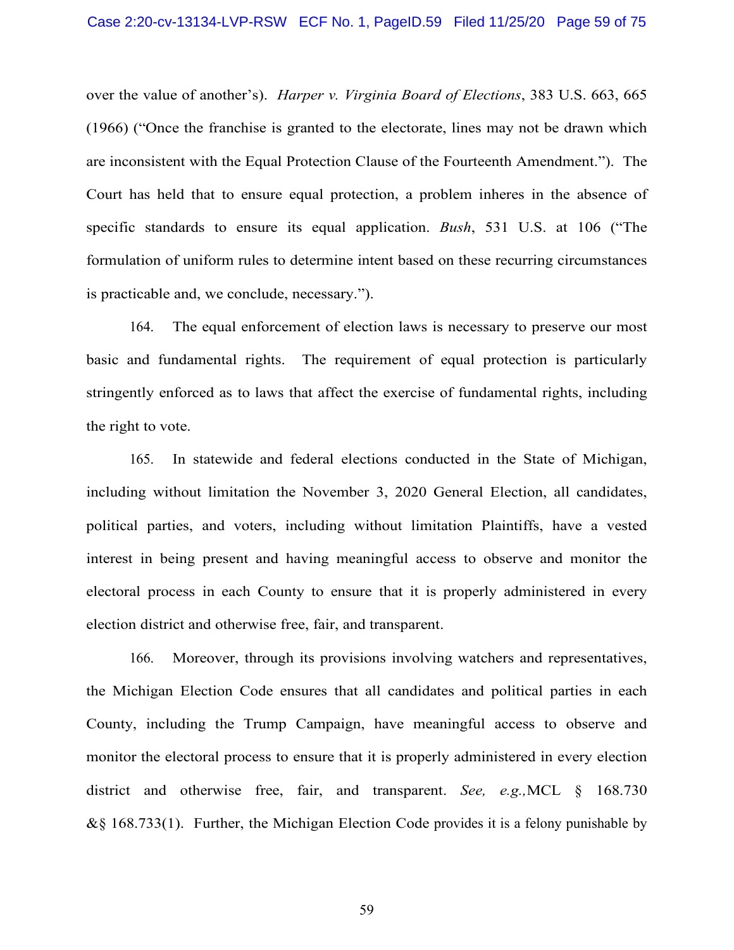over the value of another's). *Harper v. Virginia Board of Elections*, 383 U.S. 663, 665 (1966) ("Once the franchise is granted to the electorate, lines may not be drawn which are inconsistent with the Equal Protection Clause of the Fourteenth Amendment."). The Court has held that to ensure equal protection, a problem inheres in the absence of specific standards to ensure its equal application. *Bush*, 531 U.S. at 106 ("The formulation of uniform rules to determine intent based on these recurring circumstances is practicable and, we conclude, necessary.").

164. The equal enforcement of election laws is necessary to preserve our most basic and fundamental rights. The requirement of equal protection is particularly stringently enforced as to laws that affect the exercise of fundamental rights, including the right to vote.

165. In statewide and federal elections conducted in the State of Michigan, including without limitation the November 3, 2020 General Election, all candidates, political parties, and voters, including without limitation Plaintiffs, have a vested interest in being present and having meaningful access to observe and monitor the electoral process in each County to ensure that it is properly administered in every election district and otherwise free, fair, and transparent.

166. Moreover, through its provisions involving watchers and representatives, the Michigan Election Code ensures that all candidates and political parties in each County, including the Trump Campaign, have meaningful access to observe and monitor the electoral process to ensure that it is properly administered in every election district and otherwise free, fair, and transparent. *See, e.g.,*MCL § 168.730  $&$ § 168.733(1). Further, the Michigan Election Code provides it is a felony punishable by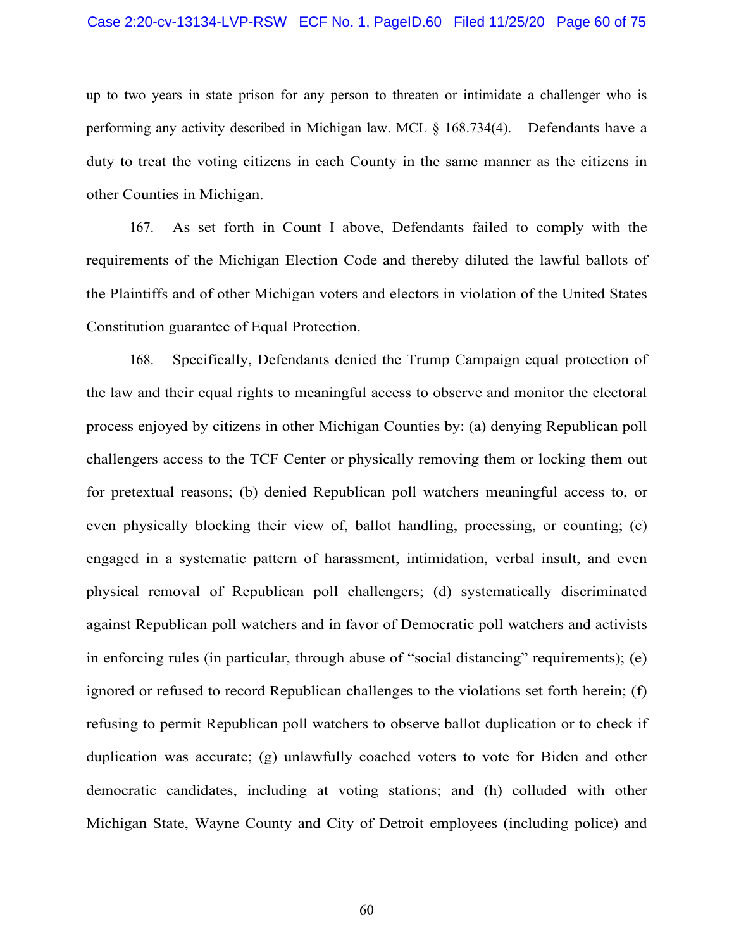### Case 2:20-cv-13134-LVP-RSW ECF No. 1, PageID.60 Filed 11/25/20 Page 60 of 75

up to two years in state prison for any person to threaten or intimidate a challenger who is performing any activity described in Michigan law. MCL § 168.734(4). Defendants have a duty to treat the voting citizens in each County in the same manner as the citizens in other Counties in Michigan.

167. As set forth in Count I above, Defendants failed to comply with the requirements of the Michigan Election Code and thereby diluted the lawful ballots of the Plaintiffs and of other Michigan voters and electors in violation of the United States Constitution guarantee of Equal Protection.

168. Specifically, Defendants denied the Trump Campaign equal protection of the law and their equal rights to meaningful access to observe and monitor the electoral process enjoyed by citizens in other Michigan Counties by: (a) denying Republican poll challengers access to the TCF Center or physically removing them or locking them out for pretextual reasons; (b) denied Republican poll watchers meaningful access to, or even physically blocking their view of, ballot handling, processing, or counting; (c) engaged in a systematic pattern of harassment, intimidation, verbal insult, and even physical removal of Republican poll challengers; (d) systematically discriminated against Republican poll watchers and in favor of Democratic poll watchers and activists in enforcing rules (in particular, through abuse of "social distancing" requirements); (e) ignored or refused to record Republican challenges to the violations set forth herein; (f) refusing to permit Republican poll watchers to observe ballot duplication or to check if duplication was accurate; (g) unlawfully coached voters to vote for Biden and other democratic candidates, including at voting stations; and (h) colluded with other Michigan State, Wayne County and City of Detroit employees (including police) and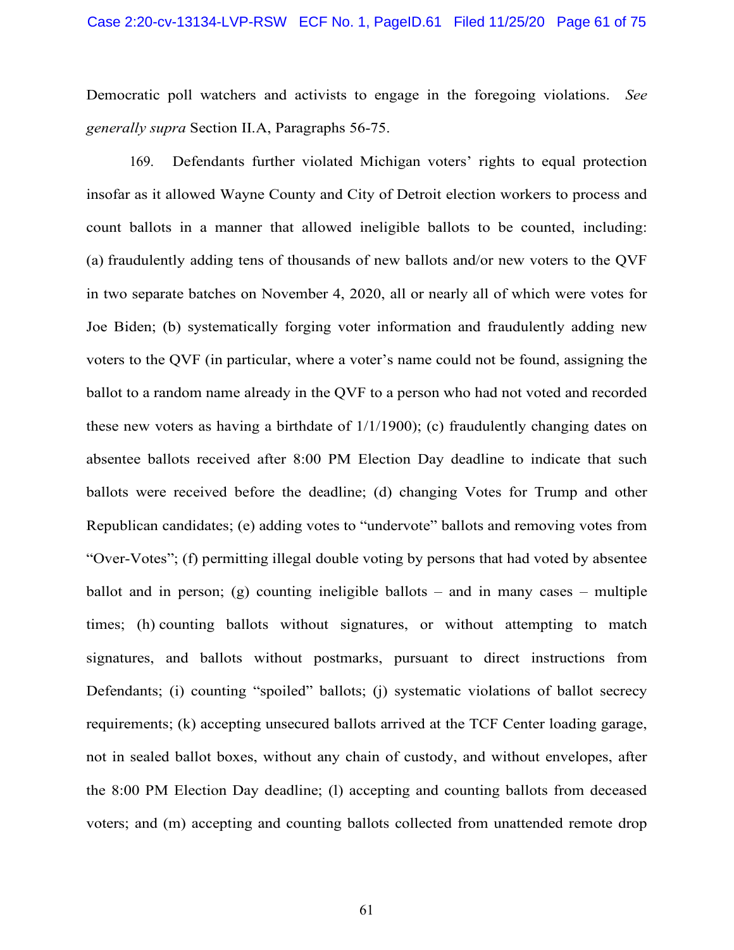Democratic poll watchers and activists to engage in the foregoing violations. *See generally supra* Section II.A, Paragraphs [56](#page-19-0)[-75.](#page-25-0)

169. Defendants further violated Michigan voters' rights to equal protection insofar as it allowed Wayne County and City of Detroit election workers to process and count ballots in a manner that allowed ineligible ballots to be counted, including: (a) fraudulently adding tens of thousands of new ballots and/or new voters to the QVF in two separate batches on November 4, 2020, all or nearly all of which were votes for Joe Biden; (b) systematically forging voter information and fraudulently adding new voters to the QVF (in particular, where a voter's name could not be found, assigning the ballot to a random name already in the QVF to a person who had not voted and recorded these new voters as having a birthdate of 1/1/1900); (c) fraudulently changing dates on absentee ballots received after 8:00 PM Election Day deadline to indicate that such ballots were received before the deadline; (d) changing Votes for Trump and other Republican candidates; (e) adding votes to "undervote" ballots and removing votes from "Over-Votes"; (f) permitting illegal double voting by persons that had voted by absentee ballot and in person; (g) counting ineligible ballots – and in many cases – multiple times; (h) counting ballots without signatures, or without attempting to match signatures, and ballots without postmarks, pursuant to direct instructions from Defendants; (i) counting "spoiled" ballots; (i) systematic violations of ballot secrecy requirements; (k) accepting unsecured ballots arrived at the TCF Center loading garage, not in sealed ballot boxes, without any chain of custody, and without envelopes, after the 8:00 PM Election Day deadline; (l) accepting and counting ballots from deceased voters; and (m) accepting and counting ballots collected from unattended remote drop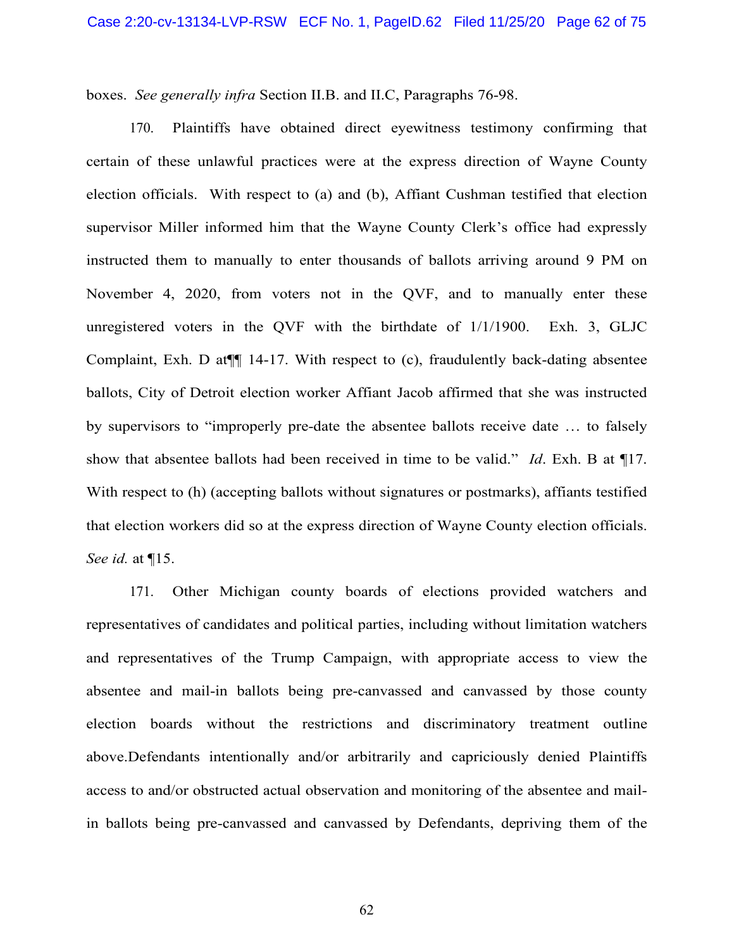boxes. *See generally infra* Section II.B. and II.C, Paragraphs [76-](#page-26-1)98.

170. Plaintiffs have obtained direct eyewitness testimony confirming that certain of these unlawful practices were at the express direction of Wayne County election officials. With respect to (a) and (b), Affiant Cushman testified that election supervisor Miller informed him that the Wayne County Clerk's office had expressly instructed them to manually to enter thousands of ballots arriving around 9 PM on November 4, 2020, from voters not in the QVF, and to manually enter these unregistered voters in the QVF with the birthdate of 1/1/1900. Exh. 3, GLJC Complaint, Exh. D at¶¶ 14-17. With respect to (c), fraudulently back-dating absentee ballots, City of Detroit election worker Affiant Jacob affirmed that she was instructed by supervisors to "improperly pre-date the absentee ballots receive date … to falsely show that absentee ballots had been received in time to be valid." *Id*. Exh. B at ¶17. With respect to (h) (accepting ballots without signatures or postmarks), affiants testified that election workers did so at the express direction of Wayne County election officials. *See id.* at ¶15.

171. Other Michigan county boards of elections provided watchers and representatives of candidates and political parties, including without limitation watchers and representatives of the Trump Campaign, with appropriate access to view the absentee and mail-in ballots being pre-canvassed and canvassed by those county election boards without the restrictions and discriminatory treatment outline above.Defendants intentionally and/or arbitrarily and capriciously denied Plaintiffs access to and/or obstructed actual observation and monitoring of the absentee and mailin ballots being pre-canvassed and canvassed by Defendants, depriving them of the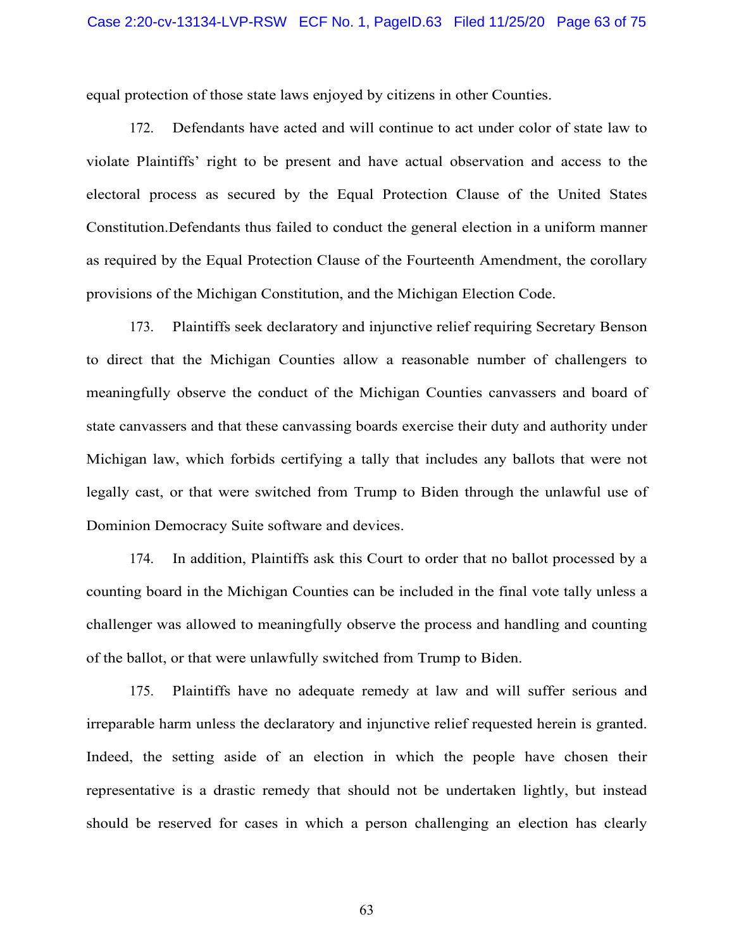equal protection of those state laws enjoyed by citizens in other Counties.

172. Defendants have acted and will continue to act under color of state law to violate Plaintiffs' right to be present and have actual observation and access to the electoral process as secured by the Equal Protection Clause of the United States Constitution.Defendants thus failed to conduct the general election in a uniform manner as required by the Equal Protection Clause of the Fourteenth Amendment, the corollary provisions of the Michigan Constitution, and the Michigan Election Code.

173. Plaintiffs seek declaratory and injunctive relief requiring Secretary Benson to direct that the Michigan Counties allow a reasonable number of challengers to meaningfully observe the conduct of the Michigan Counties canvassers and board of state canvassers and that these canvassing boards exercise their duty and authority under Michigan law, which forbids certifying a tally that includes any ballots that were not legally cast, or that were switched from Trump to Biden through the unlawful use of Dominion Democracy Suite software and devices.

174. In addition, Plaintiffs ask this Court to order that no ballot processed by a counting board in the Michigan Counties can be included in the final vote tally unless a challenger was allowed to meaningfully observe the process and handling and counting of the ballot, or that were unlawfully switched from Trump to Biden.

175. Plaintiffs have no adequate remedy at law and will suffer serious and irreparable harm unless the declaratory and injunctive relief requested herein is granted. Indeed, the setting aside of an election in which the people have chosen their representative is a drastic remedy that should not be undertaken lightly, but instead should be reserved for cases in which a person challenging an election has clearly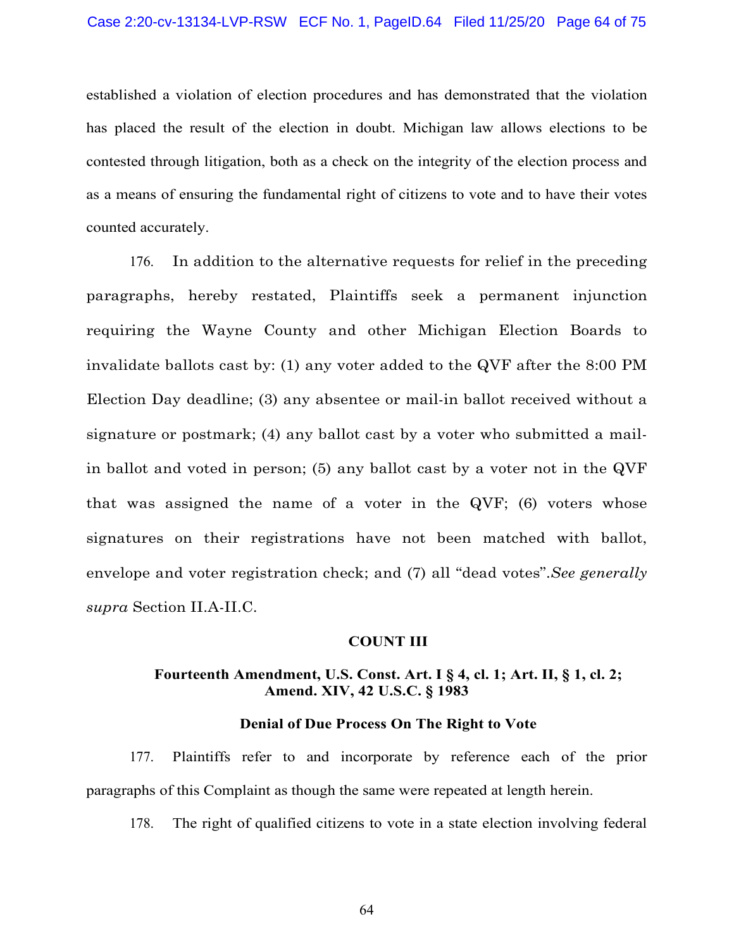established a violation of election procedures and has demonstrated that the violation has placed the result of the election in doubt. Michigan law allows elections to be contested through litigation, both as a check on the integrity of the election process and as a means of ensuring the fundamental right of citizens to vote and to have their votes counted accurately.

176. In addition to the alternative requests for relief in the preceding paragraphs, hereby restated, Plaintiffs seek a permanent injunction requiring the Wayne County and other Michigan Election Boards to invalidate ballots cast by: (1) any voter added to the QVF after the 8:00 PM Election Day deadline; (3) any absentee or mail-in ballot received without a signature or postmark; (4) any ballot cast by a voter who submitted a mailin ballot and voted in person; (5) any ballot cast by a voter not in the QVF that was assigned the name of a voter in the QVF; (6) voters whose signatures on their registrations have not been matched with ballot, envelope and voter registration check; and (7) all "dead votes".*See generally supra* Section II.A-II.C.

### **COUNT III**

# **Fourteenth Amendment, [U.S. Const. Art. I § 4, cl. 1;](https://advance.lexis.com/search/?pdmfid=1000516&crid=c8558e76-af54-4764-be0d-a3caf1c6a191&pdsearchterms=U.S.%2BConst.%2BArt.%2BI%2C%2B%C2%A7%2B4%2C%2Bcl.%2B1&pdstartin=hlct%3A1%3A1&pdtypeofsearch=searchboxclick&pdsearchtype=SearchBox&pdqttype=and&pdquerytemplateid&ecomp=ygp3k&prid=e55455de-edff-4351-8882-a5ba2b4cbe95) [Art. II, § 1, cl. 2;](https://advance.lexis.com/search/?pdmfid=1000516&crid=c85dd5d9-603c-4aca-8f57-a7628df7d9d8&pdsearchterms=U.S.%2BConst.%2BArt.%2BII%2C%2B%C2%A7%2B1%2C%2Bcl.%2B2&pdstartin=hlct%3A1%3A1&pdtypeofsearch=searchboxclick&pdsearchtype=SearchBox&pdqttype=and&pdquerytemplateid&ecomp=ygp3k&prid=c8558e76-af54-4764-be0d-a3caf1c6a191) Amend. [XIV,](https://advance.lexis.com/search/?pdmfid=1000516&crid=0a0e9fb7-a64f-4221-91f5-eea67a289914&pdsearchterms=U.S.%2BConst.%2BAmend.%2BXIV&pdstartin=hlct%3A1%3A1&pdtypeofsearch=searchboxclick&pdsearchtype=SearchBox&pdqttype=and&pdquerytemplateid&ecomp=ygp3k&prid=ef33de38-ba1c-45bf-a72c-38d9094b4d5c) [42 U.S.C. § 1983](https://advance.lexis.com/search/?pdmfid=1000516&crid=1a496e15-0e9b-4cd2-917d-dba249f9fbac&pdsearchterms=42%2BU.S.C.%2B%C2%A7%2B1983&pdstartin=hlct%3A1%3A1&pdtypeofsearch=searchboxclick&pdsearchtype=SearchBox&pdqttype=and&pdquerytemplateid&ecomp=ygp3k&prid=ae6bb6cd-1880-4592-abe9-9c32c0c4cbcf)**

#### **Denial of Due Process On The Right to Vote**

177. Plaintiffs refer to and incorporate by reference each of the prior paragraphs of this Complaint as though the same were repeated at length herein.

178. The right of qualified citizens to vote in a state election involving federal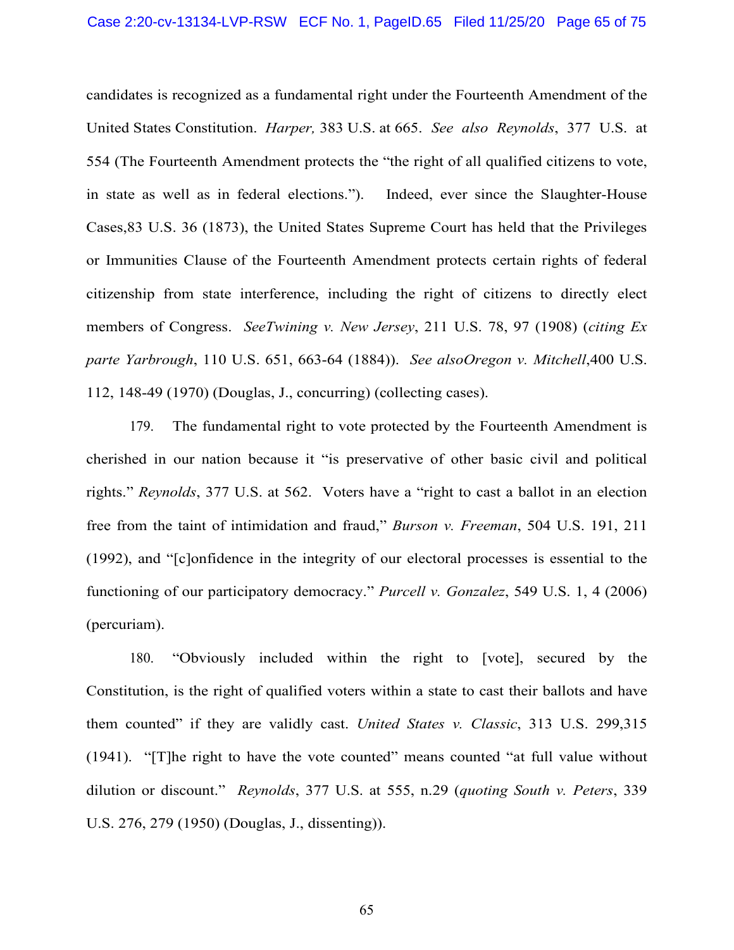candidates is recognized as a fundamental right under the Fourteenth Amendment of the United States Constitution. *Harper,* 383 U.S. at 665. *See also Reynolds*, 377 U.S. at 554 (The Fourteenth Amendment protects the "the right of all qualified citizens to vote, in state as well as in federal elections."). Indeed, ever since the [Slaughter-House](https://advance.lexis.com/search/?pdmfid=1000516&crid=4394bbba-c59c-400f-8c3d-e530d47add6e&pdsearchterms=83%2Bus%2B36&pdstartin=hlct%3A1%3A1&pdtypeofsearch=searchboxclick&pdsearchtype=SearchBox&pdqttype=and&pdquerytemplateid&ecomp=ygp3k&prid=89e6a49c-fd4e-40f2-8e70-ddb26c941de4)  [Cases,83 U.S. 36 \(1873\),](https://advance.lexis.com/search/?pdmfid=1000516&crid=4394bbba-c59c-400f-8c3d-e530d47add6e&pdsearchterms=83%2Bus%2B36&pdstartin=hlct%3A1%3A1&pdtypeofsearch=searchboxclick&pdsearchtype=SearchBox&pdqttype=and&pdquerytemplateid&ecomp=ygp3k&prid=89e6a49c-fd4e-40f2-8e70-ddb26c941de4) the United States Supreme Court has held that the Privileges or Immunities Clause of the Fourteenth Amendment protects certain rights of federal citizenship from state interference, including the right of citizens to directly elect members of Congress. *SeeTwining v. New Jersey*, 211 U.S. 78, 97 (1908) (*citing Ex parte Yarbrough*, 110 U.S. 651, 663-64 (1884)). *See als[oOregon v. Mitchell](https://advance.lexis.com/search/?pdmfid=1000516&crid=b76a2717-bdb4-4ecf-bb09-eb1c8048c2df&pdsearchterms=400%2Bus%2B112&pdstartin=hlct%3A1%3A1&pdtypeofsearch=searchboxclick&pdsearchtype=SearchBox&pdqttype=and&pdquerytemplateid&ecomp=ygp3k&prid=30328bfd-743d-48a2-8803-80de39160d7c)*[,400 U.S.](https://advance.lexis.com/search/?pdmfid=1000516&crid=b76a2717-bdb4-4ecf-bb09-eb1c8048c2df&pdsearchterms=400%2Bus%2B112&pdstartin=hlct%3A1%3A1&pdtypeofsearch=searchboxclick&pdsearchtype=SearchBox&pdqttype=and&pdquerytemplateid&ecomp=ygp3k&prid=30328bfd-743d-48a2-8803-80de39160d7c)  112, [148-49 \(1970\) \(](https://advance.lexis.com/search/?pdmfid=1000516&crid=b76a2717-bdb4-4ecf-bb09-eb1c8048c2df&pdsearchterms=400%2Bus%2B112&pdstartin=hlct%3A1%3A1&pdtypeofsearch=searchboxclick&pdsearchtype=SearchBox&pdqttype=and&pdquerytemplateid&ecomp=ygp3k&prid=30328bfd-743d-48a2-8803-80de39160d7c)Douglas, J., concurring) (collecting cases).

179. The fundamental right to vote protected by the Fourteenth Amendment is cherished in our nation because it "is preservative of other basic civil and political rights." *Reynolds*[, 377 U.S. at 562.](https://advance.lexis.com/search/?pdmfid=1000516&crid=f98c93b2-28a9-4683-8d68-418666716477&pdsearchterms=reynolds%2Bv.%2Bsims%2C%2B377%2Bu.s.%2B533&pdstartin=hlct%3A1%3A1&pdtypeofsearch=searchboxclick&pdsearchtype=SearchBox&pdqttype=and&pdquerytemplateid&ecomp=ygp3k&prid=6746bb8b-c37c-4a26-b085-2804a1a3052c) Voters have a "right to cast a ballot in an election free from the taint of intimidation and fraud," *Burson v. Freeman*[, 504 U.S. 191, 211](https://advance.lexis.com/search/?pdmfid=1000516&crid=89971b89-0499-47a9-a38b-76795d118490&pdsearchterms=504%2BU.S.%2Bat211&pdtypeofsearch=searchboxclick&pdsearchtype=SearchBox&pdstartin&pdpsf&pdqttype=and&pdquerytemplateid&ecomp=Jys5kkk&earg=pdsf&prid=1ebfa9f9-363f-48a9-a94b-5e57dbed298b)  [\(1992\),](https://advance.lexis.com/search/?pdmfid=1000516&crid=89971b89-0499-47a9-a38b-76795d118490&pdsearchterms=504%2BU.S.%2Bat211&pdtypeofsearch=searchboxclick&pdsearchtype=SearchBox&pdstartin&pdpsf&pdqttype=and&pdquerytemplateid&ecomp=Jys5kkk&earg=pdsf&prid=1ebfa9f9-363f-48a9-a94b-5e57dbed298b) and "[c]onfidence in the integrity of our electoral processes is essential to the functioning of our participatory democracy." *Purcell v. Gonzalez*[, 549 U.S. 1, 4 \(2006\)](https://advance.lexis.com/search/?pdmfid=1000516&crid=1118d18d-92d3-427a-b222-95855628f587&pdsearchterms=549%2BU.S.%2Bat%2B4&pdstartin=hlct%3A1%3A1&pdtypeofsearch=searchboxclick&pdsearchtype=SearchBox&pdqttype=and&pdquerytemplateid&ecomp=xgdnk&prid=89971b89-0499-47a9-a38b-76795d118490)  [\(percuriam\).](https://advance.lexis.com/search/?pdmfid=1000516&crid=1118d18d-92d3-427a-b222-95855628f587&pdsearchterms=549%2BU.S.%2Bat%2B4&pdstartin=hlct%3A1%3A1&pdtypeofsearch=searchboxclick&pdsearchtype=SearchBox&pdqttype=and&pdquerytemplateid&ecomp=xgdnk&prid=89971b89-0499-47a9-a38b-76795d118490)

180. "Obviously included within the right to [vote], secured by the Constitution, is the right of qualified voters within a state to cast their ballots and have them counted" if they are validly cast. *[United States v. Classic](https://advance.lexis.com/search/?pdmfid=1000516&crid=ee4b35b5-f23f-4068-bf24-cf5a5b351a96&pdsearchterms=313%2BU.S.%2B299&pdstartin=hlct%3A1%3A1&pdtypeofsearch=searchboxclick&pdsearchtype=SearchBox&pdqttype=and&pdquerytemplateid&ecomp=ygp3k&prid=bacfd72b-a218-4a1a-816a-38d5879f1738)*, 313 U.S. 299[,315](https://advance.lexis.com/search/?pdmfid=1000516&crid=ee4b35b5-f23f-4068-bf24-cf5a5b351a96&pdsearchterms=313%2BU.S.%2B299&pdstartin=hlct%3A1%3A1&pdtypeofsearch=searchboxclick&pdsearchtype=SearchBox&pdqttype=and&pdquerytemplateid&ecomp=ygp3k&prid=bacfd72b-a218-4a1a-816a-38d5879f1738)  [\(1941\).](https://advance.lexis.com/search/?pdmfid=1000516&crid=ee4b35b5-f23f-4068-bf24-cf5a5b351a96&pdsearchterms=313%2BU.S.%2B299&pdstartin=hlct%3A1%3A1&pdtypeofsearch=searchboxclick&pdsearchtype=SearchBox&pdqttype=and&pdquerytemplateid&ecomp=ygp3k&prid=bacfd72b-a218-4a1a-816a-38d5879f1738) "[T]he right to have the vote counted" means counted "at full value without dilution or discount." *Reynolds*[, 377 U.S. at 555, n.29 \(](https://advance.lexis.com/search/?pdmfid=1000516&crid=f98c93b2-28a9-4683-8d68-418666716477&pdsearchterms=reynolds%2Bv.%2Bsims%2C%2B377%2Bu.s.%2B533&pdstartin=hlct%3A1%3A1&pdtypeofsearch=searchboxclick&pdsearchtype=SearchBox&pdqttype=and&pdquerytemplateid&ecomp=ygp3k&prid=6746bb8b-c37c-4a26-b085-2804a1a3052c)*quoting [South v.](https://advance.lexis.com/search/?pdmfid=1000516&crid=b4e47498-7c8b-4d48-b8b7-f3c88d603294&pdsearchterms=313%2BU.S.%2B299&pdstartin=hlct%3A1%3A1&pdtypeofsearch=searchboxclick&pdsearchtype=SearchBox&pdqttype=and&pdquerytemplateid&ecomp=ygp3k&prid=ee4b35b5-f23f-4068-bf24-cf5a5b351a96) Peters*, 339 U.S. 276, 279 (1950) (Douglas, J., dissenting)).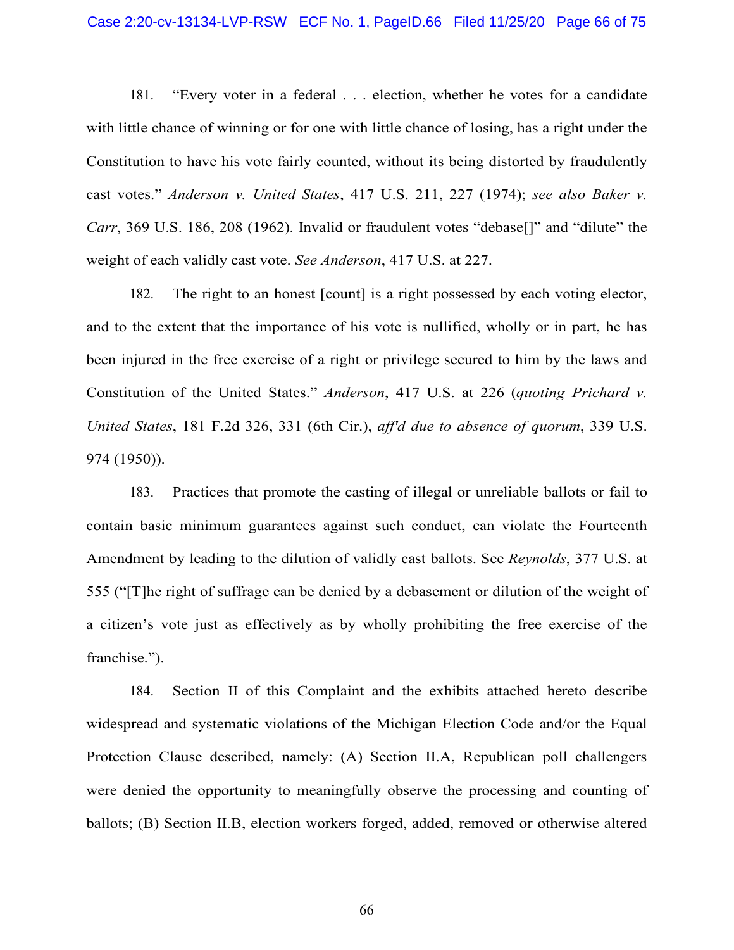181. "Every voter in a federal . . . election, whether he votes for a candidate with little chance of winning or for one with little chance of losing, has a right under the Constitution to have his vote fairly counted, without its being distorted by fraudulently cast votes." *Anderson v. United States*[, 417 U.S. 211, 227 \(1974\);](https://advance.lexis.com/search/?pdmfid=1000516&crid=63e4c202-ea28-499a-b6da-d22127ee7008&pdsearchterms=417%2BU.S.%2B211&pdstartin=hlct%3A1%3A1&pdtypeofsearch=searchboxclick&pdsearchtype=SearchBox&pdqttype=and&pdquerytemplateid&ecomp=ygp3k&prid=b4e47498-7c8b-4d48-b8b7-f3c88d603294) *see also Baker v. Carr*, 369 U.S. 186, 208 (1962). Invalid or fraudulent votes "debase<sup>[]"</sup> and "dilute" the weight of each validly cast vote. *See Anderson*, 417 U.S. at 227.

182. The right to an honest [count] is a right possessed by each voting elector, and to the extent that the importance of his vote is nullified, wholly or in part, he has been injured in the free exercise of a right or privilege secured to him by the laws and Constitution of the United States." *Anderson*[, 417 U.S. at 226 \(](https://advance.lexis.com/search/?pdmfid=1000516&crid=63e4c202-ea28-499a-b6da-d22127ee7008&pdsearchterms=417%2BU.S.%2B211&pdstartin=hlct%3A1%3A1&pdtypeofsearch=searchboxclick&pdsearchtype=SearchBox&pdqttype=and&pdquerytemplateid&ecomp=ygp3k&prid=b4e47498-7c8b-4d48-b8b7-f3c88d603294)*quoting Prichard v. United States*, 181 F.2d 326, 331 (6th Cir.), *aff'd due to absence of quorum*, [339 U.S.](https://advance.lexis.com/document/?pdmfid=1000516&crid=6b398232-34e3-497a-ac9b-2d09591c008e&pddocfullpath=%2Fshared%2Fdocument%2Fcases%2Furn%3AcontentItem%3A3S4X-JMP0-003B-S549-00000-00&pdcontentcomponentid=6443&pdshepid=urn%3AcontentItem%3A7XX0-65W1-2NSD-R02V-00000-00&pdteaserkey=sr1&pditab=allpods&ecomp=gxdsk&earg=sr1&prid=0d67cf18-3693-4485-87ad-7e246aecc062)  [974 \(1950\)\)](https://advance.lexis.com/document/?pdmfid=1000516&crid=6b398232-34e3-497a-ac9b-2d09591c008e&pddocfullpath=%2Fshared%2Fdocument%2Fcases%2Furn%3AcontentItem%3A3S4X-JMP0-003B-S549-00000-00&pdcontentcomponentid=6443&pdshepid=urn%3AcontentItem%3A7XX0-65W1-2NSD-R02V-00000-00&pdteaserkey=sr1&pditab=allpods&ecomp=gxdsk&earg=sr1&prid=0d67cf18-3693-4485-87ad-7e246aecc062).

183. Practices that promote the casting of illegal or unreliable ballots or fail to contain basic minimum guarantees against such conduct, can violate the Fourteenth Amendment by leading to the dilution of validly cast ballots. See *Reynolds*, 377 U.S. at 555 ("[T]he right of suffrage can be denied by a debasement or dilution of the weight of a citizen's vote just as effectively as by wholly prohibiting the free exercise of the franchise.").

184. Section II of this Complaint and the exhibits attached hereto describe widespread and systematic violations of the Michigan Election Code and/or the Equal Protection Clause described, namely: (A) Section II.A, Republican poll challengers were denied the opportunity to meaningfully observe the processing and counting of ballots; (B) Section II.B, election workers forged, added, removed or otherwise altered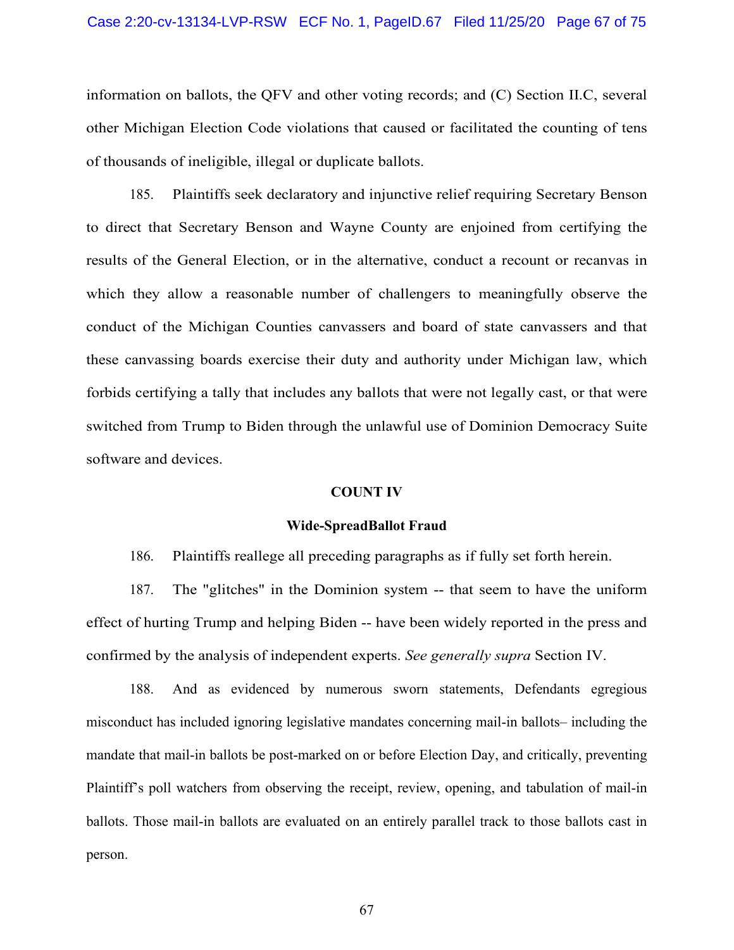information on ballots, the QFV and other voting records; and (C) Section II.C, several other Michigan Election Code violations that caused or facilitated the counting of tens of thousands of ineligible, illegal or duplicate ballots.

185. Plaintiffs seek declaratory and injunctive relief requiring Secretary Benson to direct that Secretary Benson and Wayne County are enjoined from certifying the results of the General Election, or in the alternative, conduct a recount or recanvas in which they allow a reasonable number of challengers to meaningfully observe the conduct of the Michigan Counties canvassers and board of state canvassers and that these canvassing boards exercise their duty and authority under Michigan law, which forbids certifying a tally that includes any ballots that were not legally cast, or that were switched from Trump to Biden through the unlawful use of Dominion Democracy Suite software and devices.

#### **COUNT IV**

#### **Wide-SpreadBallot Fraud**

186. Plaintiffs reallege all preceding paragraphs as if fully set forth herein.

187. The "glitches" in the Dominion system -- that seem to have the uniform effect of hurting Trump and helping Biden -- have been widely reported in the press and confirmed by the analysis of independent experts. *See generally supra* Section IV.

188. And as evidenced by numerous sworn statements, Defendants egregious misconduct has included ignoring legislative mandates concerning mail-in ballots– including the mandate that mail-in ballots be post-marked on or before Election Day, and critically, preventing Plaintiff's poll watchers from observing the receipt, review, opening, and tabulation of mail-in ballots. Those mail-in ballots are evaluated on an entirely parallel track to those ballots cast in person.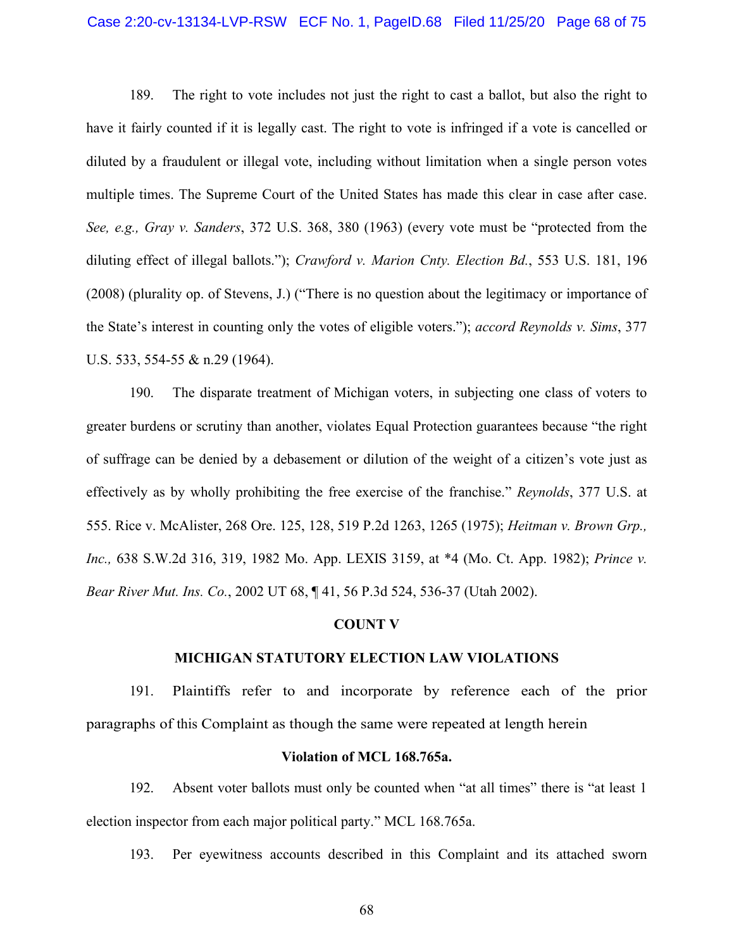#### Case 2:20-cv-13134-LVP-RSW ECF No. 1, PageID.68 Filed 11/25/20 Page 68 of 75

189. The right to vote includes not just the right to cast a ballot, but also the right to have it fairly counted if it is legally cast. The right to vote is infringed if a vote is cancelled or diluted by a fraudulent or illegal vote, including without limitation when a single person votes multiple times. The Supreme Court of the United States has made this clear in case after case. *See, e.g., Gray v. Sanders*, 372 U.S. 368, 380 (1963) (every vote must be "protected from the diluting effect of illegal ballots."); *Crawford v. Marion Cnty. Election Bd.*, 553 U.S. 181, 196 (2008) (plurality op. of Stevens, J.) ("There is no question about the legitimacy or importance of the State's interest in counting only the votes of eligible voters."); *accord Reynolds v. Sims*, 377 U.S. 533, 554-55 & n.29 (1964).

190. The disparate treatment of Michigan voters, in subjecting one class of voters to greater burdens or scrutiny than another, violates Equal Protection guarantees because "the right of suffrage can be denied by a debasement or dilution of the weight of a citizen's vote just as effectively as by wholly prohibiting the free exercise of the franchise." *Reynolds*, 377 U.S. at 555. Rice v. McAlister, 268 Ore. 125, 128, 519 P.2d 1263, 1265 (1975); *Heitman v. Brown Grp., Inc.,* 638 S.W.2d 316, 319, 1982 Mo. App. LEXIS 3159, at \*4 (Mo. Ct. App. 1982); *Prince v. Bear River Mut. Ins. Co.*, 2002 UT 68, ¶ 41, 56 P.3d 524, 536-37 (Utah 2002).

#### **COUNT V**

### **MICHIGAN STATUTORY ELECTION LAW VIOLATIONS**

191. Plaintiffs refer to and incorporate by reference each of the prior paragraphs of this Complaint as though the same were repeated at length herein

#### **Violation of MCL 168.765a.**

192. Absent voter ballots must only be counted when "at all times" there is "at least 1 election inspector from each major political party." MCL 168.765a.

193. Per eyewitness accounts described in this Complaint and its attached sworn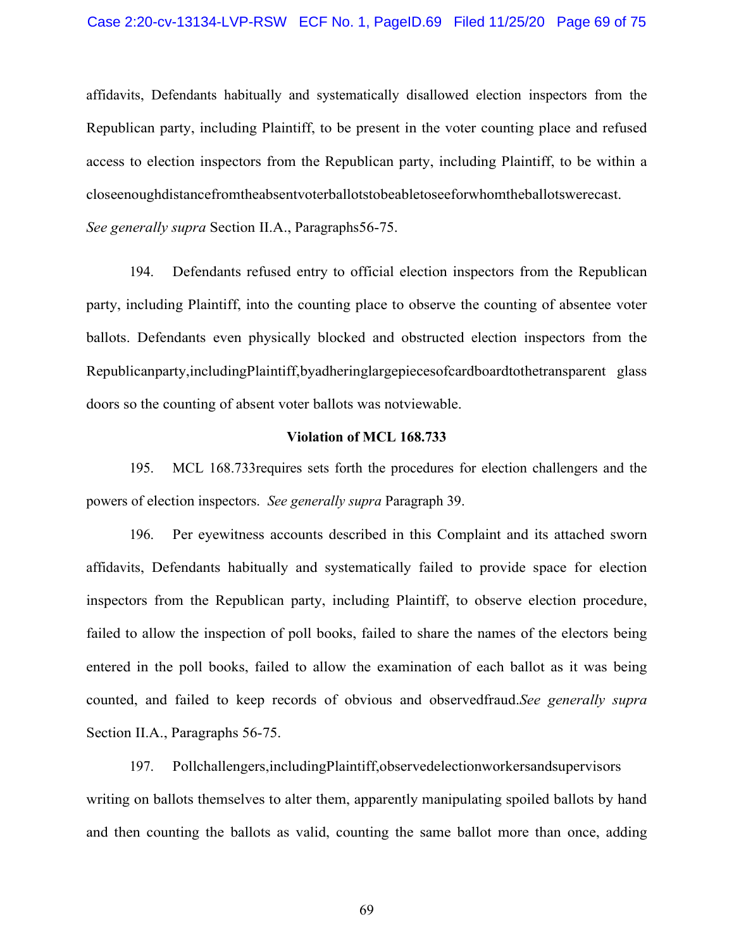affidavits, Defendants habitually and systematically disallowed election inspectors from the Republican party, including Plaintiff, to be present in the voter counting place and refused access to election inspectors from the Republican party, including Plaintiff, to be within a closeenoughdistancefromtheabsentvoterballotstobeabletoseeforwhomtheballotswerecast.

*See generally supra* Section II.A., Paragraph[s56](#page-19-0)[-75.](#page-25-0)

194. Defendants refused entry to official election inspectors from the Republican party, including Plaintiff, into the counting place to observe the counting of absentee voter ballots. Defendants even physically blocked and obstructed election inspectors from the Republicanparty,includingPlaintiff,byadheringlargepiecesofcardboardtothetransparent glass doors so the counting of absent voter ballots was notviewable.

#### **Violation of MCL 168.733**

195. MCL 168.733requires sets forth the procedures for election challengers and the powers of election inspectors. *See generally supra* Paragraph [39.](#page-13-0)

196. Per eyewitness accounts described in this Complaint and its attached sworn affidavits, Defendants habitually and systematically failed to provide space for election inspectors from the Republican party, including Plaintiff, to observe election procedure, failed to allow the inspection of poll books, failed to share the names of the electors being entered in the poll books, failed to allow the examination of each ballot as it was being counted, and failed to keep records of obvious and observedfraud.*See generally supra*  Section II.A., Paragraphs [56-](#page-19-0)[75.](#page-25-0)

197. Pollchallengers,includingPlaintiff,observedelectionworkersandsupervisors writing on ballots themselves to alter them, apparently manipulating spoiled ballots by hand and then counting the ballots as valid, counting the same ballot more than once, adding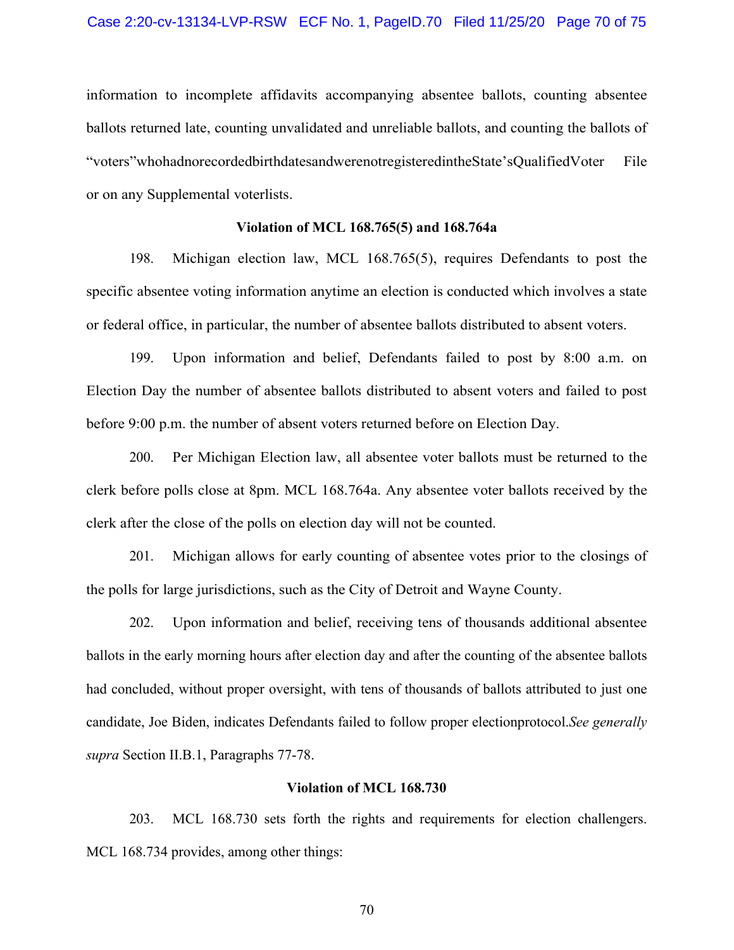information to incomplete affidavits accompanying absentee ballots, counting absentee ballots returned late, counting unvalidated and unreliable ballots, and counting the ballots of "voters"whohadnorecordedbirthdatesandwerenotregisteredintheState'sQualifiedVoter File or on any Supplemental voterlists.

### **Violation of MCL 168.765(5) and 168.764a**

198. Michigan election law, MCL 168.765(5), requires Defendants to post the specific absentee voting information anytime an election is conducted which involves a state or federal office, in particular, the number of absentee ballots distributed to absent voters.

199. Upon information and belief, Defendants failed to post by 8:00 a.m. on Election Day the number of absentee ballots distributed to absent voters and failed to post before 9:00 p.m. the number of absent voters returned before on Election Day.

200. Per Michigan Election law, all absentee voter ballots must be returned to the clerk before polls close at 8pm. MCL 168.764a. Any absentee voter ballots received by the clerk after the close of the polls on election day will not be counted.

201. Michigan allows for early counting of absentee votes prior to the closings of the polls for large jurisdictions, such as the City of Detroit and Wayne County.

202. Upon information and belief, receiving tens of thousands additional absentee ballots in the early morning hours after election day and after the counting of the absentee ballots had concluded, without proper oversight, with tens of thousands of ballots attributed to just one candidate, Joe Biden, indicates Defendants failed to follow proper electionprotocol.*See generally supra* Section II.B.1, Paragraphs [77-](#page-26-0)[78.](#page-27-0)

### **Violation of MCL 168.730**

203. MCL 168.730 sets forth the rights and requirements for election challengers. MCL 168.734 provides, among other things: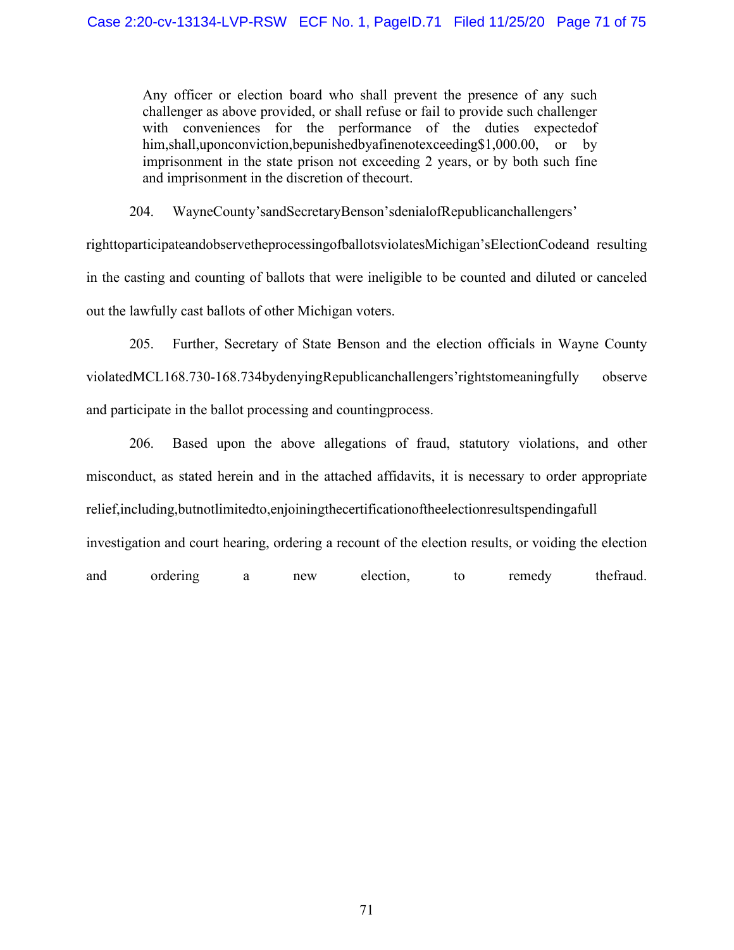Any officer or election board who shall prevent the presence of any such challenger as above provided, or shall refuse or fail to provide such challenger with conveniences for the performance of the duties expected of him,shall,uponconviction,bepunishedbyafinenotexceeding\$1,000.00, or by imprisonment in the state prison not exceeding 2 years, or by both such fine and imprisonment in the discretion of thecourt.

204. WayneCounty'sandSecretaryBenson'sdenialofRepublicanchallengers'

righttoparticipateandobservetheprocessingofballotsviolatesMichigan'sElectionCodeand resulting in the casting and counting of ballots that were ineligible to be counted and diluted or canceled out the lawfully cast ballots of other Michigan voters.

205. Further, Secretary of State Benson and the election officials in Wayne County violatedMCL168.730-168.734bydenyingRepublicanchallengers'rightstomeaningfully observe and participate in the ballot processing and countingprocess.

206. Based upon the above allegations of fraud, statutory violations, and other misconduct, as stated herein and in the attached affidavits, it is necessary to order appropriate relief,including,butnotlimitedto,enjoiningthecertificationoftheelectionresultspendingafull investigation and court hearing, ordering a recount of the election results, or voiding the election and ordering a new election, to remedy thefraud.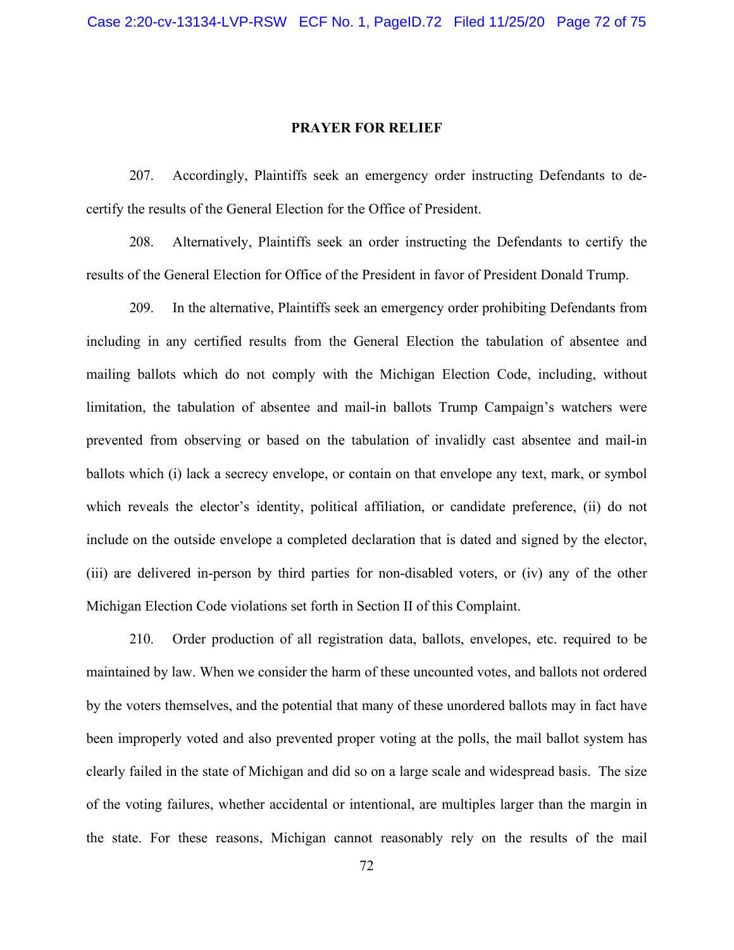#### **PRAYER FOR RELIEF**

207. Accordingly, Plaintiffs seek an emergency order instructing Defendants to decertify the results of the General Election for the Office of President.

208. Alternatively, Plaintiffs seek an order instructing the Defendants to certify the results of the General Election for Office of the President in favor of President Donald Trump.

209. In the alternative, Plaintiffs seek an emergency order prohibiting Defendants from including in any certified results from the General Election the tabulation of absentee and mailing ballots which do not comply with the Michigan Election Code, including, without limitation, the tabulation of absentee and mail-in ballots Trump Campaign's watchers were prevented from observing or based on the tabulation of invalidly cast absentee and mail-in ballots which (i) lack a secrecy envelope, or contain on that envelope any text, mark, or symbol which reveals the elector's identity, political affiliation, or candidate preference, (ii) do not include on the outside envelope a completed declaration that is dated and signed by the elector, (iii) are delivered in-person by third parties for non-disabled voters, or (iv) any of the other Michigan Election Code violations set forth in Section II of this Complaint.

210. Order production of all registration data, ballots, envelopes, etc. required to be maintained by law. When we consider the harm of these uncounted votes, and ballots not ordered by the voters themselves, and the potential that many of these unordered ballots may in fact have been improperly voted and also prevented proper voting at the polls, the mail ballot system has clearly failed in the state of Michigan and did so on a large scale and widespread basis. The size of the voting failures, whether accidental or intentional, are multiples larger than the margin in the state. For these reasons, Michigan cannot reasonably rely on the results of the mail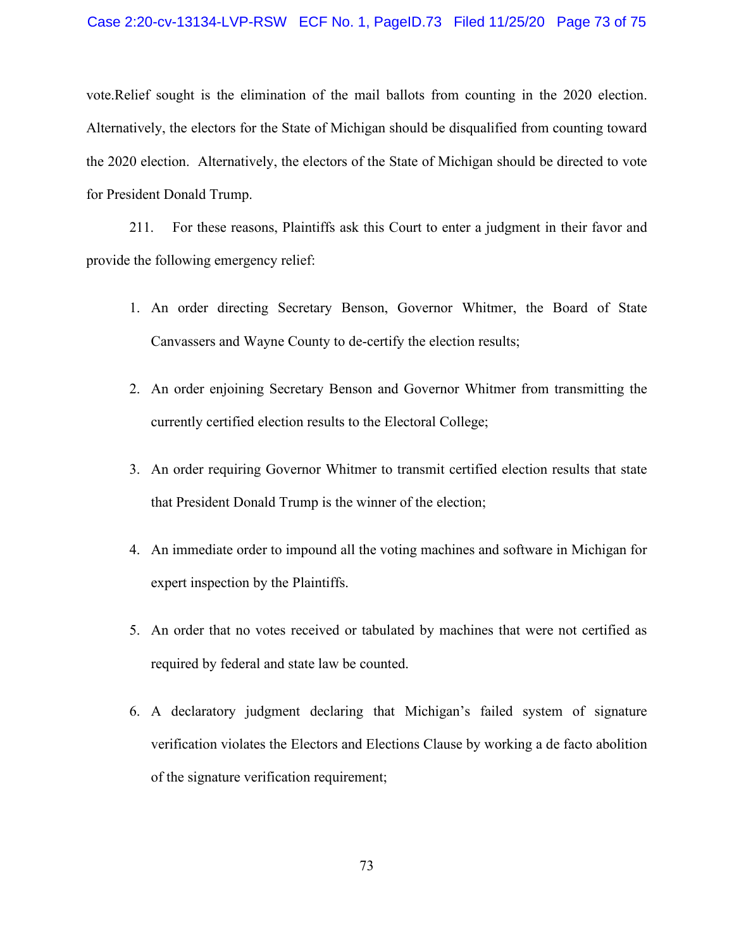## Case 2:20-cv-13134-LVP-RSW ECF No. 1, PageID.73 Filed 11/25/20 Page 73 of 75

vote.Relief sought is the elimination of the mail ballots from counting in the 2020 election. Alternatively, the electors for the State of Michigan should be disqualified from counting toward the 2020 election. Alternatively, the electors of the State of Michigan should be directed to vote for President Donald Trump.

211. For these reasons, Plaintiffs ask this Court to enter a judgment in their favor and provide the following emergency relief:

- 1. An order directing Secretary Benson, Governor Whitmer, the Board of State Canvassers and Wayne County to de-certify the election results;
- 2. An order enjoining Secretary Benson and Governor Whitmer from transmitting the currently certified election results to the Electoral College;
- 3. An order requiring Governor Whitmer to transmit certified election results that state that President Donald Trump is the winner of the election;
- 4. An immediate order to impound all the voting machines and software in Michigan for expert inspection by the Plaintiffs.
- 5. An order that no votes received or tabulated by machines that were not certified as required by federal and state law be counted.
- 6. A declaratory judgment declaring that Michigan's failed system of signature verification violates the Electors and Elections Clause by working a de facto abolition of the signature verification requirement;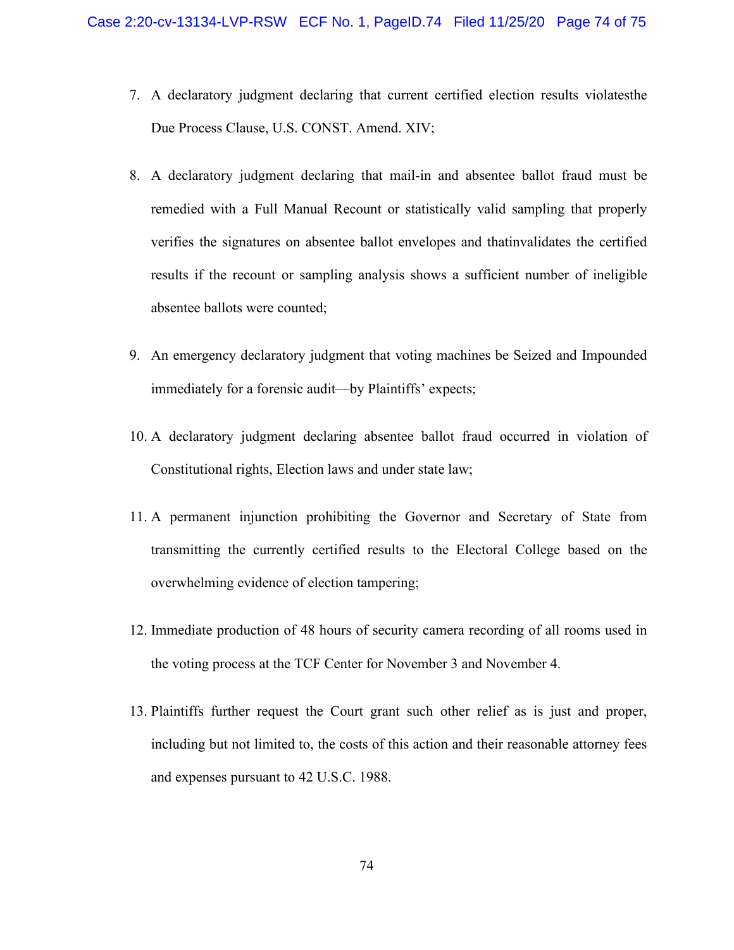- 7. A declaratory judgment declaring that current certified election results violatesthe Due Process Clause, U.S. CONST. Amend. XIV;
- 8. A declaratory judgment declaring that mail-in and absentee ballot fraud must be remedied with a Full Manual Recount or statistically valid sampling that properly verifies the signatures on absentee ballot envelopes and thatinvalidates the certified results if the recount or sampling analysis shows a sufficient number of ineligible absentee ballots were counted;
- 9. An emergency declaratory judgment that voting machines be Seized and Impounded immediately for a forensic audit—by Plaintiffs' expects;
- 10. A declaratory judgment declaring absentee ballot fraud occurred in violation of Constitutional rights, Election laws and under state law;
- 11. A permanent injunction prohibiting the Governor and Secretary of State from transmitting the currently certified results to the Electoral College based on the overwhelming evidence of election tampering;
- 12. Immediate production of 48 hours of security camera recording of all rooms used in the voting process at the TCF Center for November 3 and November 4.
- 13. Plaintiffs further request the Court grant such other relief as is just and proper, including but not limited to, the costs of this action and their reasonable attorney fees and expenses pursuant to 42 U.S.C. 1988.